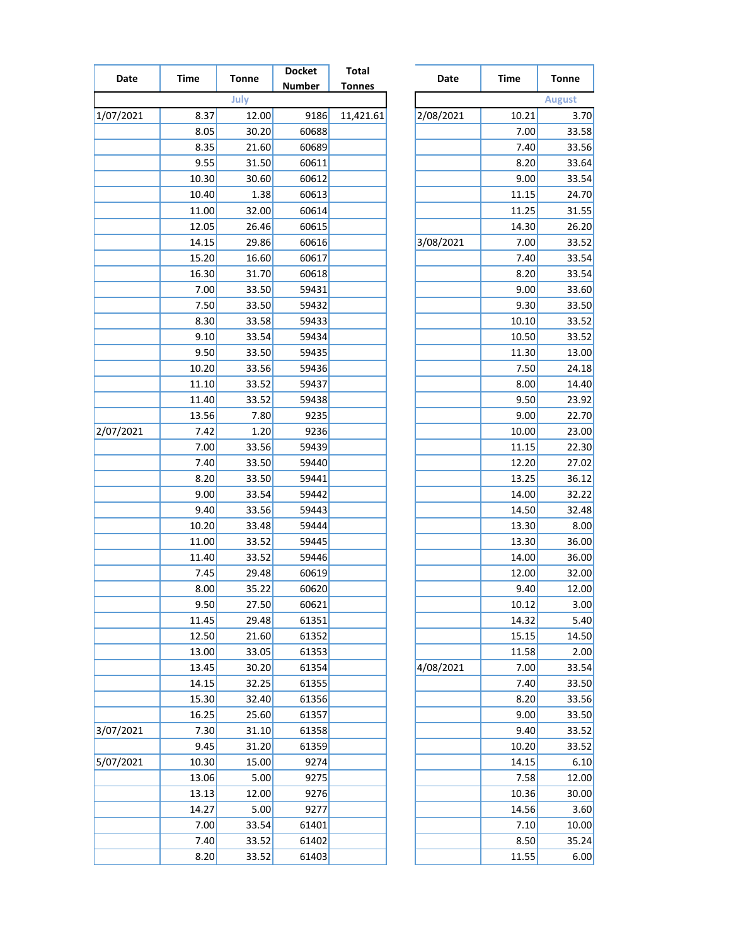| Date      | <b>Time</b>   | <b>Tonne</b>   | <b>Docket</b><br><b>Number</b> | <b>Total</b><br><b>Tonnes</b> | Date      | <b>Time</b>    | <b>Tonne</b>  |
|-----------|---------------|----------------|--------------------------------|-------------------------------|-----------|----------------|---------------|
|           |               | July           |                                |                               |           |                | <b>August</b> |
| 1/07/2021 | 8.37          | 12.00          | 9186                           | 11,421.61                     | 2/08/2021 | 10.21          | 3.70          |
|           | 8.05          | 30.20          | 60688                          |                               |           | 7.00           | 33.58         |
|           | 8.35          | 21.60          | 60689                          |                               |           | 7.40           | 33.56         |
|           | 9.55          | 31.50          | 60611                          |                               |           | 8.20           | 33.64         |
|           | 10.30         | 30.60          | 60612                          |                               |           | 9.00           | 33.54         |
|           | 10.40         | 1.38           | 60613                          |                               |           | 11.15          | 24.70         |
|           | 11.00         | 32.00          | 60614                          |                               |           | 11.25          | 31.55         |
|           | 12.05         | 26.46          | 60615                          |                               |           | 14.30          | 26.20         |
|           | 14.15         | 29.86          | 60616                          |                               | 3/08/2021 | 7.00           | 33.52         |
|           | 15.20         | 16.60          | 60617                          |                               |           | 7.40           | 33.54         |
|           | 16.30         | 31.70          | 60618                          |                               |           | 8.20           | 33.54         |
|           | 7.00          | 33.50          | 59431                          |                               |           | 9.00           | 33.60         |
|           | 7.50          | 33.50          | 59432                          |                               |           | 9.30           | 33.50         |
|           | 8.30          | 33.58          | 59433                          |                               |           | 10.10          | 33.52         |
|           | 9.10          | 33.54          | 59434                          |                               |           | 10.50          | 33.52         |
|           | 9.50          | 33.50          | 59435                          |                               |           | 11.30          | 13.00         |
|           | 10.20         | 33.56          | 59436                          |                               |           | 7.50           | 24.18         |
|           | 11.10         | 33.52          | 59437                          |                               |           | 8.00           | 14.40         |
|           | 11.40         | 33.52          | 59438                          |                               |           | 9.50           | 23.92         |
|           | 13.56         | 7.80           | 9235                           |                               |           | 9.00           | 22.70         |
| 2/07/2021 | 7.42          | 1.20           | 9236                           |                               |           | 10.00          | 23.00         |
|           | 7.00          | 33.56          | 59439                          |                               |           | 11.15          | 22.30         |
|           | 7.40          | 33.50          | 59440                          |                               |           | 12.20          | 27.02         |
|           | 8.20          | 33.50          | 59441                          |                               |           | 13.25          | 36.12         |
|           | 9.00          | 33.54          | 59442                          |                               |           | 14.00          | 32.22         |
|           |               |                | 59443                          |                               |           |                |               |
|           | 9.40<br>10.20 | 33.56          | 59444                          |                               |           | 14.50<br>13.30 | 32.48         |
|           | 11.00         | 33.48<br>33.52 | 59445                          |                               |           | 13.30          | 8.00<br>36.00 |
|           | 11.40         | 33.52          | 59446                          |                               |           | 14.00          | 36.00         |
|           | 7.45          |                |                                |                               |           | 12.00          | 32.00         |
|           |               | 29.48          | 60619                          |                               |           |                | 12.00         |
|           | 8.00<br>9.50  | 35.22<br>27.50 | 60620<br>60621                 |                               |           | 9.40<br>10.12  | 3.00          |
|           | 11.45         |                |                                |                               |           | 14.32          | 5.40          |
|           | 12.50         | 29.48<br>21.60 | 61351                          |                               |           |                | 14.50         |
|           |               |                | 61352                          |                               |           | 15.15          |               |
|           | 13.00         | 33.05          | 61353                          |                               | 4/08/2021 | 11.58          | 2.00          |
|           | 13.45         | 30.20          | 61354                          |                               |           | 7.00<br>7.40   | 33.54         |
|           | 14.15         | 32.25          | 61355                          |                               |           |                | 33.50         |
|           | 15.30         | 32.40          | 61356                          |                               |           | 8.20           | 33.56         |
|           | 16.25         | 25.60          | 61357                          |                               |           | 9.00           | 33.50         |
| 3/07/2021 | 7.30          | 31.10          | 61358                          |                               |           | 9.40           | 33.52         |
|           | 9.45          | 31.20          | 61359                          |                               |           | 10.20          | 33.52         |
| 5/07/2021 | 10.30         | 15.00          | 9274                           |                               |           | 14.15          | 6.10          |
|           | 13.06         | 5.00           | 9275                           |                               |           | 7.58           | 12.00         |
|           | 13.13         | 12.00          | 9276                           |                               |           | 10.36          | 30.00         |
|           | 14.27         | 5.00           | 9277                           |                               |           | 14.56          | 3.60          |
|           | 7.00          | 33.54          | 61401                          |                               |           | 7.10           | 10.00         |
|           | 7.40          | 33.52          | 61402                          |                               |           | 8.50           | 35.24         |
|           | 8.20          | 33.52          | 61403                          |                               |           | 11.55          | 6.00          |

| Tonne | <b>Docket</b> | <b>Total</b>  | Date      | Time  | <b>Tonne</b>  |
|-------|---------------|---------------|-----------|-------|---------------|
|       | <b>Number</b> | <b>Tonnes</b> |           |       |               |
| July  |               |               |           |       | <b>August</b> |
| 12.00 | 9186          | 11,421.61     | 2/08/2021 | 10.21 | 3.70          |
| 30.20 | 60688         |               |           | 7.00  | 33.58         |
| 21.60 | 60689         |               |           | 7.40  | 33.56         |
| 31.50 | 60611         |               |           | 8.20  | 33.64         |
| 30.60 | 60612         |               |           | 9.00  | 33.54         |
| 1.38  | 60613         |               |           | 11.15 | 24.70         |
| 32.00 | 60614         |               |           | 11.25 | 31.55         |
| 26.46 | 60615         |               |           | 14.30 | 26.20         |
| 29.86 | 60616         |               | 3/08/2021 | 7.00  | 33.52         |
| 16.60 | 60617         |               |           | 7.40  | 33.54         |
| 31.70 | 60618         |               |           | 8.20  | 33.54         |
| 33.50 | 59431         |               |           | 9.00  | 33.60         |
| 33.50 | 59432         |               |           | 9.30  | 33.50         |
| 33.58 | 59433         |               |           | 10.10 | 33.52         |
| 33.54 | 59434         |               |           | 10.50 | 33.52         |
| 33.50 | 59435         |               |           | 11.30 | 13.00         |
| 33.56 | 59436         |               |           | 7.50  | 24.18         |
| 33.52 | 59437         |               |           | 8.00  | 14.40         |
| 33.52 | 59438         |               |           | 9.50  | 23.92         |
| 7.80  | 9235          |               |           | 9.00  | 22.70         |
| 1.20  | 9236          |               |           | 10.00 | 23.00         |
| 33.56 | 59439         |               |           | 11.15 | 22.30         |
| 33.50 | 59440         |               |           | 12.20 | 27.02         |
| 33.50 | 59441         |               |           | 13.25 | 36.12         |
| 33.54 | 59442         |               |           | 14.00 | 32.22         |
| 33.56 | 59443         |               |           | 14.50 | 32.48         |
| 33.48 | 59444         |               |           | 13.30 | 8.00          |
| 33.52 | 59445         |               |           | 13.30 | 36.00         |
| 33.52 | 59446         |               |           | 14.00 | 36.00         |
| 29.48 | 60619         |               |           | 12.00 | 32.00         |
| 35.22 | 60620         |               |           | 9.40  | 12.00         |
| 27.50 | 60621         |               |           | 10.12 | 3.00          |
| 29.48 | 61351         |               |           | 14.32 | 5.40          |
| 21.60 | 61352         |               |           | 15.15 | 14.50         |
| 33.05 | 61353         |               |           | 11.58 | 2.00          |
| 30.20 | 61354         |               | 4/08/2021 | 7.00  | 33.54         |
| 32.25 | 61355         |               |           | 7.40  | 33.50         |
| 32.40 | 61356         |               |           | 8.20  | 33.56         |
| 25.60 | 61357         |               |           | 9.00  | 33.50         |
| 31.10 | 61358         |               |           | 9.40  | 33.52         |
| 31.20 | 61359         |               |           | 10.20 | 33.52         |
| 15.00 | 9274          |               |           | 14.15 | 6.10          |
| 5.00  | 9275          |               |           | 7.58  | 12.00         |
| 12.00 | 9276          |               |           | 10.36 | 30.00         |
| 5.00  | 9277          |               |           | 14.56 | 3.60          |
| 33.54 | 61401         |               |           | 7.10  | 10.00         |
| 33.52 | 61402         |               |           | 8.50  | 35.24         |
| 33.52 | 61403         |               |           | 11.55 | 6.00          |
|       |               |               |           |       |               |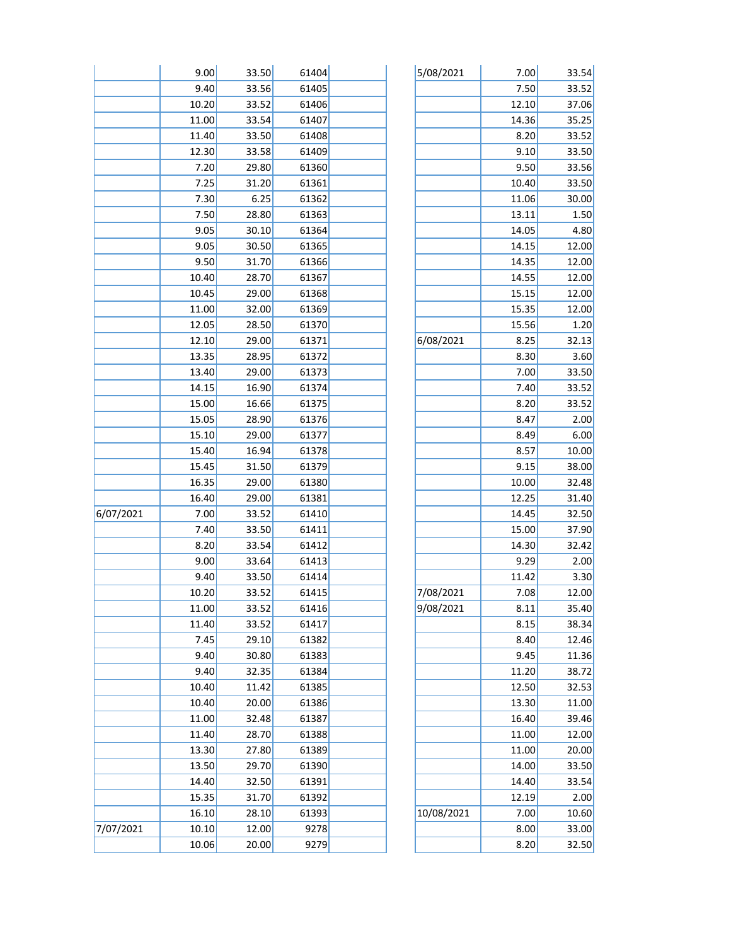|           | 9.00  | 33.50 | 61404 | 5/08/2021  | 7.00  | 33.54 |
|-----------|-------|-------|-------|------------|-------|-------|
|           | 9.40  | 33.56 | 61405 |            | 7.50  | 33.52 |
|           | 10.20 | 33.52 | 61406 |            | 12.10 | 37.06 |
|           | 11.00 | 33.54 | 61407 |            | 14.36 | 35.25 |
|           | 11.40 | 33.50 | 61408 |            | 8.20  | 33.52 |
|           | 12.30 | 33.58 | 61409 |            | 9.10  | 33.50 |
|           | 7.20  | 29.80 | 61360 |            | 9.50  | 33.56 |
|           | 7.25  | 31.20 | 61361 |            | 10.40 | 33.50 |
|           | 7.30  | 6.25  | 61362 |            | 11.06 | 30.00 |
|           | 7.50  | 28.80 | 61363 |            | 13.11 | 1.50  |
|           | 9.05  | 30.10 | 61364 |            | 14.05 | 4.80  |
|           | 9.05  | 30.50 | 61365 |            | 14.15 | 12.00 |
|           | 9.50  | 31.70 | 61366 |            | 14.35 | 12.00 |
|           | 10.40 | 28.70 | 61367 |            | 14.55 | 12.00 |
|           | 10.45 | 29.00 | 61368 |            | 15.15 | 12.00 |
|           | 11.00 | 32.00 | 61369 |            | 15.35 | 12.00 |
|           | 12.05 | 28.50 | 61370 |            | 15.56 | 1.20  |
|           | 12.10 | 29.00 | 61371 | 6/08/2021  | 8.25  | 32.13 |
|           | 13.35 | 28.95 | 61372 |            | 8.30  | 3.60  |
|           | 13.40 | 29.00 | 61373 |            | 7.00  | 33.50 |
|           | 14.15 | 16.90 | 61374 |            | 7.40  | 33.52 |
|           | 15.00 | 16.66 | 61375 |            | 8.20  | 33.52 |
|           | 15.05 | 28.90 | 61376 |            | 8.47  | 2.00  |
|           | 15.10 | 29.00 | 61377 |            | 8.49  | 6.00  |
|           | 15.40 | 16.94 | 61378 |            | 8.57  | 10.00 |
|           | 15.45 | 31.50 | 61379 |            | 9.15  | 38.00 |
|           | 16.35 | 29.00 | 61380 |            | 10.00 | 32.48 |
|           | 16.40 | 29.00 | 61381 |            | 12.25 | 31.40 |
| 6/07/2021 | 7.00  | 33.52 | 61410 |            | 14.45 | 32.50 |
|           | 7.40  | 33.50 | 61411 |            | 15.00 | 37.90 |
|           | 8.20  | 33.54 | 61412 |            | 14.30 | 32.42 |
|           | 9.00  | 33.64 | 61413 |            | 9.29  | 2.00  |
|           | 9.40  | 33.50 | 61414 |            | 11.42 | 3.30  |
|           | 10.20 | 33.52 | 61415 | 7/08/2021  | 7.08  | 12.00 |
|           | 11.00 | 33.52 | 61416 | 9/08/2021  | 8.11  | 35.40 |
|           | 11.40 | 33.52 | 61417 |            | 8.15  | 38.34 |
|           | 7.45  | 29.10 | 61382 |            | 8.40  | 12.46 |
|           | 9.40  | 30.80 | 61383 |            | 9.45  | 11.36 |
|           | 9.40  | 32.35 | 61384 |            | 11.20 | 38.72 |
|           | 10.40 | 11.42 | 61385 |            | 12.50 | 32.53 |
|           | 10.40 | 20.00 | 61386 |            | 13.30 | 11.00 |
|           | 11.00 | 32.48 | 61387 |            | 16.40 | 39.46 |
|           | 11.40 | 28.70 | 61388 |            | 11.00 | 12.00 |
|           | 13.30 | 27.80 | 61389 |            | 11.00 | 20.00 |
|           | 13.50 | 29.70 | 61390 |            | 14.00 | 33.50 |
|           | 14.40 | 32.50 | 61391 |            | 14.40 | 33.54 |
|           | 15.35 | 31.70 | 61392 |            | 12.19 | 2.00  |
|           | 16.10 | 28.10 | 61393 | 10/08/2021 | 7.00  | 10.60 |
| 7/07/2021 | 10.10 | 12.00 | 9278  |            | 8.00  | 33.00 |
|           | 10.06 | 20.00 | 9279  |            | 8.20  | 32.50 |

| 5/08/2021  | 7.00  | 33.54 |
|------------|-------|-------|
|            | 7.50  | 33.52 |
|            | 12.10 | 37.06 |
|            | 14.36 | 35.25 |
|            | 8.20  | 33.52 |
|            | 9.10  | 33.50 |
|            | 9.50  | 33.56 |
|            | 10.40 | 33.50 |
|            | 11.06 | 30.00 |
|            | 13.11 | 1.50  |
|            | 14.05 | 4.80  |
|            | 14.15 | 12.00 |
|            | 14.35 | 12.00 |
|            | 14.55 | 12.00 |
|            | 15.15 | 12.00 |
|            | 15.35 | 12.00 |
|            | 15.56 | 1.20  |
| 6/08/2021  | 8.25  | 32.13 |
|            | 8.30  | 3.60  |
|            | 7.00  | 33.50 |
|            | 7.40  | 33.52 |
|            | 8.20  | 33.52 |
|            | 8.47  | 2.00  |
|            | 8.49  | 6.00  |
|            | 8.57  | 10.00 |
|            | 9.15  | 38.00 |
|            | 10.00 | 32.48 |
|            | 12.25 | 31.40 |
|            | 14.45 | 32.50 |
|            | 15.00 | 37.90 |
|            | 14.30 | 32.42 |
|            | 9.29  | 2.00  |
|            | 11.42 | 3.30  |
| 7/08/2021  | 7.08  | 12.00 |
| 9/08/2021  | 8.11  | 35.40 |
|            | 8.15  | 38.34 |
|            | 8.40  | 12.46 |
|            | 9.45  | 11.36 |
|            | 11.20 | 38.72 |
|            | 12.50 | 32.53 |
|            | 13.30 | 11.00 |
|            | 16.40 | 39.46 |
|            | 11.00 | 12.00 |
|            | 11.00 | 20.00 |
|            | 14.00 | 33.50 |
|            | 14.40 | 33.54 |
|            | 12.19 | 2.00  |
| 10/08/2021 | 7.00  | 10.60 |
|            | 8.00  | 33.00 |
|            | 8.20  | 32.50 |
|            |       |       |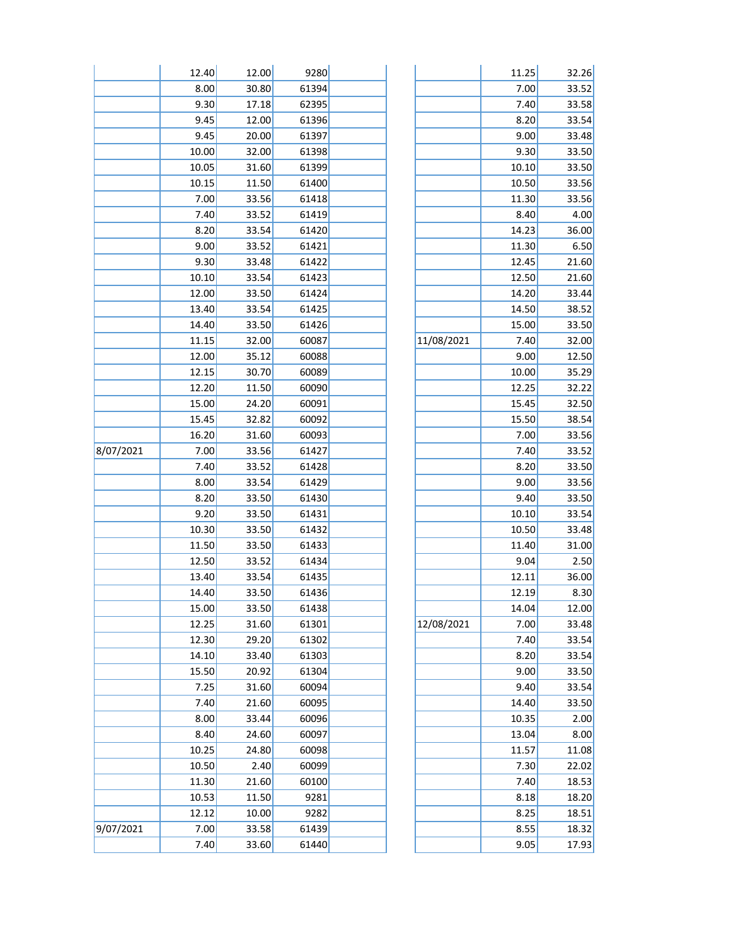|           | 12.40 | 12.00 | 9280  |  |            | 11.25 | 32.26 |
|-----------|-------|-------|-------|--|------------|-------|-------|
|           | 8.00  | 30.80 | 61394 |  |            | 7.00  | 33.52 |
|           | 9.30  | 17.18 | 62395 |  |            | 7.40  | 33.58 |
|           | 9.45  | 12.00 | 61396 |  |            | 8.20  | 33.54 |
|           | 9.45  | 20.00 | 61397 |  |            | 9.00  | 33.48 |
|           | 10.00 | 32.00 | 61398 |  |            | 9.30  | 33.50 |
|           | 10.05 | 31.60 | 61399 |  |            | 10.10 | 33.50 |
|           | 10.15 | 11.50 | 61400 |  |            | 10.50 | 33.56 |
|           | 7.00  | 33.56 | 61418 |  |            | 11.30 | 33.56 |
|           | 7.40  | 33.52 | 61419 |  |            | 8.40  | 4.00  |
|           | 8.20  | 33.54 | 61420 |  |            | 14.23 | 36.00 |
|           | 9.00  | 33.52 | 61421 |  |            | 11.30 | 6.50  |
|           | 9.30  | 33.48 | 61422 |  |            | 12.45 | 21.60 |
|           | 10.10 | 33.54 | 61423 |  |            | 12.50 | 21.60 |
|           | 12.00 | 33.50 | 61424 |  |            | 14.20 | 33.44 |
|           | 13.40 | 33.54 | 61425 |  |            | 14.50 | 38.52 |
|           | 14.40 | 33.50 | 61426 |  |            | 15.00 | 33.50 |
|           | 11.15 | 32.00 | 60087 |  | 11/08/2021 | 7.40  | 32.00 |
|           | 12.00 | 35.12 | 60088 |  |            | 9.00  | 12.50 |
|           | 12.15 | 30.70 | 60089 |  |            | 10.00 | 35.29 |
|           | 12.20 | 11.50 | 60090 |  |            | 12.25 | 32.22 |
|           | 15.00 | 24.20 | 60091 |  |            | 15.45 | 32.50 |
|           | 15.45 | 32.82 | 60092 |  |            | 15.50 | 38.54 |
|           | 16.20 | 31.60 | 60093 |  |            | 7.00  | 33.56 |
| 8/07/2021 | 7.00  | 33.56 | 61427 |  |            | 7.40  | 33.52 |
|           | 7.40  | 33.52 | 61428 |  |            | 8.20  | 33.50 |
|           | 8.00  | 33.54 | 61429 |  |            | 9.00  | 33.56 |
|           | 8.20  | 33.50 | 61430 |  |            | 9.40  | 33.50 |
|           | 9.20  | 33.50 | 61431 |  |            | 10.10 | 33.54 |
|           | 10.30 | 33.50 | 61432 |  |            | 10.50 | 33.48 |
|           | 11.50 | 33.50 | 61433 |  |            | 11.40 | 31.00 |
|           | 12.50 | 33.52 | 61434 |  |            | 9.04  | 2.50  |
|           | 13.40 | 33.54 | 61435 |  |            | 12.11 | 36.00 |
|           | 14.40 | 33.50 | 61436 |  |            | 12.19 | 8.30  |
|           | 15.00 | 33.50 | 61438 |  |            | 14.04 | 12.00 |
|           | 12.25 | 31.60 | 61301 |  | 12/08/2021 | 7.00  | 33.48 |
|           | 12.30 | 29.20 | 61302 |  |            | 7.40  | 33.54 |
|           | 14.10 | 33.40 | 61303 |  |            | 8.20  | 33.54 |
|           | 15.50 | 20.92 | 61304 |  |            | 9.00  | 33.50 |
|           | 7.25  | 31.60 | 60094 |  |            | 9.40  | 33.54 |
|           | 7.40  | 21.60 | 60095 |  |            | 14.40 | 33.50 |
|           | 8.00  | 33.44 | 60096 |  |            | 10.35 | 2.00  |
|           | 8.40  | 24.60 | 60097 |  |            | 13.04 | 8.00  |
|           | 10.25 | 24.80 | 60098 |  |            | 11.57 | 11.08 |
|           | 10.50 | 2.40  | 60099 |  |            | 7.30  | 22.02 |
|           | 11.30 | 21.60 | 60100 |  |            | 7.40  | 18.53 |
|           | 10.53 | 11.50 | 9281  |  |            | 8.18  | 18.20 |
|           | 12.12 | 10.00 | 9282  |  |            | 8.25  | 18.51 |
| 9/07/2021 | 7.00  | 33.58 | 61439 |  |            | 8.55  | 18.32 |
|           | 7.40  | 33.60 | 61440 |  |            | 9.05  | 17.93 |
|           |       |       |       |  |            |       |       |

|            | 11.25 | 32.26 |
|------------|-------|-------|
|            | 7.00  | 33.52 |
|            | 7.40  | 33.58 |
|            | 8.20  | 33.54 |
|            | 9.00  | 33.48 |
|            | 9.30  | 33.50 |
|            | 10.10 | 33.50 |
|            | 10.50 | 33.56 |
|            | 11.30 | 33.56 |
|            | 8.40  | 4.00  |
|            | 14.23 | 36.00 |
|            | 11.30 | 6.50  |
|            | 12.45 | 21.60 |
|            | 12.50 | 21.60 |
|            | 14.20 | 33.44 |
|            | 14.50 | 38.52 |
|            | 15.00 | 33.50 |
| 11/08/2021 | 7.40  | 32.00 |
|            | 9.00  | 12.50 |
|            | 10.00 | 35.29 |
|            | 12.25 | 32.22 |
|            | 15.45 | 32.50 |
|            | 15.50 | 38.54 |
|            | 7.00  | 33.56 |
|            | 7.40  | 33.52 |
|            | 8.20  | 33.50 |
|            | 9.00  | 33.56 |
|            | 9.40  | 33.50 |
|            | 10.10 | 33.54 |
|            | 10.50 | 33.48 |
|            |       |       |
|            | 11.40 | 31.00 |
|            | 9.04  | 2.50  |
|            | 12.11 | 36.00 |
|            | 12.19 | 8.30  |
|            | 14.04 | 12.00 |
| 12/08/2021 | 7.00  | 33.48 |
|            | 7.40  | 33.54 |
|            | 8.20  | 33.54 |
|            | 9.00  | 33.50 |
|            | 9.40  | 33.54 |
|            | 14.40 | 33.50 |
|            | 10.35 | 2.00  |
|            | 13.04 | 8.00  |
|            | 11.57 | 11.08 |
|            | 7.30  | 22.02 |
|            | 7.40  | 18.53 |
|            | 8.18  | 18.20 |
|            | 8.25  | 18.51 |
|            | 8.55  | 18.32 |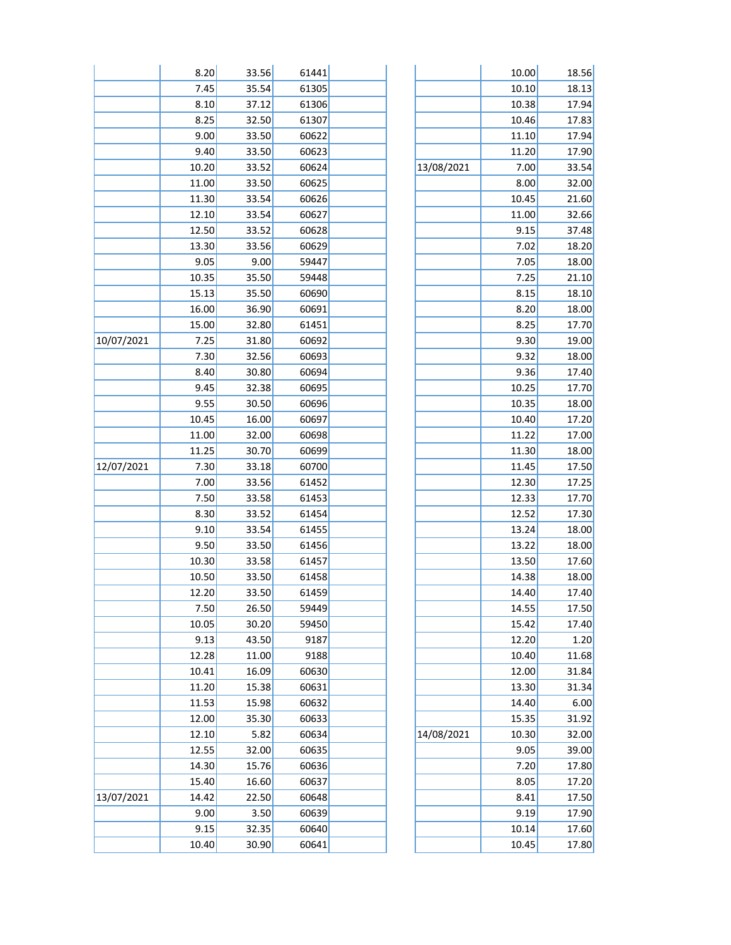|            | 8.20  | 33.56 | 61441 |  |            | 10.00 | 18.56 |
|------------|-------|-------|-------|--|------------|-------|-------|
|            | 7.45  | 35.54 | 61305 |  |            | 10.10 | 18.13 |
|            | 8.10  | 37.12 | 61306 |  |            | 10.38 | 17.94 |
|            | 8.25  | 32.50 | 61307 |  |            | 10.46 | 17.83 |
|            | 9.00  | 33.50 | 60622 |  |            | 11.10 | 17.94 |
|            | 9.40  | 33.50 | 60623 |  |            | 11.20 | 17.90 |
|            | 10.20 | 33.52 | 60624 |  | 13/08/2021 | 7.00  | 33.54 |
|            | 11.00 | 33.50 | 60625 |  |            | 8.00  | 32.00 |
|            | 11.30 | 33.54 | 60626 |  |            | 10.45 | 21.60 |
|            | 12.10 | 33.54 | 60627 |  |            | 11.00 | 32.66 |
|            | 12.50 | 33.52 | 60628 |  |            | 9.15  | 37.48 |
|            | 13.30 | 33.56 | 60629 |  |            | 7.02  | 18.20 |
|            | 9.05  | 9.00  | 59447 |  |            | 7.05  | 18.00 |
|            | 10.35 | 35.50 | 59448 |  |            | 7.25  | 21.10 |
|            | 15.13 | 35.50 | 60690 |  |            | 8.15  | 18.10 |
|            | 16.00 | 36.90 | 60691 |  |            | 8.20  | 18.00 |
|            | 15.00 | 32.80 | 61451 |  |            | 8.25  | 17.70 |
| 10/07/2021 | 7.25  | 31.80 | 60692 |  |            | 9.30  | 19.00 |
|            | 7.30  | 32.56 | 60693 |  |            | 9.32  | 18.00 |
|            | 8.40  | 30.80 | 60694 |  |            | 9.36  | 17.40 |
|            | 9.45  | 32.38 | 60695 |  |            | 10.25 | 17.70 |
|            | 9.55  | 30.50 | 60696 |  |            | 10.35 | 18.00 |
|            | 10.45 | 16.00 | 60697 |  |            | 10.40 | 17.20 |
|            | 11.00 | 32.00 | 60698 |  |            | 11.22 | 17.00 |
|            | 11.25 | 30.70 | 60699 |  |            | 11.30 | 18.00 |
| 12/07/2021 | 7.30  | 33.18 | 60700 |  |            | 11.45 | 17.50 |
|            | 7.00  | 33.56 | 61452 |  |            | 12.30 | 17.25 |
|            | 7.50  | 33.58 | 61453 |  |            | 12.33 | 17.70 |
|            | 8.30  | 33.52 | 61454 |  |            | 12.52 | 17.30 |
|            | 9.10  | 33.54 | 61455 |  |            | 13.24 | 18.00 |
|            | 9.50  | 33.50 | 61456 |  |            | 13.22 | 18.00 |
|            | 10.30 | 33.58 | 61457 |  |            | 13.50 | 17.60 |
|            | 10.50 | 33.50 | 61458 |  |            | 14.38 | 18.00 |
|            | 12.20 | 33.50 | 61459 |  |            | 14.40 | 17.40 |
|            | 7.50  | 26.50 | 59449 |  |            | 14.55 | 17.50 |
|            | 10.05 | 30.20 | 59450 |  |            | 15.42 | 17.40 |
|            | 9.13  | 43.50 | 9187  |  |            | 12.20 | 1.20  |
|            | 12.28 | 11.00 | 9188  |  |            | 10.40 | 11.68 |
|            | 10.41 | 16.09 | 60630 |  |            | 12.00 | 31.84 |
|            | 11.20 | 15.38 | 60631 |  |            | 13.30 | 31.34 |
|            | 11.53 | 15.98 | 60632 |  |            | 14.40 | 6.00  |
|            | 12.00 | 35.30 | 60633 |  |            | 15.35 | 31.92 |
|            | 12.10 | 5.82  | 60634 |  | 14/08/2021 | 10.30 | 32.00 |
|            | 12.55 | 32.00 | 60635 |  |            | 9.05  | 39.00 |
|            | 14.30 | 15.76 | 60636 |  |            | 7.20  | 17.80 |
|            | 15.40 | 16.60 | 60637 |  |            | 8.05  | 17.20 |
| 13/07/2021 | 14.42 | 22.50 | 60648 |  |            | 8.41  | 17.50 |
|            | 9.00  | 3.50  | 60639 |  |            | 9.19  | 17.90 |
|            | 9.15  | 32.35 | 60640 |  |            | 10.14 | 17.60 |
|            | 10.40 | 30.90 | 60641 |  |            | 10.45 | 17.80 |

|            | 10.00          | 18.56 |
|------------|----------------|-------|
|            | 10.10          | 18.13 |
|            | 10.38          | 17.94 |
|            | 10.46          | 17.83 |
|            | 11.10          | 17.94 |
|            | 11.20          | 17.90 |
| 13/08/2021 | 7.00           | 33.54 |
|            | 8.00           | 32.00 |
|            | 10.45          | 21.60 |
|            | 11.00          | 32.66 |
|            | 9.15           | 37.48 |
|            | 7.02           | 18.20 |
|            | 7.05           | 18.00 |
|            | 7.25           | 21.10 |
|            | 8.15           | 18.10 |
|            | 8.20           | 18.00 |
|            | 8.25           | 17.70 |
|            | 9.30           | 19.00 |
|            | 9.32           | 18.00 |
|            | 9.36           | 17.40 |
|            | 10.25          | 17.70 |
|            | 10.35          | 18.00 |
|            | 10.40          | 17.20 |
|            | 11.22          | 17.00 |
|            | 11.30          | 18.00 |
|            | 11.45          | 17.50 |
|            | 12.30          | 17.25 |
|            | 12.33          | 17.70 |
|            | 12.52          | 17.30 |
|            | 13.24          | 18.00 |
|            |                |       |
|            | 13.22          | 18.00 |
|            | 13.50<br>14.38 | 17.60 |
|            |                | 18.00 |
|            | 14.40          | 17.40 |
|            | 14.55          | 17.50 |
|            | 15.42          | 17.40 |
|            | 12.20          | 1.20  |
|            | 10.40          | 11.68 |
|            | 12.00          | 31.84 |
|            | 13.30          | 31.34 |
|            | 14.40          | 6.00  |
|            | 15.35          | 31.92 |
| 14/08/2021 | 10.30          | 32.00 |
|            | 9.05           | 39.00 |
|            | 7.20           | 17.80 |
|            | 8.05           | 17.20 |
|            | 8.41           | 17.50 |
|            | 9.19           | 17.90 |
|            | 10.14          | 17.60 |
|            | 10.45          | 17.80 |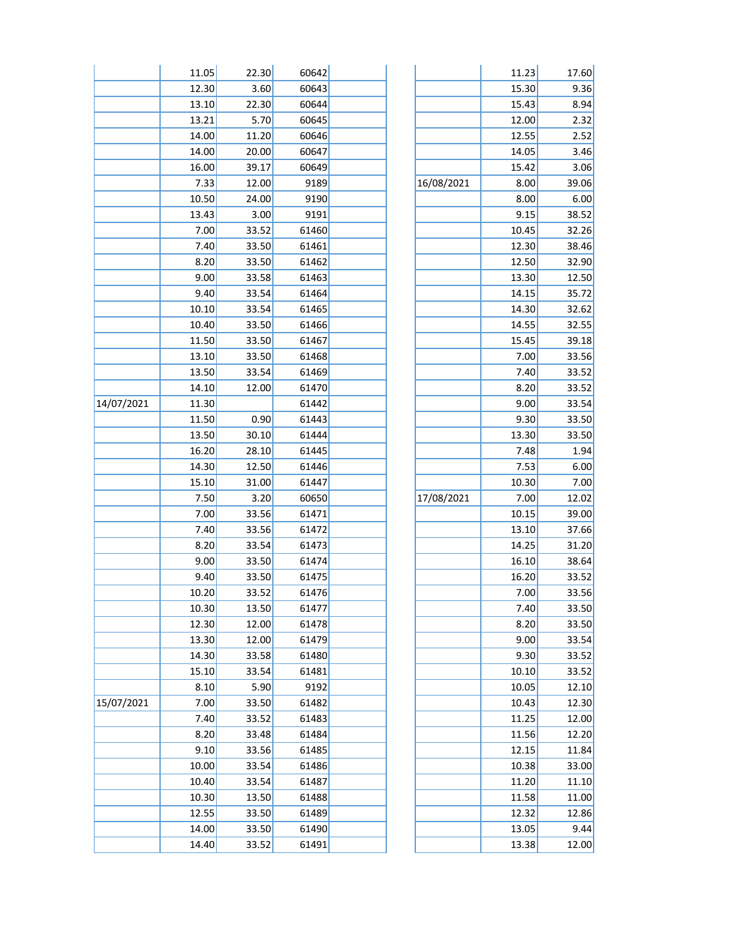|            | 11.05 | 22.30 | 60642 |  |            | 11.23 | 17.60 |
|------------|-------|-------|-------|--|------------|-------|-------|
|            | 12.30 | 3.60  | 60643 |  |            | 15.30 | 9.36  |
|            | 13.10 | 22.30 | 60644 |  |            | 15.43 | 8.94  |
|            | 13.21 | 5.70  | 60645 |  |            | 12.00 | 2.32  |
|            | 14.00 | 11.20 | 60646 |  |            | 12.55 | 2.52  |
|            | 14.00 | 20.00 | 60647 |  |            | 14.05 | 3.46  |
|            | 16.00 | 39.17 | 60649 |  |            | 15.42 | 3.06  |
|            | 7.33  | 12.00 | 9189  |  | 16/08/2021 | 8.00  | 39.06 |
|            | 10.50 | 24.00 | 9190  |  |            | 8.00  | 6.00  |
|            | 13.43 | 3.00  | 9191  |  |            | 9.15  | 38.52 |
|            | 7.00  | 33.52 | 61460 |  |            | 10.45 | 32.26 |
|            | 7.40  | 33.50 | 61461 |  |            | 12.30 | 38.46 |
|            | 8.20  | 33.50 | 61462 |  |            | 12.50 | 32.90 |
|            | 9.00  | 33.58 | 61463 |  |            | 13.30 | 12.50 |
|            | 9.40  | 33.54 | 61464 |  |            | 14.15 | 35.72 |
|            | 10.10 | 33.54 | 61465 |  |            | 14.30 | 32.62 |
|            | 10.40 | 33.50 | 61466 |  |            | 14.55 | 32.55 |
|            | 11.50 | 33.50 | 61467 |  |            | 15.45 | 39.18 |
|            | 13.10 | 33.50 | 61468 |  |            | 7.00  | 33.56 |
|            | 13.50 | 33.54 | 61469 |  |            | 7.40  | 33.52 |
|            | 14.10 | 12.00 | 61470 |  |            | 8.20  | 33.52 |
| 14/07/2021 | 11.30 |       | 61442 |  |            | 9.00  | 33.54 |
|            | 11.50 | 0.90  | 61443 |  |            | 9.30  | 33.50 |
|            | 13.50 | 30.10 | 61444 |  |            | 13.30 | 33.50 |
|            | 16.20 | 28.10 | 61445 |  |            | 7.48  | 1.94  |
|            | 14.30 | 12.50 | 61446 |  |            | 7.53  | 6.00  |
|            | 15.10 | 31.00 | 61447 |  |            | 10.30 | 7.00  |
|            | 7.50  | 3.20  | 60650 |  | 17/08/2021 | 7.00  | 12.02 |
|            | 7.00  | 33.56 | 61471 |  |            | 10.15 | 39.00 |
|            | 7.40  | 33.56 | 61472 |  |            | 13.10 | 37.66 |
|            | 8.20  | 33.54 | 61473 |  |            | 14.25 | 31.20 |
|            | 9.00  | 33.50 | 61474 |  |            | 16.10 | 38.64 |
|            | 9.40  | 33.50 | 61475 |  |            | 16.20 | 33.52 |
|            | 10.20 | 33.52 | 61476 |  |            | 7.00  | 33.56 |
|            | 10.30 | 13.50 | 61477 |  |            | 7.40  | 33.50 |
|            | 12.30 | 12.00 | 61478 |  |            | 8.20  | 33.50 |
|            | 13.30 | 12.00 | 61479 |  |            | 9.00  | 33.54 |
|            | 14.30 | 33.58 | 61480 |  |            | 9.30  | 33.52 |
|            | 15.10 | 33.54 | 61481 |  |            | 10.10 | 33.52 |
|            | 8.10  | 5.90  | 9192  |  |            | 10.05 | 12.10 |
| 15/07/2021 | 7.00  | 33.50 | 61482 |  |            | 10.43 | 12.30 |
|            | 7.40  | 33.52 | 61483 |  |            | 11.25 | 12.00 |
|            | 8.20  | 33.48 | 61484 |  |            | 11.56 | 12.20 |
|            | 9.10  | 33.56 | 61485 |  |            | 12.15 | 11.84 |
|            | 10.00 | 33.54 | 61486 |  |            | 10.38 | 33.00 |
|            | 10.40 | 33.54 | 61487 |  |            | 11.20 | 11.10 |
|            | 10.30 | 13.50 | 61488 |  |            | 11.58 | 11.00 |
|            | 12.55 | 33.50 | 61489 |  |            | 12.32 | 12.86 |
|            | 14.00 | 33.50 | 61490 |  |            | 13.05 | 9.44  |
|            | 14.40 | 33.52 | 61491 |  |            | 13.38 | 12.00 |
|            |       |       |       |  |            |       |       |

|            | 11.23 | 17.60 |
|------------|-------|-------|
|            | 15.30 | 9.36  |
|            | 15.43 | 8.94  |
|            | 12.00 | 2.32  |
|            | 12.55 | 2.52  |
|            | 14.05 | 3.46  |
|            | 15.42 | 3.06  |
| 16/08/2021 | 8.00  | 39.06 |
|            | 8.00  | 6.00  |
|            | 9.15  | 38.52 |
|            | 10.45 | 32.26 |
|            | 12.30 | 38.46 |
|            | 12.50 | 32.90 |
|            | 13.30 | 12.50 |
|            | 14.15 | 35.72 |
|            | 14.30 | 32.62 |
|            | 14.55 | 32.55 |
|            | 15.45 | 39.18 |
|            | 7.00  | 33.56 |
|            | 7.40  | 33.52 |
|            | 8.20  | 33.52 |
|            | 9.00  | 33.54 |
|            | 9.30  | 33.50 |
|            | 13.30 | 33.50 |
|            | 7.48  | 1.94  |
|            | 7.53  | 6.00  |
|            | 10.30 | 7.00  |
| 17/08/2021 | 7.00  | 12.02 |
|            | 10.15 | 39.00 |
|            | 13.10 | 37.66 |
|            | 14.25 | 31.20 |
|            | 16.10 | 38.64 |
|            | 16.20 | 33.52 |
|            | 7.00  | 33.56 |
|            | 7.40  | 33.50 |
|            | 8.20  | 33.50 |
|            | 9.00  | 33.54 |
|            | 9.30  | 33.52 |
|            | 10.10 | 33.52 |
|            | 10.05 | 12.10 |
|            | 10.43 | 12.30 |
|            | 11.25 | 12.00 |
|            | 11.56 | 12.20 |
|            | 12.15 | 11.84 |
|            | 10.38 | 33.00 |
|            | 11.20 | 11.10 |
|            | 11.58 | 11.00 |
|            | 12.32 | 12.86 |
|            | 13.05 | 9.44  |
|            | 13.38 | 12.00 |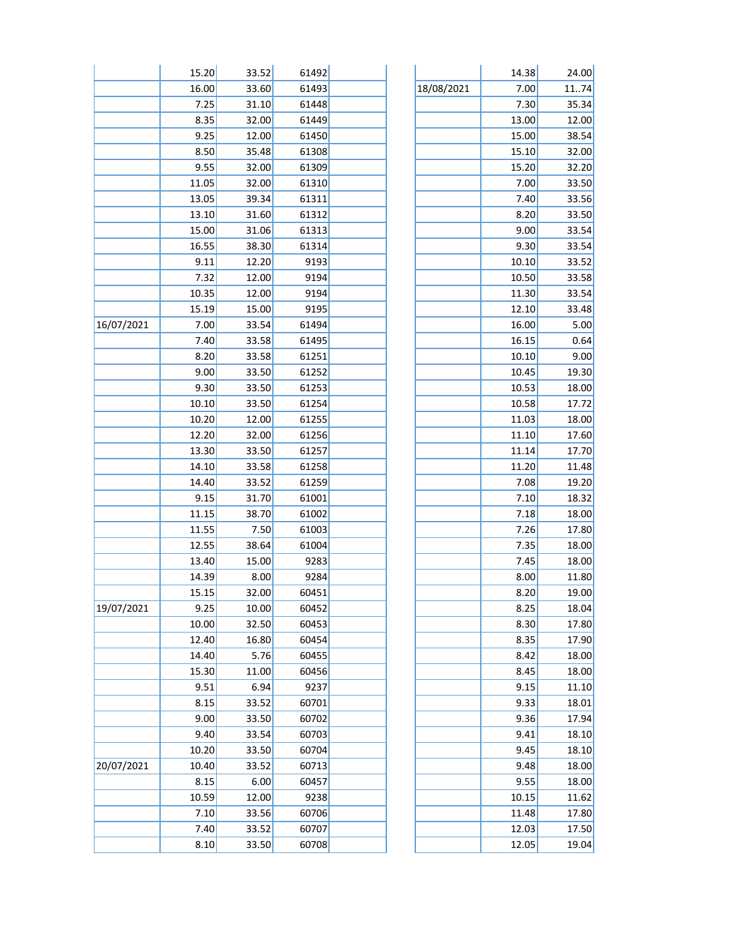|            | 15.20 | 33.52 | 61492 |  |            | 14.38 | 24.00 |
|------------|-------|-------|-------|--|------------|-------|-------|
|            | 16.00 | 33.60 | 61493 |  | 18/08/2021 | 7.00  | 1174  |
|            | 7.25  | 31.10 | 61448 |  |            | 7.30  | 35.34 |
|            | 8.35  | 32.00 | 61449 |  |            | 13.00 | 12.00 |
|            | 9.25  | 12.00 | 61450 |  |            | 15.00 | 38.54 |
|            | 8.50  | 35.48 | 61308 |  |            | 15.10 | 32.00 |
|            | 9.55  | 32.00 | 61309 |  |            | 15.20 | 32.20 |
|            | 11.05 | 32.00 | 61310 |  |            | 7.00  | 33.50 |
|            | 13.05 | 39.34 | 61311 |  |            | 7.40  | 33.56 |
|            | 13.10 | 31.60 | 61312 |  |            | 8.20  | 33.50 |
|            | 15.00 | 31.06 | 61313 |  |            | 9.00  | 33.54 |
|            | 16.55 | 38.30 | 61314 |  |            | 9.30  | 33.54 |
|            | 9.11  | 12.20 | 9193  |  |            | 10.10 | 33.52 |
|            | 7.32  | 12.00 | 9194  |  |            | 10.50 | 33.58 |
|            | 10.35 | 12.00 | 9194  |  |            | 11.30 | 33.54 |
|            | 15.19 | 15.00 | 9195  |  |            | 12.10 | 33.48 |
| 16/07/2021 | 7.00  | 33.54 | 61494 |  |            | 16.00 | 5.00  |
|            | 7.40  | 33.58 | 61495 |  |            | 16.15 | 0.64  |
|            | 8.20  | 33.58 | 61251 |  |            | 10.10 | 9.00  |
|            | 9.00  | 33.50 | 61252 |  |            | 10.45 | 19.30 |
|            | 9.30  | 33.50 | 61253 |  |            | 10.53 | 18.00 |
|            | 10.10 | 33.50 | 61254 |  |            | 10.58 | 17.72 |
|            | 10.20 | 12.00 | 61255 |  |            | 11.03 | 18.00 |
|            | 12.20 | 32.00 | 61256 |  |            | 11.10 | 17.60 |
|            | 13.30 | 33.50 | 61257 |  |            | 11.14 | 17.70 |
|            | 14.10 | 33.58 | 61258 |  |            | 11.20 | 11.48 |
|            | 14.40 | 33.52 | 61259 |  |            | 7.08  | 19.20 |
|            | 9.15  | 31.70 | 61001 |  |            | 7.10  | 18.32 |
|            | 11.15 | 38.70 | 61002 |  |            | 7.18  | 18.00 |
|            | 11.55 | 7.50  | 61003 |  |            | 7.26  | 17.80 |
|            | 12.55 | 38.64 | 61004 |  |            | 7.35  | 18.00 |
|            | 13.40 | 15.00 | 9283  |  |            | 7.45  | 18.00 |
|            | 14.39 | 8.00  | 9284  |  |            | 8.00  | 11.80 |
|            | 15.15 | 32.00 | 60451 |  |            | 8.20  | 19.00 |
| 19/07/2021 | 9.25  | 10.00 | 60452 |  |            | 8.25  | 18.04 |
|            | 10.00 | 32.50 | 60453 |  |            | 8.30  | 17.80 |
|            | 12.40 | 16.80 | 60454 |  |            | 8.35  | 17.90 |
|            | 14.40 | 5.76  | 60455 |  |            | 8.42  | 18.00 |
|            | 15.30 | 11.00 | 60456 |  |            | 8.45  | 18.00 |
|            | 9.51  | 6.94  | 9237  |  |            | 9.15  | 11.10 |
|            | 8.15  | 33.52 | 60701 |  |            | 9.33  | 18.01 |
|            | 9.00  | 33.50 | 60702 |  |            | 9.36  | 17.94 |
|            | 9.40  | 33.54 | 60703 |  |            | 9.41  | 18.10 |
|            | 10.20 | 33.50 | 60704 |  |            | 9.45  | 18.10 |
| 20/07/2021 | 10.40 | 33.52 | 60713 |  |            | 9.48  | 18.00 |
|            | 8.15  | 6.00  | 60457 |  |            | 9.55  | 18.00 |
|            | 10.59 | 12.00 | 9238  |  |            | 10.15 | 11.62 |
|            | 7.10  | 33.56 | 60706 |  |            | 11.48 | 17.80 |
|            | 7.40  | 33.52 | 60707 |  |            | 12.03 | 17.50 |
|            | 8.10  | 33.50 | 60708 |  |            | 12.05 | 19.04 |

|            | 14.38 | 24.00 |
|------------|-------|-------|
| 18/08/2021 | 7.00  | 1174  |
|            | 7.30  | 35.34 |
|            | 13.00 | 12.00 |
|            | 15.00 | 38.54 |
|            | 15.10 | 32.00 |
|            | 15.20 | 32.20 |
|            | 7.00  | 33.50 |
|            | 7.40  | 33.56 |
|            | 8.20  | 33.50 |
|            | 9.00  | 33.54 |
|            | 9.30  | 33.54 |
|            | 10.10 | 33.52 |
|            | 10.50 | 33.58 |
|            | 11.30 | 33.54 |
|            | 12.10 | 33.48 |
|            | 16.00 | 5.00  |
|            | 16.15 | 0.64  |
|            | 10.10 | 9.00  |
|            | 10.45 | 19.30 |
|            | 10.53 | 18.00 |
|            | 10.58 | 17.72 |
|            | 11.03 | 18.00 |
|            | 11.10 | 17.60 |
|            | 11.14 | 17.70 |
|            | 11.20 | 11.48 |
|            | 7.08  | 19.20 |
|            | 7.10  | 18.32 |
|            | 7.18  | 18.00 |
|            | 7.26  | 17.80 |
|            | 7.35  | 18.00 |
|            | 7.45  | 18.00 |
|            | 8.00  | 11.80 |
|            | 8.20  | 19.00 |
|            | 8.25  | 18.04 |
|            | 8.30  | 17.80 |
|            | 8.35  | 17.90 |
|            | 8.42  | 18.00 |
|            | 8.45  | 18.00 |
|            | 9.15  | 11.10 |
|            | 9.33  | 18.01 |
|            | 9.36  | 17.94 |
|            | 9.41  | 18.10 |
|            | 9.45  | 18.10 |
|            | 9.48  | 18.00 |
|            | 9.55  | 18.00 |
|            | 10.15 | 11.62 |
|            | 11.48 | 17.80 |
|            | 12.03 | 17.50 |
|            | 12.05 | 19.04 |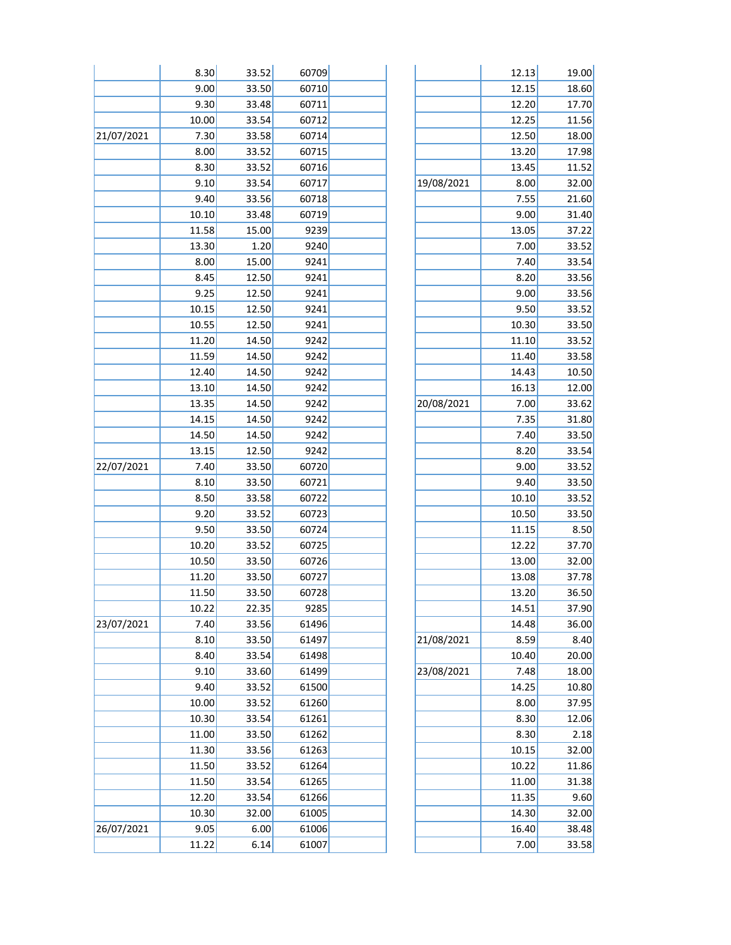|            | 8.30  | 33.52 | 60709 |  |            | 12.13 | 19.00 |
|------------|-------|-------|-------|--|------------|-------|-------|
|            | 9.00  | 33.50 | 60710 |  |            | 12.15 | 18.60 |
|            | 9.30  | 33.48 | 60711 |  |            | 12.20 | 17.70 |
|            | 10.00 | 33.54 | 60712 |  |            | 12.25 | 11.56 |
| 21/07/2021 | 7.30  | 33.58 | 60714 |  |            | 12.50 | 18.00 |
|            | 8.00  | 33.52 | 60715 |  |            | 13.20 | 17.98 |
|            | 8.30  | 33.52 | 60716 |  |            | 13.45 | 11.52 |
|            | 9.10  | 33.54 | 60717 |  | 19/08/2021 | 8.00  | 32.00 |
|            | 9.40  | 33.56 | 60718 |  |            | 7.55  | 21.60 |
|            | 10.10 | 33.48 | 60719 |  |            | 9.00  | 31.40 |
|            | 11.58 | 15.00 | 9239  |  |            | 13.05 | 37.22 |
|            | 13.30 | 1.20  | 9240  |  |            | 7.00  | 33.52 |
|            | 8.00  | 15.00 | 9241  |  |            | 7.40  | 33.54 |
|            | 8.45  | 12.50 | 9241  |  |            | 8.20  | 33.56 |
|            | 9.25  | 12.50 | 9241  |  |            | 9.00  | 33.56 |
|            | 10.15 | 12.50 | 9241  |  |            | 9.50  | 33.52 |
|            | 10.55 | 12.50 | 9241  |  |            | 10.30 | 33.50 |
|            | 11.20 | 14.50 | 9242  |  |            | 11.10 | 33.52 |
|            | 11.59 | 14.50 | 9242  |  |            | 11.40 | 33.58 |
|            | 12.40 | 14.50 | 9242  |  |            | 14.43 | 10.50 |
|            | 13.10 | 14.50 | 9242  |  |            | 16.13 | 12.00 |
|            | 13.35 | 14.50 | 9242  |  | 20/08/2021 | 7.00  | 33.62 |
|            | 14.15 | 14.50 | 9242  |  |            | 7.35  | 31.80 |
|            | 14.50 | 14.50 | 9242  |  |            | 7.40  | 33.50 |
|            | 13.15 | 12.50 | 9242  |  |            | 8.20  | 33.54 |
| 22/07/2021 | 7.40  | 33.50 | 60720 |  |            | 9.00  | 33.52 |
|            | 8.10  | 33.50 | 60721 |  |            | 9.40  | 33.50 |
|            | 8.50  | 33.58 | 60722 |  |            | 10.10 | 33.52 |
|            | 9.20  | 33.52 | 60723 |  |            | 10.50 | 33.50 |
|            | 9.50  | 33.50 | 60724 |  |            | 11.15 | 8.50  |
|            | 10.20 | 33.52 | 60725 |  |            | 12.22 | 37.70 |
|            | 10.50 | 33.50 | 60726 |  |            | 13.00 | 32.00 |
|            | 11.20 | 33.50 | 60727 |  |            | 13.08 | 37.78 |
|            | 11.50 | 33.50 | 60728 |  |            | 13.20 | 36.50 |
|            | 10.22 | 22.35 | 9285  |  |            | 14.51 | 37.90 |
| 23/07/2021 | 7.40  | 33.56 | 61496 |  |            | 14.48 | 36.00 |
|            | 8.10  | 33.50 | 61497 |  | 21/08/2021 | 8.59  | 8.40  |
|            | 8.40  | 33.54 | 61498 |  |            | 10.40 | 20.00 |
|            | 9.10  | 33.60 | 61499 |  | 23/08/2021 | 7.48  | 18.00 |
|            | 9.40  | 33.52 | 61500 |  |            | 14.25 | 10.80 |
|            | 10.00 | 33.52 | 61260 |  |            | 8.00  | 37.95 |
|            | 10.30 | 33.54 | 61261 |  |            | 8.30  | 12.06 |
|            | 11.00 | 33.50 | 61262 |  |            | 8.30  | 2.18  |
|            | 11.30 | 33.56 | 61263 |  |            | 10.15 | 32.00 |
|            | 11.50 | 33.52 | 61264 |  |            | 10.22 | 11.86 |
|            | 11.50 | 33.54 | 61265 |  |            | 11.00 | 31.38 |
|            | 12.20 | 33.54 | 61266 |  |            | 11.35 | 9.60  |
|            | 10.30 | 32.00 | 61005 |  |            | 14.30 | 32.00 |
| 26/07/2021 | 9.05  | 6.00  | 61006 |  |            | 16.40 | 38.48 |
|            | 11.22 | 6.14  | 61007 |  |            | 7.00  | 33.58 |

|            | 12.13 | 19.00 |
|------------|-------|-------|
|            | 12.15 | 18.60 |
|            | 12.20 | 17.70 |
|            | 12.25 | 11.56 |
|            | 12.50 | 18.00 |
|            | 13.20 | 17.98 |
|            | 13.45 | 11.52 |
| 19/08/2021 | 8.00  | 32.00 |
|            | 7.55  | 21.60 |
|            | 9.00  | 31.40 |
|            | 13.05 | 37.22 |
|            | 7.00  | 33.52 |
|            | 7.40  | 33.54 |
|            | 8.20  | 33.56 |
|            | 9.00  | 33.56 |
|            | 9.50  | 33.52 |
|            | 10.30 | 33.50 |
|            | 11.10 | 33.52 |
|            | 11.40 | 33.58 |
|            | 14.43 | 10.50 |
|            | 16.13 | 12.00 |
| 20/08/2021 | 7.00  | 33.62 |
|            | 7.35  | 31.80 |
|            | 7.40  | 33.50 |
|            | 8.20  | 33.54 |
|            | 9.00  | 33.52 |
|            | 9.40  | 33.50 |
|            | 10.10 | 33.52 |
|            | 10.50 | 33.50 |
|            | 11.15 | 8.50  |
|            | 12.22 | 37.70 |
|            | 13.00 | 32.00 |
|            | 13.08 | 37.78 |
|            | 13.20 | 36.50 |
|            | 14.51 | 37.90 |
|            | 14.48 | 36.00 |
| 21/08/2021 | 8.59  | 8.40  |
|            | 10.40 | 20.00 |
| 23/08/2021 | 7.48  | 18.00 |
|            | 14.25 | 10.80 |
|            | 8.00  | 37.95 |
|            | 8.30  | 12.06 |
|            | 8.30  | 2.18  |
|            | 10.15 | 32.00 |
|            | 10.22 | 11.86 |
|            | 11.00 | 31.38 |
|            | 11.35 | 9.60  |
|            | 14.30 | 32.00 |
|            | 16.40 | 38.48 |
|            | 7.00  | 33.58 |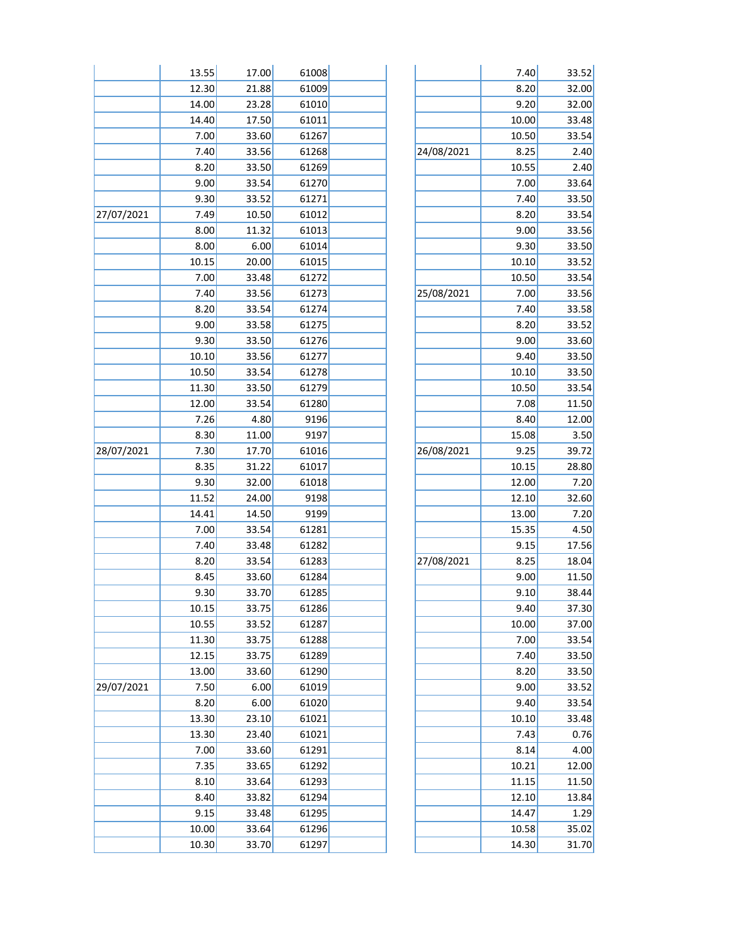|            | 13.55 | 17.00 | 61008 |  |            | 7.40  | 33.52 |
|------------|-------|-------|-------|--|------------|-------|-------|
|            | 12.30 | 21.88 | 61009 |  |            | 8.20  | 32.00 |
|            | 14.00 | 23.28 | 61010 |  |            | 9.20  | 32.00 |
|            | 14.40 | 17.50 | 61011 |  |            | 10.00 | 33.48 |
|            | 7.00  | 33.60 | 61267 |  |            | 10.50 | 33.54 |
|            | 7.40  | 33.56 | 61268 |  | 24/08/2021 | 8.25  | 2.40  |
|            | 8.20  | 33.50 | 61269 |  |            | 10.55 | 2.40  |
|            | 9.00  | 33.54 | 61270 |  |            | 7.00  | 33.64 |
|            | 9.30  | 33.52 | 61271 |  |            | 7.40  | 33.50 |
| 27/07/2021 | 7.49  | 10.50 | 61012 |  |            | 8.20  | 33.54 |
|            | 8.00  | 11.32 | 61013 |  |            | 9.00  | 33.56 |
|            | 8.00  | 6.00  | 61014 |  |            | 9.30  | 33.50 |
|            | 10.15 | 20.00 | 61015 |  |            | 10.10 | 33.52 |
|            | 7.00  | 33.48 | 61272 |  |            | 10.50 | 33.54 |
|            | 7.40  | 33.56 | 61273 |  | 25/08/2021 | 7.00  | 33.56 |
|            | 8.20  | 33.54 | 61274 |  |            | 7.40  | 33.58 |
|            | 9.00  | 33.58 | 61275 |  |            | 8.20  | 33.52 |
|            | 9.30  | 33.50 | 61276 |  |            | 9.00  | 33.60 |
|            | 10.10 | 33.56 | 61277 |  |            | 9.40  | 33.50 |
|            | 10.50 | 33.54 | 61278 |  |            | 10.10 | 33.50 |
|            | 11.30 | 33.50 | 61279 |  |            | 10.50 | 33.54 |
|            | 12.00 | 33.54 | 61280 |  |            | 7.08  | 11.50 |
|            | 7.26  | 4.80  | 9196  |  |            | 8.40  | 12.00 |
|            | 8.30  | 11.00 | 9197  |  |            | 15.08 | 3.50  |
| 28/07/2021 | 7.30  | 17.70 | 61016 |  | 26/08/2021 | 9.25  | 39.72 |
|            | 8.35  | 31.22 | 61017 |  |            | 10.15 | 28.80 |
|            | 9.30  | 32.00 | 61018 |  |            | 12.00 | 7.20  |
|            | 11.52 | 24.00 | 9198  |  |            | 12.10 | 32.60 |
|            | 14.41 | 14.50 | 9199  |  |            | 13.00 | 7.20  |
|            | 7.00  | 33.54 | 61281 |  |            | 15.35 | 4.50  |
|            | 7.40  | 33.48 | 61282 |  |            | 9.15  | 17.56 |
|            | 8.20  | 33.54 | 61283 |  | 27/08/2021 | 8.25  | 18.04 |
|            | 8.45  | 33.60 | 61284 |  |            | 9.00  | 11.50 |
|            | 9.30  | 33.70 | 61285 |  |            | 9.10  | 38.44 |
|            | 10.15 | 33.75 | 61286 |  |            | 9.40  | 37.30 |
|            | 10.55 | 33.52 | 61287 |  |            | 10.00 | 37.00 |
|            | 11.30 | 33.75 | 61288 |  |            | 7.00  | 33.54 |
|            | 12.15 | 33.75 | 61289 |  |            | 7.40  | 33.50 |
|            | 13.00 | 33.60 | 61290 |  |            | 8.20  | 33.50 |
| 29/07/2021 | 7.50  | 6.00  | 61019 |  |            | 9.00  | 33.52 |
|            | 8.20  | 6.00  | 61020 |  |            | 9.40  | 33.54 |
|            | 13.30 | 23.10 | 61021 |  |            | 10.10 | 33.48 |
|            | 13.30 | 23.40 | 61021 |  |            | 7.43  | 0.76  |
|            | 7.00  | 33.60 | 61291 |  |            | 8.14  | 4.00  |
|            | 7.35  | 33.65 | 61292 |  |            | 10.21 | 12.00 |
|            | 8.10  | 33.64 | 61293 |  |            | 11.15 | 11.50 |
|            | 8.40  | 33.82 | 61294 |  |            | 12.10 | 13.84 |
|            | 9.15  | 33.48 | 61295 |  |            | 14.47 | 1.29  |
|            | 10.00 | 33.64 | 61296 |  |            | 10.58 | 35.02 |
|            | 10.30 | 33.70 | 61297 |  |            | 14.30 | 31.70 |
|            |       |       |       |  |            |       |       |

|            | 7.40  | 33.52 |
|------------|-------|-------|
|            | 8.20  | 32.00 |
|            | 9.20  | 32.00 |
|            | 10.00 | 33.48 |
|            | 10.50 | 33.54 |
| 24/08/2021 | 8.25  | 2.40  |
|            | 10.55 | 2.40  |
|            | 7.00  | 33.64 |
|            | 7.40  | 33.50 |
|            | 8.20  | 33.54 |
|            | 9.00  | 33.56 |
|            | 9.30  | 33.50 |
|            | 10.10 | 33.52 |
|            | 10.50 | 33.54 |
| 25/08/2021 | 7.00  | 33.56 |
|            | 7.40  | 33.58 |
|            | 8.20  | 33.52 |
|            | 9.00  | 33.60 |
|            | 9.40  | 33.50 |
|            | 10.10 | 33.50 |
|            | 10.50 | 33.54 |
|            | 7.08  | 11.50 |
|            | 8.40  | 12.00 |
|            | 15.08 | 3.50  |
| 26/08/2021 | 9.25  | 39.72 |
|            | 10.15 | 28.80 |
|            | 12.00 | 7.20  |
|            | 12.10 | 32.60 |
|            | 13.00 | 7.20  |
|            | 15.35 | 4.50  |
|            | 9.15  | 17.56 |
| 27/08/2021 | 8.25  | 18.04 |
|            | 9.00  | 11.50 |
|            | 9.10  | 38.44 |
|            | 9.40  | 37.30 |
|            | 10.00 | 37.00 |
|            | 7.00  | 33.54 |
|            | 7.40  | 33.50 |
|            | 8.20  | 33.50 |
|            | 9.00  | 33.52 |
|            | 9.40  | 33.54 |
|            | 10.10 | 33.48 |
|            | 7.43  | 0.76  |
|            | 8.14  | 4.00  |
|            | 10.21 | 12.00 |
|            | 11.15 | 11.50 |
|            | 12.10 | 13.84 |
|            | 14.47 | 1.29  |
|            | 10.58 | 35.02 |
|            | 14.30 | 31.70 |
|            |       |       |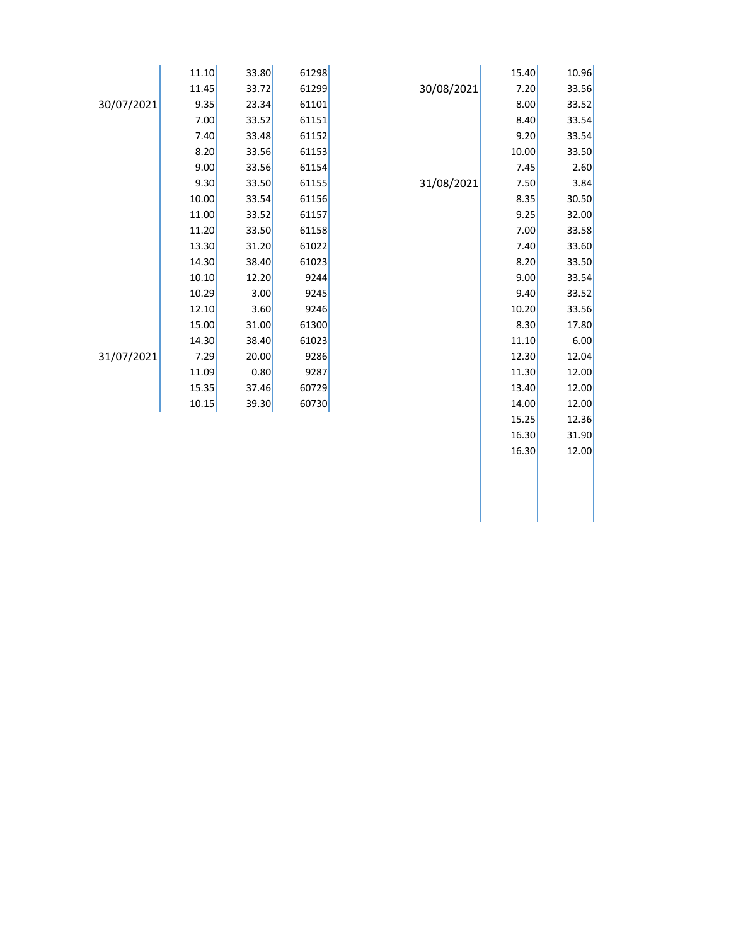|            | 11.10 | 33.80 | 61298 |            | 15.40 | 10.96 |  |
|------------|-------|-------|-------|------------|-------|-------|--|
|            | 11.45 | 33.72 | 61299 | 30/08/2021 | 7.20  | 33.56 |  |
| 30/07/2021 | 9.35  | 23.34 | 61101 |            | 8.00  | 33.52 |  |
|            | 7.00  | 33.52 | 61151 |            | 8.40  | 33.54 |  |
|            | 7.40  | 33.48 | 61152 |            | 9.20  | 33.54 |  |
|            | 8.20  | 33.56 | 61153 |            | 10.00 | 33.50 |  |
|            | 9.00  | 33.56 | 61154 |            | 7.45  | 2.60  |  |
|            | 9.30  | 33.50 | 61155 | 31/08/2021 | 7.50  | 3.84  |  |
|            | 10.00 | 33.54 | 61156 |            | 8.35  | 30.50 |  |
|            | 11.00 | 33.52 | 61157 |            | 9.25  | 32.00 |  |
|            | 11.20 | 33.50 | 61158 |            | 7.00  | 33.58 |  |
|            | 13.30 | 31.20 | 61022 |            | 7.40  | 33.60 |  |
|            | 14.30 | 38.40 | 61023 |            | 8.20  | 33.50 |  |
|            | 10.10 | 12.20 | 9244  |            | 9.00  | 33.54 |  |
|            | 10.29 | 3.00  | 9245  |            | 9.40  | 33.52 |  |
|            | 12.10 | 3.60  | 9246  |            | 10.20 | 33.56 |  |
|            | 15.00 | 31.00 | 61300 |            | 8.30  | 17.80 |  |
|            | 14.30 | 38.40 | 61023 |            | 11.10 | 6.00  |  |
| 31/07/2021 | 7.29  | 20.00 | 9286  |            | 12.30 | 12.04 |  |
|            | 11.09 | 0.80  | 9287  |            | 11.30 | 12.00 |  |
|            | 15.35 | 37.46 | 60729 |            | 13.40 | 12.00 |  |
|            | 10.15 | 39.30 | 60730 |            | 14.00 | 12.00 |  |
|            |       |       |       |            | 15.25 | 12.36 |  |
|            |       |       |       |            | 16.30 | 31.90 |  |

16.30 12.00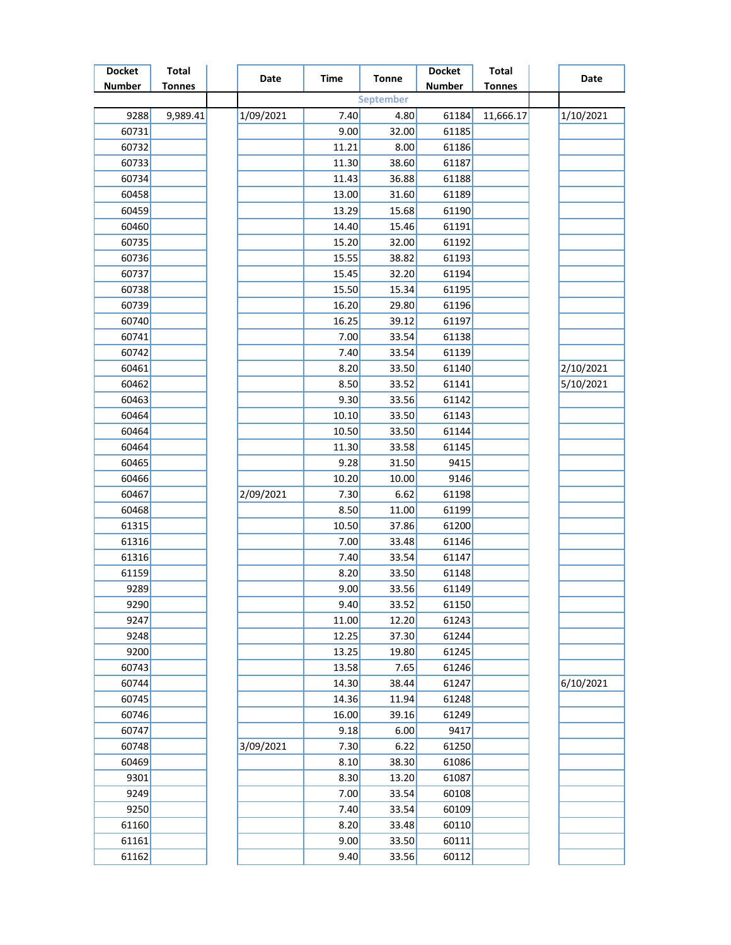| <b>Docket</b><br><b>Number</b> | Total         | Date      | <b>Time</b>  | <b>Tonne</b>     | <b>Docket</b>  | <b>Total</b>  | Date      |
|--------------------------------|---------------|-----------|--------------|------------------|----------------|---------------|-----------|
|                                | <b>Tonnes</b> |           |              | <b>September</b> | Number         | <b>Tonnes</b> |           |
|                                |               |           |              |                  |                |               |           |
| 9288<br>60731                  | 9,989.41      | 1/09/2021 | 7.40<br>9.00 | 4.80             | 61184<br>61185 | 11,666.17     | 1/10/2021 |
|                                |               |           |              | 32.00            |                |               |           |
| 60732                          |               |           | 11.21        | 8.00             | 61186          |               |           |
| 60733                          |               |           | 11.30        | 38.60            | 61187          |               |           |
| 60734                          |               |           | 11.43        | 36.88            | 61188          |               |           |
| 60458                          |               |           | 13.00        | 31.60            | 61189          |               |           |
| 60459                          |               |           | 13.29        | 15.68            | 61190          |               |           |
| 60460                          |               |           | 14.40        | 15.46            | 61191          |               |           |
| 60735                          |               |           | 15.20        | 32.00            | 61192          |               |           |
| 60736                          |               |           | 15.55        | 38.82            | 61193          |               |           |
| 60737                          |               |           | 15.45        | 32.20            | 61194          |               |           |
| 60738                          |               |           | 15.50        | 15.34            | 61195          |               |           |
| 60739                          |               |           | 16.20        | 29.80            | 61196          |               |           |
| 60740                          |               |           | 16.25        | 39.12            | 61197          |               |           |
| 60741                          |               |           | 7.00         | 33.54            | 61138          |               |           |
| 60742                          |               |           | 7.40         | 33.54            | 61139          |               |           |
| 60461                          |               |           | 8.20         | 33.50            | 61140          |               | 2/10/2021 |
| 60462                          |               |           | 8.50         | 33.52            | 61141          |               | 5/10/2021 |
| 60463                          |               |           | 9.30         | 33.56            | 61142          |               |           |
| 60464                          |               |           | 10.10        | 33.50            | 61143          |               |           |
| 60464                          |               |           | 10.50        | 33.50            | 61144          |               |           |
| 60464                          |               |           | 11.30        | 33.58            | 61145          |               |           |
| 60465                          |               |           | 9.28         | 31.50            | 9415           |               |           |
| 60466                          |               |           | 10.20        | 10.00            | 9146           |               |           |
| 60467                          |               | 2/09/2021 | 7.30         | 6.62             | 61198          |               |           |
| 60468                          |               |           | 8.50         | 11.00            | 61199          |               |           |
| 61315                          |               |           | 10.50        | 37.86            | 61200          |               |           |
| 61316                          |               |           | 7.00         | 33.48            | 61146          |               |           |
| 61316                          |               |           | 7.40         | 33.54            | 61147          |               |           |
| 61159                          |               |           | 8.20         | 33.50            | 61148          |               |           |
| 9289                           |               |           | 9.00         | 33.56            | 61149          |               |           |
| 9290                           |               |           | 9.40         | 33.52            | 61150          |               |           |
| 9247                           |               |           | 11.00        | 12.20            | 61243          |               |           |
| 9248                           |               |           | 12.25        | 37.30            | 61244          |               |           |
| 9200                           |               |           |              |                  |                |               |           |
|                                |               |           | 13.25        | 19.80            | 61245          |               |           |
| 60743                          |               |           | 13.58        | 7.65             | 61246          |               |           |
| 60744                          |               |           | 14.30        | 38.44            | 61247          |               | 6/10/2021 |
| 60745                          |               |           | 14.36        | 11.94            | 61248          |               |           |
| 60746                          |               |           | 16.00        | 39.16            | 61249          |               |           |
| 60747                          |               |           | 9.18         | 6.00             | 9417           |               |           |
| 60748                          |               | 3/09/2021 | 7.30         | $6.22$           | 61250          |               |           |
| 60469                          |               |           | 8.10         | 38.30            | 61086          |               |           |
| 9301                           |               |           | 8.30         | 13.20            | 61087          |               |           |
| 9249                           |               |           | 7.00         | 33.54            | 60108          |               |           |
| 9250                           |               |           | 7.40         | 33.54            | 60109          |               |           |
| 61160                          |               |           | 8.20         | 33.48            | 60110          |               |           |
| 61161                          |               |           | 9.00         | 33.50            | 60111          |               |           |
| 61162                          |               |           | 9.40         | 33.56            | 60112          |               |           |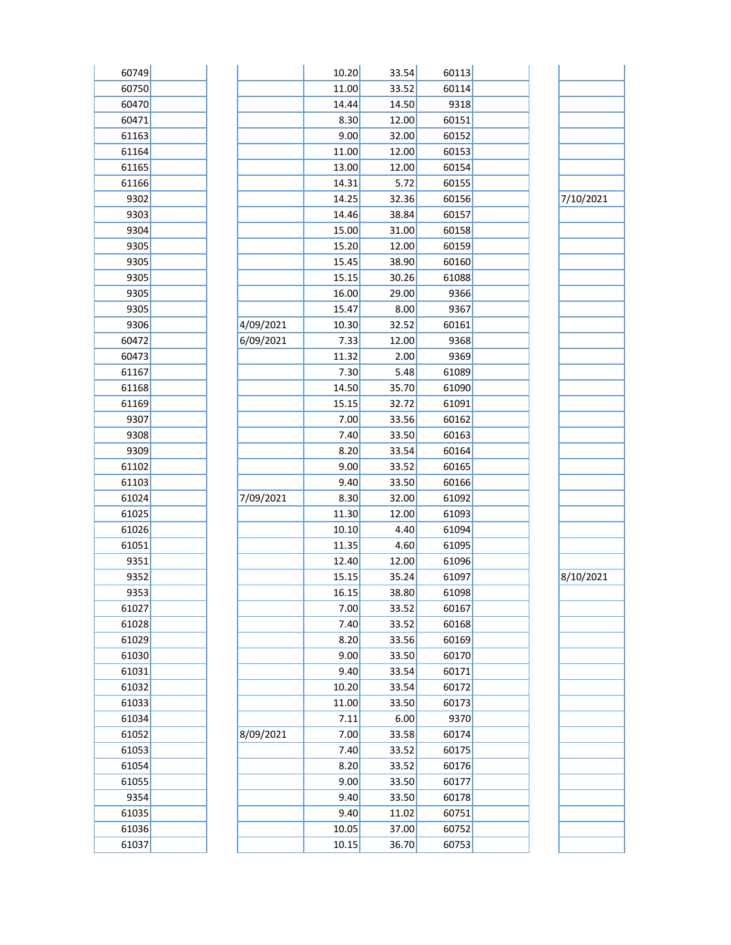| 60749 |           | 10.20 | 33.54 | 60113 |           |
|-------|-----------|-------|-------|-------|-----------|
| 60750 |           | 11.00 | 33.52 | 60114 |           |
| 60470 |           | 14.44 | 14.50 | 9318  |           |
|       |           | 8.30  | 12.00 |       |           |
| 60471 |           |       |       | 60151 |           |
| 61163 |           | 9.00  | 32.00 | 60152 |           |
| 61164 |           | 11.00 | 12.00 | 60153 |           |
| 61165 |           | 13.00 | 12.00 | 60154 |           |
| 61166 |           | 14.31 | 5.72  | 60155 |           |
| 9302  |           | 14.25 | 32.36 | 60156 | 7/10/2021 |
| 9303  |           | 14.46 | 38.84 | 60157 |           |
| 9304  |           | 15.00 | 31.00 | 60158 |           |
| 9305  |           | 15.20 | 12.00 | 60159 |           |
| 9305  |           | 15.45 | 38.90 | 60160 |           |
| 9305  |           | 15.15 | 30.26 | 61088 |           |
| 9305  |           | 16.00 | 29.00 | 9366  |           |
| 9305  |           | 15.47 | 8.00  | 9367  |           |
| 9306  | 4/09/2021 | 10.30 | 32.52 | 60161 |           |
| 60472 | 6/09/2021 | 7.33  | 12.00 | 9368  |           |
| 60473 |           | 11.32 | 2.00  | 9369  |           |
| 61167 |           | 7.30  | 5.48  | 61089 |           |
| 61168 |           | 14.50 | 35.70 | 61090 |           |
| 61169 |           | 15.15 | 32.72 | 61091 |           |
| 9307  |           | 7.00  | 33.56 | 60162 |           |
| 9308  |           | 7.40  | 33.50 | 60163 |           |
| 9309  |           | 8.20  | 33.54 | 60164 |           |
| 61102 |           | 9.00  | 33.52 | 60165 |           |
| 61103 |           | 9.40  | 33.50 | 60166 |           |
| 61024 | 7/09/2021 | 8.30  | 32.00 | 61092 |           |
| 61025 |           | 11.30 | 12.00 | 61093 |           |
| 61026 |           | 10.10 | 4.40  | 61094 |           |
| 61051 |           | 11.35 | 4.60  | 61095 |           |
| 9351  |           | 12.40 | 12.00 | 61096 |           |
| 9352  |           | 15.15 | 35.24 | 61097 | 8/10/2021 |
| 9353  |           | 16.15 | 38.80 | 61098 |           |
| 61027 |           | 7.00  | 33.52 | 60167 |           |
| 61028 |           | 7.40  | 33.52 | 60168 |           |
| 61029 |           | 8.20  | 33.56 | 60169 |           |
| 61030 |           | 9.00  | 33.50 | 60170 |           |
| 61031 |           | 9.40  | 33.54 | 60171 |           |
| 61032 |           | 10.20 | 33.54 | 60172 |           |
| 61033 |           | 11.00 | 33.50 | 60173 |           |
| 61034 |           | 7.11  | 6.00  | 9370  |           |
| 61052 | 8/09/2021 | 7.00  | 33.58 | 60174 |           |
| 61053 |           | 7.40  | 33.52 | 60175 |           |
| 61054 |           | 8.20  | 33.52 | 60176 |           |
| 61055 |           | 9.00  | 33.50 | 60177 |           |
| 9354  |           | 9.40  | 33.50 | 60178 |           |
| 61035 |           | 9.40  | 11.02 | 60751 |           |
| 61036 |           | 10.05 | 37.00 | 60752 |           |
| 61037 |           | 10.15 | 36.70 | 60753 |           |
|       |           |       |       |       |           |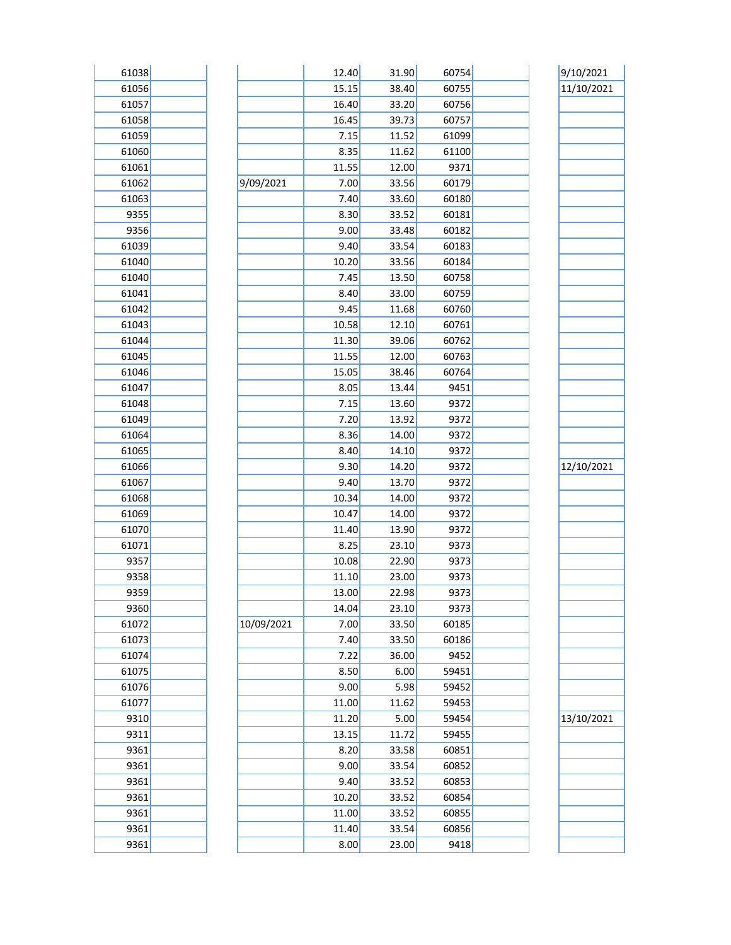| 61056<br>15.15<br>60755<br>11/10/2021<br>38.40<br>61057<br>60756<br>16.40<br>33.20<br>61058<br>16.45<br>39.73<br>60757<br>61059<br>7.15<br>11.52<br>61099<br>61060<br>8.35<br>11.62<br>61100<br>61061<br>11.55<br>12.00<br>9371<br>61062<br>7.00<br>33.56<br>60179<br>9/09/2021<br>61063<br>7.40<br>33.60<br>60180<br>9355<br>8.30<br>33.52<br>60181<br>9356<br>9.00<br>33.48<br>60182<br>61039<br>9.40<br>60183<br>33.54<br>61040<br>10.20<br>33.56<br>60184<br>61040<br>7.45<br>60758<br>13.50<br>61041<br>33.00<br>60759<br>8.40<br>61042<br>9.45<br>11.68<br>60760<br>61043<br>10.58<br>60761<br>12.10<br>61044<br>11.30<br>39.06<br>60762<br>61045<br>60763<br>11.55<br>12.00<br>61046<br>15.05<br>38.46<br>60764<br>61047<br>8.05<br>13.44<br>9451<br>61048<br>7.15<br>13.60<br>9372<br>7.20<br>61049<br>13.92<br>9372<br>61064<br>8.36<br>9372<br>14.00<br>61065<br>8.40<br>14.10<br>9372<br>61066<br>9.30<br>14.20<br>9372<br>12/10/2021<br>61067<br>9.40<br>13.70<br>9372<br>61068<br>10.34<br>14.00<br>9372<br>61069<br>9372<br>10.47<br>14.00<br>61070<br>11.40<br>13.90<br>9372<br>61071<br>8.25<br>23.10<br>9373<br>9357<br>10.08<br>22.90<br>9373<br>9358<br>11.10<br>23.00<br>9373<br>9359<br>13.00<br>9373<br>22.98<br>14.04<br>9360<br>23.10<br>9373<br>61072<br>10/09/2021<br>7.00<br>33.50<br>60185<br>61073<br>7.40<br>33.50<br>60186<br>61074<br>7.22<br>36.00<br>9452<br>61075<br>8.50<br>6.00<br>59451<br>9.00<br>5.98<br>61076<br>59452<br>11.00<br>61077<br>11.62<br>59453<br>9310<br>11.20<br>5.00<br>13/10/2021<br>59454<br>9311<br>13.15<br>11.72<br>59455<br>9361<br>8.20<br>33.58<br>60851<br>9.00<br>9361<br>33.54<br>60852<br>9361<br>9.40<br>60853<br>33.52<br>9361<br>10.20<br>33.52<br>60854<br>9361<br>11.00<br>33.52<br>60855<br>9361<br>11.40<br>33.54<br>60856 | 61038 |  | 12.40 | 31.90 | 60754 |  | 9/10/2021 |
|-------------------------------------------------------------------------------------------------------------------------------------------------------------------------------------------------------------------------------------------------------------------------------------------------------------------------------------------------------------------------------------------------------------------------------------------------------------------------------------------------------------------------------------------------------------------------------------------------------------------------------------------------------------------------------------------------------------------------------------------------------------------------------------------------------------------------------------------------------------------------------------------------------------------------------------------------------------------------------------------------------------------------------------------------------------------------------------------------------------------------------------------------------------------------------------------------------------------------------------------------------------------------------------------------------------------------------------------------------------------------------------------------------------------------------------------------------------------------------------------------------------------------------------------------------------------------------------------------------------------------------------------------------------------------------------------------------------------------------------------------------------------------------------------------------|-------|--|-------|-------|-------|--|-----------|
|                                                                                                                                                                                                                                                                                                                                                                                                                                                                                                                                                                                                                                                                                                                                                                                                                                                                                                                                                                                                                                                                                                                                                                                                                                                                                                                                                                                                                                                                                                                                                                                                                                                                                                                                                                                                       |       |  |       |       |       |  |           |
|                                                                                                                                                                                                                                                                                                                                                                                                                                                                                                                                                                                                                                                                                                                                                                                                                                                                                                                                                                                                                                                                                                                                                                                                                                                                                                                                                                                                                                                                                                                                                                                                                                                                                                                                                                                                       |       |  |       |       |       |  |           |
|                                                                                                                                                                                                                                                                                                                                                                                                                                                                                                                                                                                                                                                                                                                                                                                                                                                                                                                                                                                                                                                                                                                                                                                                                                                                                                                                                                                                                                                                                                                                                                                                                                                                                                                                                                                                       |       |  |       |       |       |  |           |
|                                                                                                                                                                                                                                                                                                                                                                                                                                                                                                                                                                                                                                                                                                                                                                                                                                                                                                                                                                                                                                                                                                                                                                                                                                                                                                                                                                                                                                                                                                                                                                                                                                                                                                                                                                                                       |       |  |       |       |       |  |           |
|                                                                                                                                                                                                                                                                                                                                                                                                                                                                                                                                                                                                                                                                                                                                                                                                                                                                                                                                                                                                                                                                                                                                                                                                                                                                                                                                                                                                                                                                                                                                                                                                                                                                                                                                                                                                       |       |  |       |       |       |  |           |
|                                                                                                                                                                                                                                                                                                                                                                                                                                                                                                                                                                                                                                                                                                                                                                                                                                                                                                                                                                                                                                                                                                                                                                                                                                                                                                                                                                                                                                                                                                                                                                                                                                                                                                                                                                                                       |       |  |       |       |       |  |           |
|                                                                                                                                                                                                                                                                                                                                                                                                                                                                                                                                                                                                                                                                                                                                                                                                                                                                                                                                                                                                                                                                                                                                                                                                                                                                                                                                                                                                                                                                                                                                                                                                                                                                                                                                                                                                       |       |  |       |       |       |  |           |
|                                                                                                                                                                                                                                                                                                                                                                                                                                                                                                                                                                                                                                                                                                                                                                                                                                                                                                                                                                                                                                                                                                                                                                                                                                                                                                                                                                                                                                                                                                                                                                                                                                                                                                                                                                                                       |       |  |       |       |       |  |           |
|                                                                                                                                                                                                                                                                                                                                                                                                                                                                                                                                                                                                                                                                                                                                                                                                                                                                                                                                                                                                                                                                                                                                                                                                                                                                                                                                                                                                                                                                                                                                                                                                                                                                                                                                                                                                       |       |  |       |       |       |  |           |
|                                                                                                                                                                                                                                                                                                                                                                                                                                                                                                                                                                                                                                                                                                                                                                                                                                                                                                                                                                                                                                                                                                                                                                                                                                                                                                                                                                                                                                                                                                                                                                                                                                                                                                                                                                                                       |       |  |       |       |       |  |           |
|                                                                                                                                                                                                                                                                                                                                                                                                                                                                                                                                                                                                                                                                                                                                                                                                                                                                                                                                                                                                                                                                                                                                                                                                                                                                                                                                                                                                                                                                                                                                                                                                                                                                                                                                                                                                       |       |  |       |       |       |  |           |
|                                                                                                                                                                                                                                                                                                                                                                                                                                                                                                                                                                                                                                                                                                                                                                                                                                                                                                                                                                                                                                                                                                                                                                                                                                                                                                                                                                                                                                                                                                                                                                                                                                                                                                                                                                                                       |       |  |       |       |       |  |           |
|                                                                                                                                                                                                                                                                                                                                                                                                                                                                                                                                                                                                                                                                                                                                                                                                                                                                                                                                                                                                                                                                                                                                                                                                                                                                                                                                                                                                                                                                                                                                                                                                                                                                                                                                                                                                       |       |  |       |       |       |  |           |
|                                                                                                                                                                                                                                                                                                                                                                                                                                                                                                                                                                                                                                                                                                                                                                                                                                                                                                                                                                                                                                                                                                                                                                                                                                                                                                                                                                                                                                                                                                                                                                                                                                                                                                                                                                                                       |       |  |       |       |       |  |           |
|                                                                                                                                                                                                                                                                                                                                                                                                                                                                                                                                                                                                                                                                                                                                                                                                                                                                                                                                                                                                                                                                                                                                                                                                                                                                                                                                                                                                                                                                                                                                                                                                                                                                                                                                                                                                       |       |  |       |       |       |  |           |
|                                                                                                                                                                                                                                                                                                                                                                                                                                                                                                                                                                                                                                                                                                                                                                                                                                                                                                                                                                                                                                                                                                                                                                                                                                                                                                                                                                                                                                                                                                                                                                                                                                                                                                                                                                                                       |       |  |       |       |       |  |           |
|                                                                                                                                                                                                                                                                                                                                                                                                                                                                                                                                                                                                                                                                                                                                                                                                                                                                                                                                                                                                                                                                                                                                                                                                                                                                                                                                                                                                                                                                                                                                                                                                                                                                                                                                                                                                       |       |  |       |       |       |  |           |
|                                                                                                                                                                                                                                                                                                                                                                                                                                                                                                                                                                                                                                                                                                                                                                                                                                                                                                                                                                                                                                                                                                                                                                                                                                                                                                                                                                                                                                                                                                                                                                                                                                                                                                                                                                                                       |       |  |       |       |       |  |           |
|                                                                                                                                                                                                                                                                                                                                                                                                                                                                                                                                                                                                                                                                                                                                                                                                                                                                                                                                                                                                                                                                                                                                                                                                                                                                                                                                                                                                                                                                                                                                                                                                                                                                                                                                                                                                       |       |  |       |       |       |  |           |
|                                                                                                                                                                                                                                                                                                                                                                                                                                                                                                                                                                                                                                                                                                                                                                                                                                                                                                                                                                                                                                                                                                                                                                                                                                                                                                                                                                                                                                                                                                                                                                                                                                                                                                                                                                                                       |       |  |       |       |       |  |           |
|                                                                                                                                                                                                                                                                                                                                                                                                                                                                                                                                                                                                                                                                                                                                                                                                                                                                                                                                                                                                                                                                                                                                                                                                                                                                                                                                                                                                                                                                                                                                                                                                                                                                                                                                                                                                       |       |  |       |       |       |  |           |
|                                                                                                                                                                                                                                                                                                                                                                                                                                                                                                                                                                                                                                                                                                                                                                                                                                                                                                                                                                                                                                                                                                                                                                                                                                                                                                                                                                                                                                                                                                                                                                                                                                                                                                                                                                                                       |       |  |       |       |       |  |           |
|                                                                                                                                                                                                                                                                                                                                                                                                                                                                                                                                                                                                                                                                                                                                                                                                                                                                                                                                                                                                                                                                                                                                                                                                                                                                                                                                                                                                                                                                                                                                                                                                                                                                                                                                                                                                       |       |  |       |       |       |  |           |
|                                                                                                                                                                                                                                                                                                                                                                                                                                                                                                                                                                                                                                                                                                                                                                                                                                                                                                                                                                                                                                                                                                                                                                                                                                                                                                                                                                                                                                                                                                                                                                                                                                                                                                                                                                                                       |       |  |       |       |       |  |           |
|                                                                                                                                                                                                                                                                                                                                                                                                                                                                                                                                                                                                                                                                                                                                                                                                                                                                                                                                                                                                                                                                                                                                                                                                                                                                                                                                                                                                                                                                                                                                                                                                                                                                                                                                                                                                       |       |  |       |       |       |  |           |
|                                                                                                                                                                                                                                                                                                                                                                                                                                                                                                                                                                                                                                                                                                                                                                                                                                                                                                                                                                                                                                                                                                                                                                                                                                                                                                                                                                                                                                                                                                                                                                                                                                                                                                                                                                                                       |       |  |       |       |       |  |           |
|                                                                                                                                                                                                                                                                                                                                                                                                                                                                                                                                                                                                                                                                                                                                                                                                                                                                                                                                                                                                                                                                                                                                                                                                                                                                                                                                                                                                                                                                                                                                                                                                                                                                                                                                                                                                       |       |  |       |       |       |  |           |
|                                                                                                                                                                                                                                                                                                                                                                                                                                                                                                                                                                                                                                                                                                                                                                                                                                                                                                                                                                                                                                                                                                                                                                                                                                                                                                                                                                                                                                                                                                                                                                                                                                                                                                                                                                                                       |       |  |       |       |       |  |           |
|                                                                                                                                                                                                                                                                                                                                                                                                                                                                                                                                                                                                                                                                                                                                                                                                                                                                                                                                                                                                                                                                                                                                                                                                                                                                                                                                                                                                                                                                                                                                                                                                                                                                                                                                                                                                       |       |  |       |       |       |  |           |
|                                                                                                                                                                                                                                                                                                                                                                                                                                                                                                                                                                                                                                                                                                                                                                                                                                                                                                                                                                                                                                                                                                                                                                                                                                                                                                                                                                                                                                                                                                                                                                                                                                                                                                                                                                                                       |       |  |       |       |       |  |           |
|                                                                                                                                                                                                                                                                                                                                                                                                                                                                                                                                                                                                                                                                                                                                                                                                                                                                                                                                                                                                                                                                                                                                                                                                                                                                                                                                                                                                                                                                                                                                                                                                                                                                                                                                                                                                       |       |  |       |       |       |  |           |
|                                                                                                                                                                                                                                                                                                                                                                                                                                                                                                                                                                                                                                                                                                                                                                                                                                                                                                                                                                                                                                                                                                                                                                                                                                                                                                                                                                                                                                                                                                                                                                                                                                                                                                                                                                                                       |       |  |       |       |       |  |           |
|                                                                                                                                                                                                                                                                                                                                                                                                                                                                                                                                                                                                                                                                                                                                                                                                                                                                                                                                                                                                                                                                                                                                                                                                                                                                                                                                                                                                                                                                                                                                                                                                                                                                                                                                                                                                       |       |  |       |       |       |  |           |
|                                                                                                                                                                                                                                                                                                                                                                                                                                                                                                                                                                                                                                                                                                                                                                                                                                                                                                                                                                                                                                                                                                                                                                                                                                                                                                                                                                                                                                                                                                                                                                                                                                                                                                                                                                                                       |       |  |       |       |       |  |           |
|                                                                                                                                                                                                                                                                                                                                                                                                                                                                                                                                                                                                                                                                                                                                                                                                                                                                                                                                                                                                                                                                                                                                                                                                                                                                                                                                                                                                                                                                                                                                                                                                                                                                                                                                                                                                       |       |  |       |       |       |  |           |
|                                                                                                                                                                                                                                                                                                                                                                                                                                                                                                                                                                                                                                                                                                                                                                                                                                                                                                                                                                                                                                                                                                                                                                                                                                                                                                                                                                                                                                                                                                                                                                                                                                                                                                                                                                                                       |       |  |       |       |       |  |           |
|                                                                                                                                                                                                                                                                                                                                                                                                                                                                                                                                                                                                                                                                                                                                                                                                                                                                                                                                                                                                                                                                                                                                                                                                                                                                                                                                                                                                                                                                                                                                                                                                                                                                                                                                                                                                       |       |  |       |       |       |  |           |
|                                                                                                                                                                                                                                                                                                                                                                                                                                                                                                                                                                                                                                                                                                                                                                                                                                                                                                                                                                                                                                                                                                                                                                                                                                                                                                                                                                                                                                                                                                                                                                                                                                                                                                                                                                                                       |       |  |       |       |       |  |           |
|                                                                                                                                                                                                                                                                                                                                                                                                                                                                                                                                                                                                                                                                                                                                                                                                                                                                                                                                                                                                                                                                                                                                                                                                                                                                                                                                                                                                                                                                                                                                                                                                                                                                                                                                                                                                       |       |  |       |       |       |  |           |
|                                                                                                                                                                                                                                                                                                                                                                                                                                                                                                                                                                                                                                                                                                                                                                                                                                                                                                                                                                                                                                                                                                                                                                                                                                                                                                                                                                                                                                                                                                                                                                                                                                                                                                                                                                                                       |       |  |       |       |       |  |           |
|                                                                                                                                                                                                                                                                                                                                                                                                                                                                                                                                                                                                                                                                                                                                                                                                                                                                                                                                                                                                                                                                                                                                                                                                                                                                                                                                                                                                                                                                                                                                                                                                                                                                                                                                                                                                       |       |  |       |       |       |  |           |
|                                                                                                                                                                                                                                                                                                                                                                                                                                                                                                                                                                                                                                                                                                                                                                                                                                                                                                                                                                                                                                                                                                                                                                                                                                                                                                                                                                                                                                                                                                                                                                                                                                                                                                                                                                                                       |       |  |       |       |       |  |           |
|                                                                                                                                                                                                                                                                                                                                                                                                                                                                                                                                                                                                                                                                                                                                                                                                                                                                                                                                                                                                                                                                                                                                                                                                                                                                                                                                                                                                                                                                                                                                                                                                                                                                                                                                                                                                       |       |  |       |       |       |  |           |
|                                                                                                                                                                                                                                                                                                                                                                                                                                                                                                                                                                                                                                                                                                                                                                                                                                                                                                                                                                                                                                                                                                                                                                                                                                                                                                                                                                                                                                                                                                                                                                                                                                                                                                                                                                                                       |       |  |       |       |       |  |           |
|                                                                                                                                                                                                                                                                                                                                                                                                                                                                                                                                                                                                                                                                                                                                                                                                                                                                                                                                                                                                                                                                                                                                                                                                                                                                                                                                                                                                                                                                                                                                                                                                                                                                                                                                                                                                       |       |  |       |       |       |  |           |
|                                                                                                                                                                                                                                                                                                                                                                                                                                                                                                                                                                                                                                                                                                                                                                                                                                                                                                                                                                                                                                                                                                                                                                                                                                                                                                                                                                                                                                                                                                                                                                                                                                                                                                                                                                                                       |       |  |       |       |       |  |           |
|                                                                                                                                                                                                                                                                                                                                                                                                                                                                                                                                                                                                                                                                                                                                                                                                                                                                                                                                                                                                                                                                                                                                                                                                                                                                                                                                                                                                                                                                                                                                                                                                                                                                                                                                                                                                       |       |  |       |       |       |  |           |
|                                                                                                                                                                                                                                                                                                                                                                                                                                                                                                                                                                                                                                                                                                                                                                                                                                                                                                                                                                                                                                                                                                                                                                                                                                                                                                                                                                                                                                                                                                                                                                                                                                                                                                                                                                                                       |       |  |       |       |       |  |           |
|                                                                                                                                                                                                                                                                                                                                                                                                                                                                                                                                                                                                                                                                                                                                                                                                                                                                                                                                                                                                                                                                                                                                                                                                                                                                                                                                                                                                                                                                                                                                                                                                                                                                                                                                                                                                       | 9361  |  | 8.00  | 23.00 | 9418  |  |           |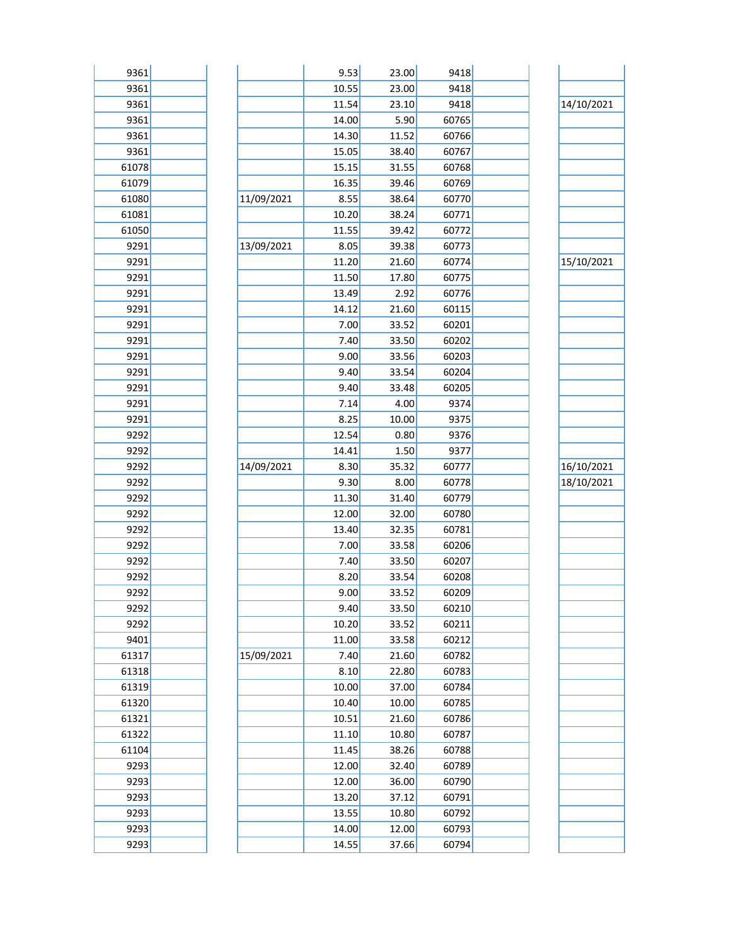| 9361  |            | 9.53  | 23.00          | 9418  |            |
|-------|------------|-------|----------------|-------|------------|
| 9361  |            | 10.55 | 23.00          | 9418  |            |
| 9361  |            | 11.54 | 23.10          | 9418  | 14/10/2021 |
| 9361  |            | 14.00 | 5.90           | 60765 |            |
| 9361  |            | 14.30 | 11.52          | 60766 |            |
| 9361  |            | 15.05 | 38.40          | 60767 |            |
| 61078 |            | 15.15 | 31.55          | 60768 |            |
| 61079 |            | 16.35 | 39.46          | 60769 |            |
| 61080 | 11/09/2021 | 8.55  | 38.64          | 60770 |            |
| 61081 |            | 10.20 | 38.24          | 60771 |            |
| 61050 |            | 11.55 | 39.42          | 60772 |            |
| 9291  | 13/09/2021 | 8.05  | 39.38          | 60773 |            |
| 9291  |            | 11.20 | 21.60          | 60774 | 15/10/2021 |
| 9291  |            | 11.50 | 17.80          | 60775 |            |
| 9291  |            | 13.49 | 2.92           | 60776 |            |
| 9291  |            | 14.12 | 21.60          | 60115 |            |
| 9291  |            | 7.00  | 33.52          | 60201 |            |
| 9291  |            | 7.40  | 33.50          | 60202 |            |
| 9291  |            | 9.00  | 33.56          | 60203 |            |
| 9291  |            | 9.40  | 33.54          | 60204 |            |
| 9291  |            | 9.40  | 33.48          | 60205 |            |
| 9291  |            | 7.14  | 4.00           | 9374  |            |
| 9291  |            | 8.25  | 10.00          | 9375  |            |
| 9292  |            | 12.54 | 0.80           | 9376  |            |
| 9292  |            | 14.41 | 1.50           | 9377  |            |
| 9292  | 14/09/2021 | 8.30  | 35.32          | 60777 | 16/10/2021 |
| 9292  |            | 9.30  | 8.00           | 60778 | 18/10/2021 |
| 9292  |            | 11.30 | 31.40          | 60779 |            |
| 9292  |            | 12.00 | 32.00          | 60780 |            |
| 9292  |            | 13.40 | 32.35          | 60781 |            |
| 9292  |            | 7.00  | 33.58          | 60206 |            |
| 9292  |            | 7.40  | 33.50          | 60207 |            |
| 9292  |            | 8.20  | 33.54          | 60208 |            |
| 9292  |            | 9.00  | 33.52          | 60209 |            |
| 9292  |            | 9.40  | 33.50          | 60210 |            |
|       |            |       |                |       |            |
| 9292  |            | 10.20 | 33.52<br>33.58 | 60211 |            |
| 9401  |            | 11.00 |                | 60212 |            |
| 61317 | 15/09/2021 | 7.40  | 21.60          | 60782 |            |
| 61318 |            | 8.10  | 22.80          | 60783 |            |
| 61319 |            | 10.00 | 37.00          | 60784 |            |
| 61320 |            | 10.40 | 10.00          | 60785 |            |
| 61321 |            | 10.51 | 21.60          | 60786 |            |
| 61322 |            | 11.10 | 10.80          | 60787 |            |
| 61104 |            | 11.45 | 38.26          | 60788 |            |
| 9293  |            | 12.00 | 32.40          | 60789 |            |
| 9293  |            | 12.00 | 36.00          | 60790 |            |
| 9293  |            | 13.20 | 37.12          | 60791 |            |
| 9293  |            | 13.55 | 10.80          | 60792 |            |
| 9293  |            | 14.00 | 12.00          | 60793 |            |
| 9293  |            | 14.55 | 37.66          | 60794 |            |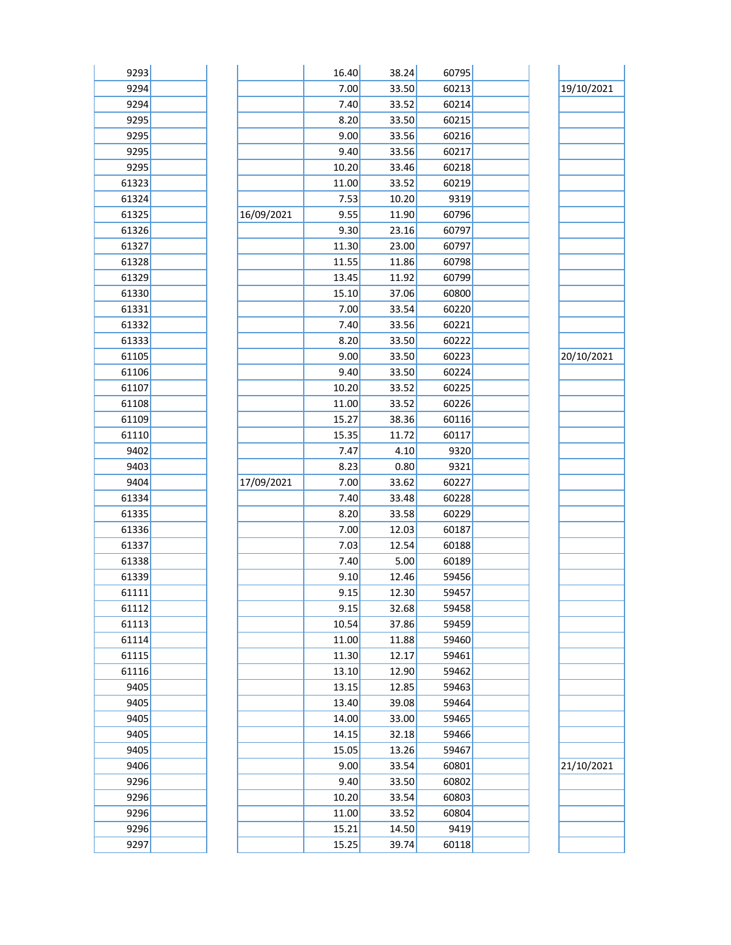| 9293  |            | 16.40 | 38.24 | 60795 |            |
|-------|------------|-------|-------|-------|------------|
| 9294  |            | 7.00  | 33.50 | 60213 | 19/10/2021 |
| 9294  |            | 7.40  | 33.52 | 60214 |            |
| 9295  |            | 8.20  | 33.50 | 60215 |            |
| 9295  |            | 9.00  | 33.56 | 60216 |            |
| 9295  |            | 9.40  | 33.56 | 60217 |            |
| 9295  |            | 10.20 | 33.46 | 60218 |            |
| 61323 |            | 11.00 | 33.52 | 60219 |            |
| 61324 |            | 7.53  | 10.20 | 9319  |            |
| 61325 | 16/09/2021 | 9.55  | 11.90 | 60796 |            |
| 61326 |            | 9.30  | 23.16 | 60797 |            |
| 61327 |            | 11.30 | 23.00 | 60797 |            |
| 61328 |            | 11.55 | 11.86 | 60798 |            |
| 61329 |            | 13.45 | 11.92 | 60799 |            |
| 61330 |            |       | 37.06 | 60800 |            |
|       |            | 15.10 |       |       |            |
| 61331 |            | 7.00  | 33.54 | 60220 |            |
| 61332 |            | 7.40  | 33.56 | 60221 |            |
| 61333 |            | 8.20  | 33.50 | 60222 |            |
| 61105 |            | 9.00  | 33.50 | 60223 | 20/10/2021 |
| 61106 |            | 9.40  | 33.50 | 60224 |            |
| 61107 |            | 10.20 | 33.52 | 60225 |            |
| 61108 |            | 11.00 | 33.52 | 60226 |            |
| 61109 |            | 15.27 | 38.36 | 60116 |            |
| 61110 |            | 15.35 | 11.72 | 60117 |            |
| 9402  |            | 7.47  | 4.10  | 9320  |            |
| 9403  |            | 8.23  | 0.80  | 9321  |            |
| 9404  | 17/09/2021 | 7.00  | 33.62 | 60227 |            |
| 61334 |            | 7.40  | 33.48 | 60228 |            |
| 61335 |            | 8.20  | 33.58 | 60229 |            |
| 61336 |            | 7.00  | 12.03 | 60187 |            |
| 61337 |            | 7.03  | 12.54 | 60188 |            |
| 61338 |            | 7.40  | 5.00  | 60189 |            |
| 61339 |            | 9.10  | 12.46 | 59456 |            |
| 61111 |            | 9.15  | 12.30 | 59457 |            |
| 61112 |            | 9.15  | 32.68 | 59458 |            |
| 61113 |            | 10.54 | 37.86 | 59459 |            |
| 61114 |            | 11.00 | 11.88 | 59460 |            |
| 61115 |            | 11.30 | 12.17 | 59461 |            |
| 61116 |            | 13.10 | 12.90 | 59462 |            |
| 9405  |            | 13.15 | 12.85 | 59463 |            |
| 9405  |            | 13.40 | 39.08 | 59464 |            |
| 9405  |            | 14.00 | 33.00 | 59465 |            |
| 9405  |            | 14.15 | 32.18 | 59466 |            |
| 9405  |            | 15.05 | 13.26 | 59467 |            |
| 9406  |            | 9.00  | 33.54 | 60801 | 21/10/2021 |
| 9296  |            | 9.40  | 33.50 | 60802 |            |
| 9296  |            | 10.20 | 33.54 | 60803 |            |
| 9296  |            | 11.00 | 33.52 | 60804 |            |
| 9296  |            | 15.21 | 14.50 | 9419  |            |
| 9297  |            | 15.25 | 39.74 | 60118 |            |
|       |            |       |       |       |            |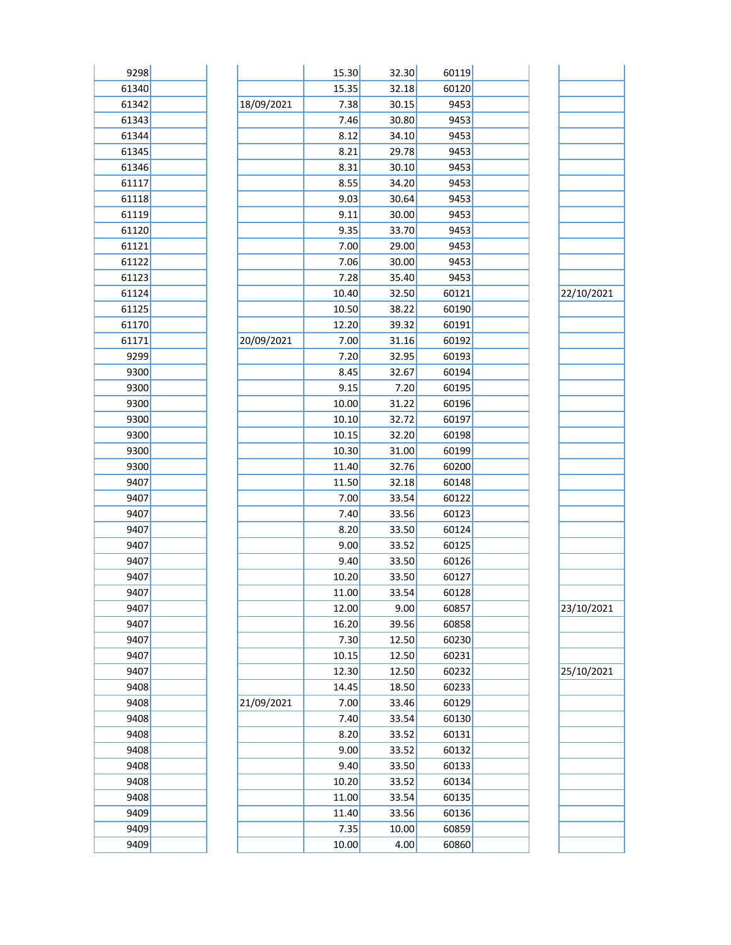| 9298  |            | 15.30 | 32.30 | 60119 |            |
|-------|------------|-------|-------|-------|------------|
| 61340 |            | 15.35 | 32.18 | 60120 |            |
| 61342 | 18/09/2021 | 7.38  | 30.15 | 9453  |            |
| 61343 |            | 7.46  | 30.80 | 9453  |            |
| 61344 |            | 8.12  | 34.10 | 9453  |            |
| 61345 |            | 8.21  | 29.78 | 9453  |            |
| 61346 |            | 8.31  | 30.10 | 9453  |            |
| 61117 |            | 8.55  | 34.20 | 9453  |            |
| 61118 |            | 9.03  | 30.64 | 9453  |            |
| 61119 |            | 9.11  | 30.00 | 9453  |            |
| 61120 |            | 9.35  | 33.70 | 9453  |            |
| 61121 |            | 7.00  | 29.00 | 9453  |            |
| 61122 |            | 7.06  | 30.00 | 9453  |            |
| 61123 |            | 7.28  | 35.40 | 9453  |            |
| 61124 |            | 10.40 | 32.50 | 60121 | 22/10/2021 |
| 61125 |            | 10.50 | 38.22 | 60190 |            |
| 61170 |            | 12.20 | 39.32 | 60191 |            |
| 61171 | 20/09/2021 | 7.00  | 31.16 | 60192 |            |
| 9299  |            | 7.20  | 32.95 | 60193 |            |
| 9300  |            | 8.45  | 32.67 | 60194 |            |
| 9300  |            | 9.15  | 7.20  | 60195 |            |
| 9300  |            | 10.00 | 31.22 | 60196 |            |
| 9300  |            | 10.10 | 32.72 | 60197 |            |
| 9300  |            | 10.15 | 32.20 | 60198 |            |
| 9300  |            | 10.30 | 31.00 | 60199 |            |
| 9300  |            | 11.40 | 32.76 | 60200 |            |
| 9407  |            | 11.50 | 32.18 | 60148 |            |
| 9407  |            | 7.00  | 33.54 | 60122 |            |
| 9407  |            | 7.40  | 33.56 | 60123 |            |
| 9407  |            | 8.20  | 33.50 | 60124 |            |
| 9407  |            | 9.00  | 33.52 | 60125 |            |
| 9407  |            | 9.40  | 33.50 | 60126 |            |
| 9407  |            | 10.20 | 33.50 | 60127 |            |
| 9407  |            | 11.00 | 33.54 | 60128 |            |
| 9407  |            | 12.00 | 9.00  | 60857 | 23/10/2021 |
| 9407  |            | 16.20 | 39.56 | 60858 |            |
| 9407  |            | 7.30  | 12.50 | 60230 |            |
| 9407  |            | 10.15 | 12.50 | 60231 |            |
| 9407  |            | 12.30 | 12.50 | 60232 | 25/10/2021 |
| 9408  |            | 14.45 | 18.50 | 60233 |            |
| 9408  | 21/09/2021 | 7.00  | 33.46 | 60129 |            |
| 9408  |            | 7.40  | 33.54 | 60130 |            |
| 9408  |            | 8.20  | 33.52 | 60131 |            |
| 9408  |            | 9.00  | 33.52 | 60132 |            |
| 9408  |            | 9.40  | 33.50 | 60133 |            |
|       |            |       |       |       |            |
| 9408  |            | 10.20 | 33.52 | 60134 |            |
| 9408  |            | 11.00 | 33.54 | 60135 |            |
| 9409  |            | 11.40 | 33.56 | 60136 |            |
| 9409  |            | 7.35  | 10.00 | 60859 |            |
| 9409  |            | 10.00 | 4.00  | 60860 |            |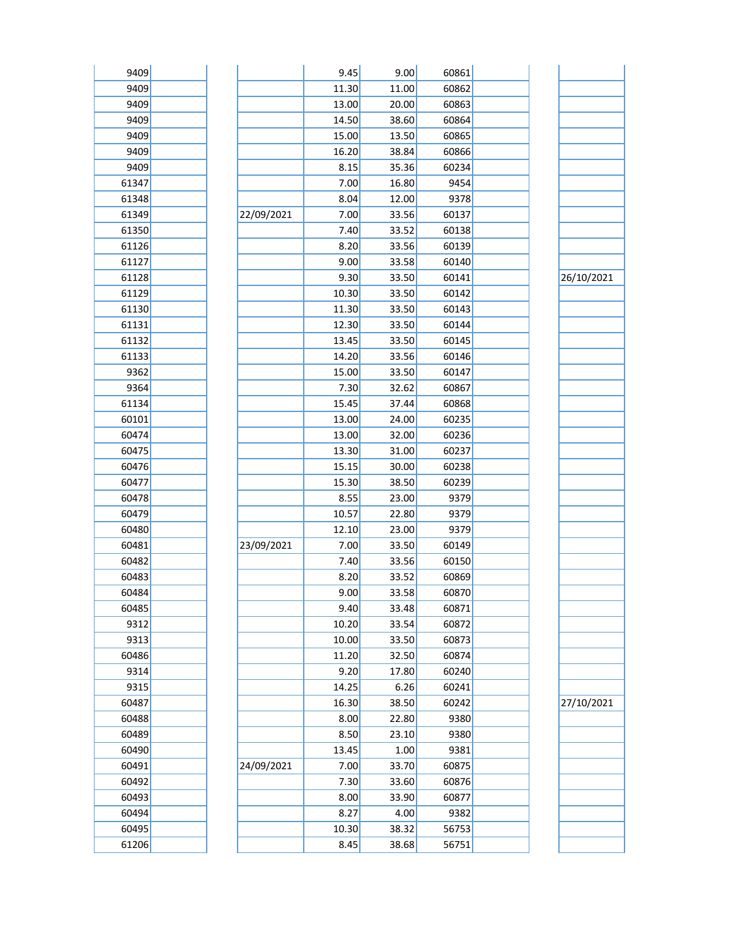| 9409  |            | 9.45  | 9.00  | 60861 |            |
|-------|------------|-------|-------|-------|------------|
| 9409  |            | 11.30 | 11.00 | 60862 |            |
| 9409  |            | 13.00 | 20.00 | 60863 |            |
| 9409  |            | 14.50 | 38.60 | 60864 |            |
| 9409  |            | 15.00 | 13.50 | 60865 |            |
| 9409  |            | 16.20 | 38.84 | 60866 |            |
| 9409  |            | 8.15  | 35.36 | 60234 |            |
| 61347 |            | 7.00  | 16.80 | 9454  |            |
| 61348 |            | 8.04  | 12.00 | 9378  |            |
| 61349 | 22/09/2021 | 7.00  | 33.56 | 60137 |            |
| 61350 |            | 7.40  | 33.52 | 60138 |            |
| 61126 |            | 8.20  | 33.56 | 60139 |            |
| 61127 |            | 9.00  | 33.58 | 60140 |            |
| 61128 |            | 9.30  | 33.50 | 60141 | 26/10/2021 |
| 61129 |            | 10.30 | 33.50 | 60142 |            |
| 61130 |            | 11.30 | 33.50 | 60143 |            |
| 61131 |            | 12.30 | 33.50 | 60144 |            |
| 61132 |            | 13.45 | 33.50 | 60145 |            |
| 61133 |            | 14.20 | 33.56 | 60146 |            |
| 9362  |            | 15.00 | 33.50 | 60147 |            |
| 9364  |            | 7.30  | 32.62 | 60867 |            |
| 61134 |            | 15.45 | 37.44 | 60868 |            |
| 60101 |            | 13.00 | 24.00 | 60235 |            |
| 60474 |            | 13.00 | 32.00 | 60236 |            |
| 60475 |            | 13.30 | 31.00 | 60237 |            |
| 60476 |            | 15.15 | 30.00 | 60238 |            |
| 60477 |            | 15.30 | 38.50 | 60239 |            |
| 60478 |            | 8.55  | 23.00 | 9379  |            |
| 60479 |            | 10.57 | 22.80 | 9379  |            |
| 60480 |            | 12.10 | 23.00 | 9379  |            |
| 60481 | 23/09/2021 | 7.00  | 33.50 | 60149 |            |
| 60482 |            | 7.40  | 33.56 | 60150 |            |
| 60483 |            | 8.20  | 33.52 | 60869 |            |
| 60484 |            | 9.00  | 33.58 | 60870 |            |
| 60485 |            | 9.40  | 33.48 | 60871 |            |
| 9312  |            | 10.20 | 33.54 | 60872 |            |
| 9313  |            | 10.00 | 33.50 | 60873 |            |
| 60486 |            | 11.20 | 32.50 | 60874 |            |
| 9314  |            | 9.20  | 17.80 | 60240 |            |
| 9315  |            | 14.25 | 6.26  | 60241 |            |
| 60487 |            | 16.30 | 38.50 | 60242 | 27/10/2021 |
| 60488 |            | 8.00  | 22.80 | 9380  |            |
| 60489 |            | 8.50  | 23.10 | 9380  |            |
| 60490 |            | 13.45 | 1.00  | 9381  |            |
| 60491 | 24/09/2021 | 7.00  | 33.70 | 60875 |            |
| 60492 |            | 7.30  | 33.60 | 60876 |            |
| 60493 |            | 8.00  | 33.90 | 60877 |            |
| 60494 |            | 8.27  | 4.00  | 9382  |            |
| 60495 |            | 10.30 | 38.32 | 56753 |            |
| 61206 |            | 8.45  | 38.68 | 56751 |            |
|       |            |       |       |       |            |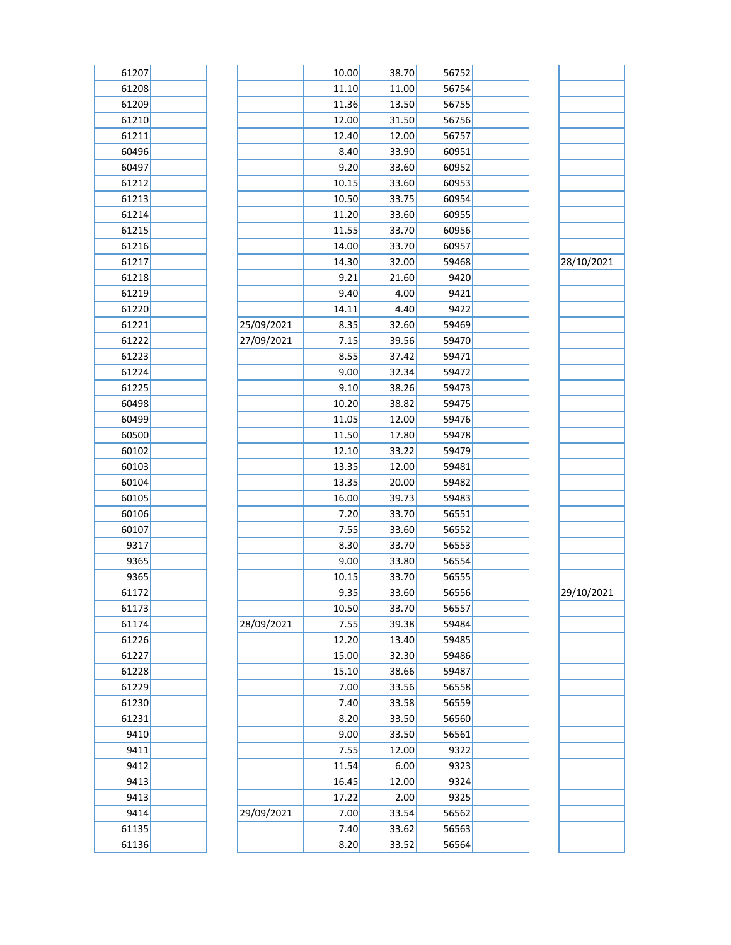| 61207 |            | 10.00 | 38.70 | 56752 |            |
|-------|------------|-------|-------|-------|------------|
| 61208 |            | 11.10 | 11.00 | 56754 |            |
| 61209 |            | 11.36 | 13.50 | 56755 |            |
| 61210 |            | 12.00 | 31.50 | 56756 |            |
| 61211 |            | 12.40 | 12.00 | 56757 |            |
| 60496 |            | 8.40  | 33.90 | 60951 |            |
| 60497 |            | 9.20  | 33.60 | 60952 |            |
| 61212 |            | 10.15 | 33.60 | 60953 |            |
| 61213 |            | 10.50 | 33.75 | 60954 |            |
| 61214 |            | 11.20 | 33.60 | 60955 |            |
| 61215 |            | 11.55 | 33.70 | 60956 |            |
| 61216 |            | 14.00 | 33.70 | 60957 |            |
| 61217 |            | 14.30 | 32.00 | 59468 | 28/10/2021 |
| 61218 |            | 9.21  | 21.60 | 9420  |            |
| 61219 |            | 9.40  | 4.00  | 9421  |            |
| 61220 |            | 14.11 | 4.40  | 9422  |            |
| 61221 | 25/09/2021 | 8.35  | 32.60 | 59469 |            |
| 61222 | 27/09/2021 | 7.15  | 39.56 | 59470 |            |
| 61223 |            | 8.55  | 37.42 | 59471 |            |
| 61224 |            | 9.00  | 32.34 | 59472 |            |
| 61225 |            | 9.10  | 38.26 | 59473 |            |
| 60498 |            | 10.20 | 38.82 | 59475 |            |
| 60499 |            | 11.05 | 12.00 | 59476 |            |
| 60500 |            | 11.50 | 17.80 | 59478 |            |
| 60102 |            | 12.10 | 33.22 | 59479 |            |
| 60103 |            | 13.35 | 12.00 | 59481 |            |
| 60104 |            | 13.35 | 20.00 | 59482 |            |
| 60105 |            | 16.00 | 39.73 | 59483 |            |
| 60106 |            | 7.20  | 33.70 | 56551 |            |
| 60107 |            | 7.55  | 33.60 | 56552 |            |
| 9317  |            | 8.30  | 33.70 | 56553 |            |
|       |            | 9.00  |       | 56554 |            |
| 9365  |            |       | 33.80 |       |            |
| 9365  |            | 10.15 | 33.70 | 56555 |            |
| 61172 |            | 9.35  | 33.60 | 56556 | 29/10/2021 |
| 61173 |            | 10.50 | 33.70 | 56557 |            |
| 61174 | 28/09/2021 | 7.55  | 39.38 | 59484 |            |
| 61226 |            | 12.20 | 13.40 | 59485 |            |
| 61227 |            | 15.00 | 32.30 | 59486 |            |
| 61228 |            | 15.10 | 38.66 | 59487 |            |
| 61229 |            | 7.00  | 33.56 | 56558 |            |
| 61230 |            | 7.40  | 33.58 | 56559 |            |
| 61231 |            | 8.20  | 33.50 | 56560 |            |
| 9410  |            | 9.00  | 33.50 | 56561 |            |
| 9411  |            | 7.55  | 12.00 | 9322  |            |
| 9412  |            | 11.54 | 6.00  | 9323  |            |
| 9413  |            | 16.45 | 12.00 | 9324  |            |
| 9413  |            | 17.22 | 2.00  | 9325  |            |
| 9414  | 29/09/2021 | 7.00  | 33.54 | 56562 |            |
| 61135 |            | 7.40  | 33.62 | 56563 |            |
| 61136 |            | 8.20  | 33.52 | 56564 |            |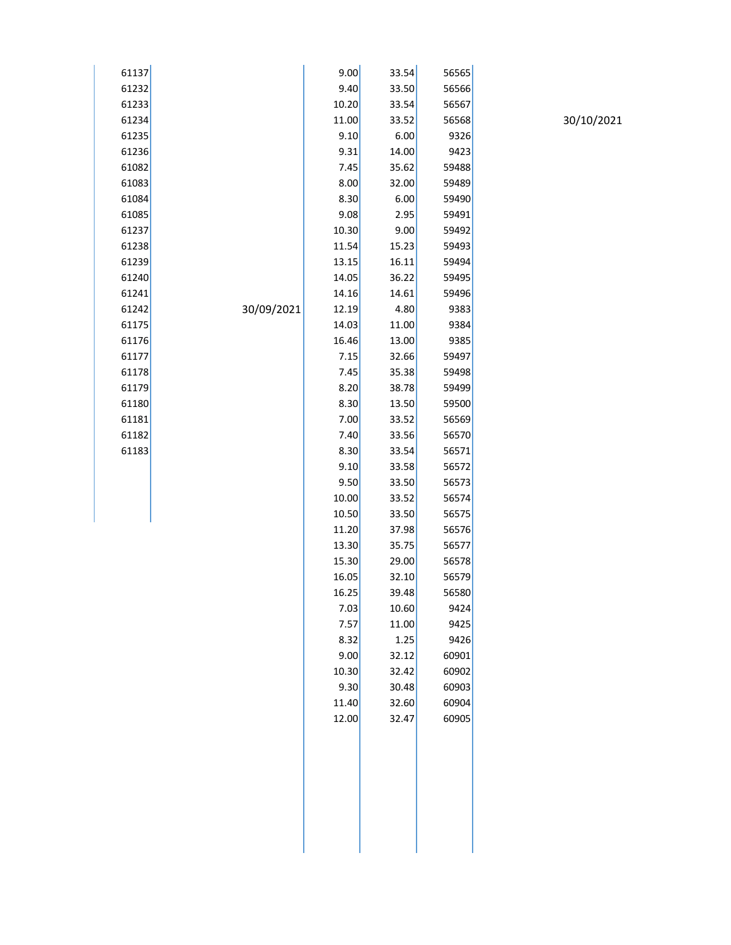| 61137 |            | 9.00  | 33.54 | 56565 |  |
|-------|------------|-------|-------|-------|--|
| 61232 |            | 9.40  | 33.50 | 56566 |  |
| 61233 |            | 10.20 | 33.54 | 56567 |  |
| 61234 |            | 11.00 | 33.52 | 56568 |  |
| 61235 |            | 9.10  | 6.00  | 9326  |  |
| 61236 |            | 9.31  | 14.00 | 9423  |  |
| 61082 |            | 7.45  | 35.62 | 59488 |  |
| 61083 |            | 8.00  | 32.00 | 59489 |  |
| 61084 |            | 8.30  | 6.00  | 59490 |  |
| 61085 |            | 9.08  | 2.95  | 59491 |  |
| 61237 |            | 10.30 | 9.00  | 59492 |  |
| 61238 |            | 11.54 | 15.23 | 59493 |  |
| 61239 |            | 13.15 | 16.11 | 59494 |  |
| 61240 |            | 14.05 | 36.22 | 59495 |  |
| 61241 |            | 14.16 | 14.61 | 59496 |  |
| 61242 | 30/09/2021 | 12.19 | 4.80  | 9383  |  |
| 61175 |            | 14.03 | 11.00 | 9384  |  |
| 61176 |            | 16.46 | 13.00 | 9385  |  |
| 61177 |            | 7.15  | 32.66 | 59497 |  |
| 61178 |            | 7.45  | 35.38 | 59498 |  |
| 61179 |            | 8.20  | 38.78 | 59499 |  |
| 61180 |            | 8.30  | 13.50 | 59500 |  |
| 61181 |            | 7.00  | 33.52 | 56569 |  |
| 61182 |            | 7.40  | 33.56 | 56570 |  |
| 61183 |            | 8.30  | 33.54 | 56571 |  |
|       |            | 9.10  | 33.58 | 56572 |  |
|       |            | 9.50  | 33.50 | 56573 |  |
|       |            | 10.00 | 33.52 | 56574 |  |
|       |            | 10.50 | 33.50 | 56575 |  |
|       |            | 11.20 | 37.98 | 56576 |  |
|       |            | 13.30 | 35.75 | 56577 |  |
|       |            | 15.30 | 29.00 | 56578 |  |
|       |            | 16.05 | 32.10 | 56579 |  |
|       |            | 16.25 | 39.48 | 56580 |  |
|       |            | 7.03  | 10.60 | 9424  |  |
|       |            | 7.57  | 11.00 | 9425  |  |
|       |            | 8.32  | 1.25  | 9426  |  |
|       |            | 9.00  | 32.12 | 60901 |  |
|       |            | 10.30 | 32.42 | 60902 |  |
|       |            | 9.30  | 30.48 | 60903 |  |
|       |            | 11.40 | 32.60 | 60904 |  |
|       |            | 12.00 | 32.47 | 60905 |  |
|       |            |       |       |       |  |
|       |            |       |       |       |  |
|       |            |       |       |       |  |
|       |            |       |       |       |  |
|       |            |       |       |       |  |
|       |            |       |       |       |  |
|       |            |       |       |       |  |
|       |            |       |       |       |  |
|       |            |       |       |       |  |

Ŷ.

à.

30/10/2021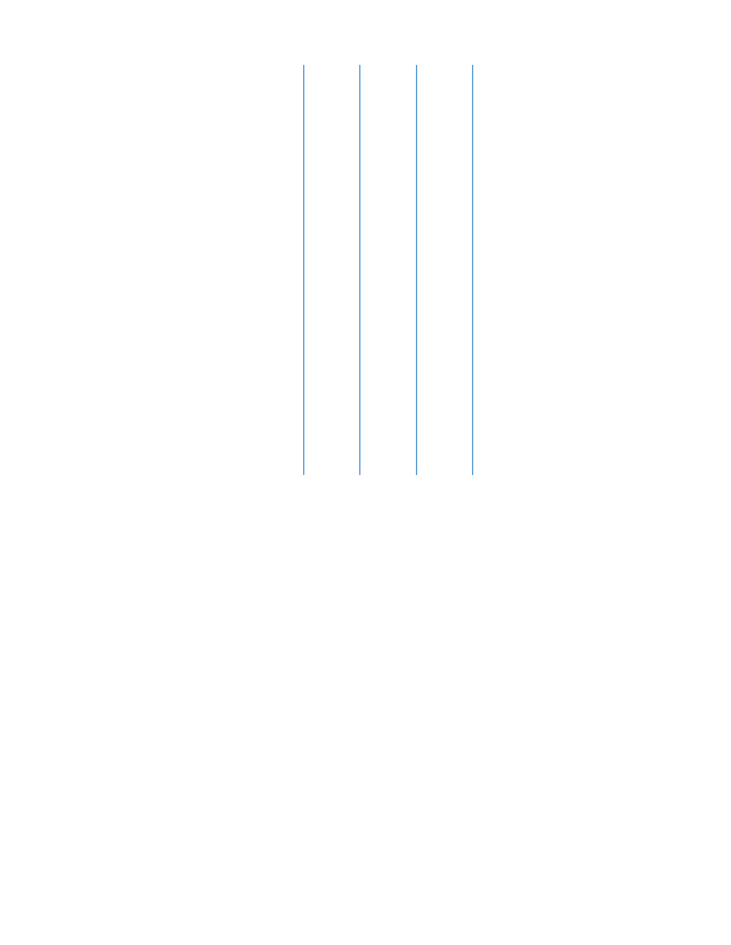

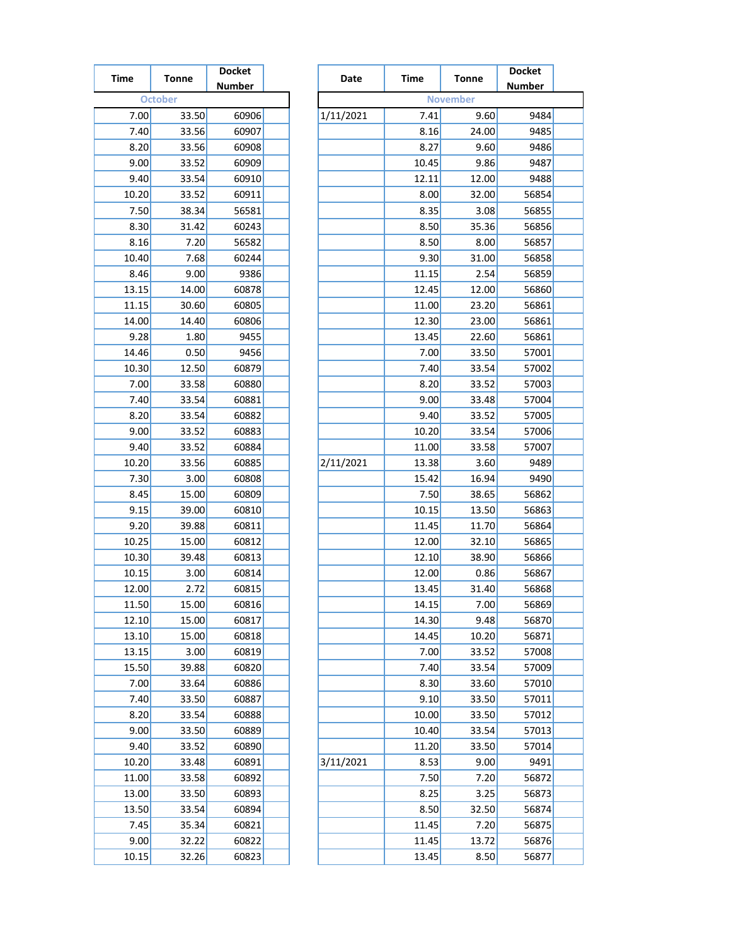| <b>Time</b> | Tonne          | <b>Docket</b><br><b>Number</b> |  |
|-------------|----------------|--------------------------------|--|
|             | <b>October</b> |                                |  |
| 7.00        | 33.50          | 60906                          |  |
| 7.40        | 33.56          | 60907                          |  |
| 8.20        | 33.56          | 60908                          |  |
| 9.00        | 33.52          | 60909                          |  |
| 9.40        | 33.54          | 60910                          |  |
| 10.20       | 33.52          | 60911                          |  |
| 7.50        | 38.34          | 56581                          |  |
| 8.30        | 31.42          | 60243                          |  |
| 8.16        | 7.20           | 56582                          |  |
| 10.40       | 7.68           | 60244                          |  |
| 8.46        | 9.00           | 9386                           |  |
| 13.15       | 14.00          | 60878                          |  |
| 11.15       | 30.60          | 60805                          |  |
| 14.00       | 14.40          | 60806                          |  |
| 9.28        | 1.80           | 9455                           |  |
| 14.46       | 0.50           | 9456                           |  |
| 10.30       | 12.50          | 60879                          |  |
| 7.00        | 33.58          | 60880                          |  |
| 7.40        | 33.54          | 60881                          |  |
| 8.20        | 33.54          | 60882                          |  |
| 9.00        | 33.52          | 60883                          |  |
| 9.40        | 33.52          | 60884                          |  |
| 10.20       | 33.56          | 60885                          |  |
| 7.30        | 3.00           | 60808                          |  |
| 8.45        | 15.00          | 60809                          |  |
| 9.15        | 39.00          | 60810                          |  |
| 9.20        | 39.88          | 60811                          |  |
| 10.25       | 15.00          | 60812                          |  |
| 10.30       | 39.48          | 60813                          |  |
| 10.15       | 3.00           | 60814                          |  |
| 12.00       | 2.72           | 60815                          |  |
| 11.50       | 15.00          | 60816                          |  |
| 12.10       | 15.00          | 60817                          |  |
| 13.10       | 15.00          | 60818                          |  |
| 13.15       | 3.00           | 60819                          |  |
| 15.50       | 39.88          | 60820                          |  |
| 7.00        | 33.64          | 60886                          |  |
| 7.40        | 33.50          | 60887                          |  |
| 8.20        | 33.54          | 60888                          |  |
| 9.00        | 33.50          | 60889                          |  |
| 9.40        | 33.52          | 60890                          |  |
| 10.20       | 33.48          | 60891                          |  |
| 11.00       | 33.58          | 60892                          |  |
| 13.00       | 33.50          | 60893                          |  |
| 13.50       | 33.54          | 60894                          |  |
| 7.45        | 35.34          | 60821                          |  |
| 9.00        |                | 60822                          |  |
|             | 32.22          | 60823                          |  |
| 10.15       | 32.26          |                                |  |

| ne           | Tonne          | <b>Docket</b><br>Number | Date      | Time           | <b>Tonne</b>    | <b>Docket</b><br><b>Number</b> |  |
|--------------|----------------|-------------------------|-----------|----------------|-----------------|--------------------------------|--|
|              | <b>October</b> |                         |           |                | <b>November</b> |                                |  |
| 7.00         | 33.50          | 60906                   | 1/11/2021 | 7.41           | 9.60            | 9484                           |  |
| 7.40         | 33.56          | 60907                   |           | 8.16           | 24.00           | 9485                           |  |
| 8.20         | 33.56          | 60908                   |           | 8.27           | 9.60            | 9486                           |  |
| 9.00         | 33.52          | 60909                   |           | 10.45          | 9.86            | 9487                           |  |
| 9.40         | 33.54          | 60910                   |           | 12.11          | 12.00           | 9488                           |  |
| 10.20        | 33.52          | 60911                   |           | 8.00           | 32.00           | 56854                          |  |
| 7.50         | 38.34          | 56581                   |           | 8.35           | 3.08            | 56855                          |  |
| 8.30         | 31.42          | 60243                   |           | 8.50           | 35.36           | 56856                          |  |
| 8.16         | 7.20           | 56582                   |           | 8.50           | 8.00            | 56857                          |  |
| 10.40        | 7.68           | 60244                   |           | 9.30           | 31.00           | 56858                          |  |
| 8.46         | 9.00           | 9386                    |           | 11.15          | 2.54            | 56859                          |  |
| 13.15        | 14.00          | 60878                   |           | 12.45          | 12.00           | 56860                          |  |
| 11.15        | 30.60          | 60805                   |           | 11.00          | 23.20           | 56861                          |  |
| 14.00        | 14.40          | 60806                   |           | 12.30          | 23.00           | 56861                          |  |
| 9.28         | 1.80           | 9455                    |           | 13.45          | 22.60           | 56861                          |  |
| 14.46        | 0.50           | 9456                    |           | 7.00           | 33.50           | 57001                          |  |
| 10.30        | 12.50          | 60879                   |           | 7.40           | 33.54           | 57002                          |  |
| 7.00         | 33.58          | 60880                   |           | 8.20           | 33.52           | 57003                          |  |
| 7.40         | 33.54          | 60881                   |           | 9.00           | 33.48           | 57004                          |  |
| 8.20         | 33.54          | 60882                   |           | 9.40           | 33.52           | 57005                          |  |
| 9.00         | 33.52          | 60883                   |           | 10.20          | 33.54           | 57006                          |  |
| 9.40         | 33.52          | 60884                   |           | 11.00          | 33.58           | 57007                          |  |
| 10.20        | 33.56          | 60885                   | 2/11/2021 | 13.38          | 3.60            | 9489                           |  |
| 7.30         | 3.00           | 60808                   |           | 15.42          | 16.94           | 9490                           |  |
| 8.45         | 15.00          | 60809                   |           | 7.50           | 38.65           | 56862                          |  |
| 9.15         | 39.00          | 60810                   |           | 10.15          | 13.50           | 56863                          |  |
| 9.20         | 39.88          | 60811                   |           | 11.45          | 11.70           | 56864                          |  |
| 10.25        | 15.00          | 60812                   |           | 12.00          | 32.10           | 56865                          |  |
| 10.30        | 39.48          | 60813                   |           | 12.10          | 38.90           | 56866                          |  |
| 10.15        | 3.00           | 60814                   |           | 12.00          | 0.86            | 56867                          |  |
| 12.00        | 2.72           | 60815                   |           | 13.45          | 31.40           | 56868                          |  |
| 11.50        | 15.00          | 60816                   |           | 14.15          | 7.00            | 56869                          |  |
| 12.10        | 15.00          | 60817                   |           | 14.30          | 9.48            | 56870                          |  |
| 13.10        | 15.00          | 60818                   |           | 14.45          | 10.20           | 56871                          |  |
| 13.15        | 3.00           | 60819                   |           | 7.00           | 33.52           | 57008                          |  |
| 15.50        | 39.88          | 60820                   |           | 7.40           | 33.54           | 57009                          |  |
| 7.00         | 33.64          | 60886                   |           | 8.30           | 33.60           | 57010                          |  |
| 7.40         | 33.50          | 60887                   |           | 9.10           | 33.50           | 57011                          |  |
|              |                | 60888                   |           |                |                 |                                |  |
| 8.20<br>9.00 | 33.54<br>33.50 | 60889                   |           | 10.00<br>10.40 | 33.50<br>33.54  | 57012<br>57013                 |  |
|              | 33.52          |                         |           | 11.20          |                 |                                |  |
| 9.40         |                | 60890                   |           |                | 33.50           | 57014                          |  |
| 10.20        | 33.48          | 60891                   | 3/11/2021 | 8.53           | 9.00            | 9491                           |  |
| 11.00        | 33.58          | 60892                   |           | 7.50           | 7.20            | 56872                          |  |
| 13.00        | 33.50          | 60893                   |           | 8.25           | 3.25            | 56873                          |  |
| 13.50        | 33.54          | 60894                   |           | 8.50           | 32.50           | 56874                          |  |
| 7.45         | 35.34          | 60821                   |           | 11.45          | 7.20            | 56875                          |  |
| 9.00         | 32.22          | 60822                   |           | 11.45          | 13.72           | 56876                          |  |
| 10.15        | 32.26          | 60823                   |           | 13.45          | 8.50            | 56877                          |  |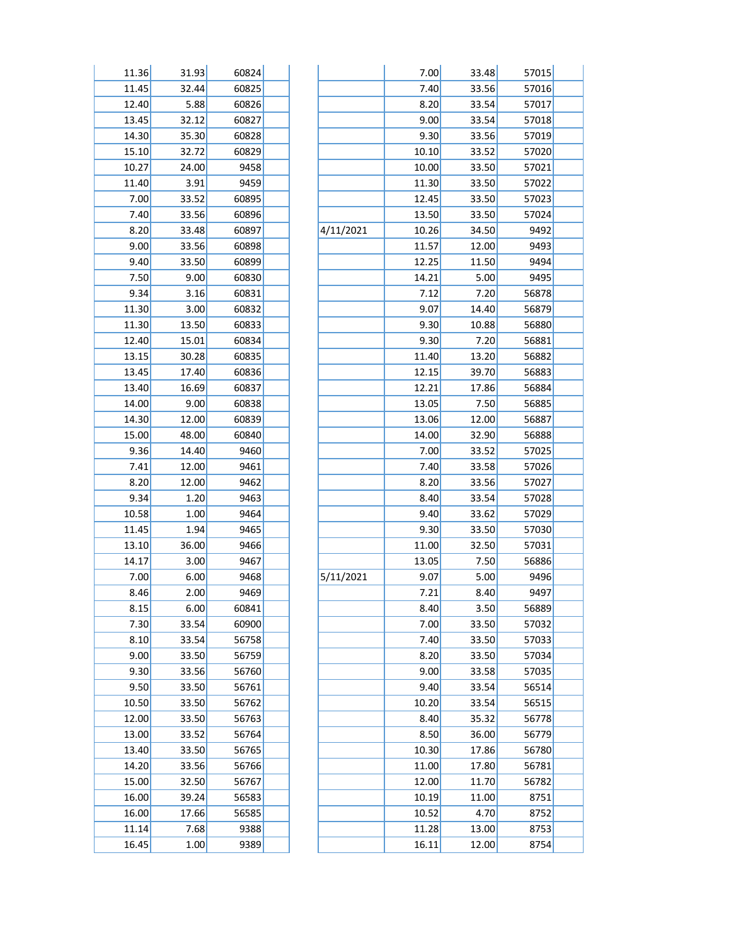| 11.36 | 31.93 | 60824 |  |
|-------|-------|-------|--|
| 11.45 | 32.44 | 60825 |  |
| 12.40 | 5.88  | 60826 |  |
| 13.45 | 32.12 | 60827 |  |
| 14.30 | 35.30 | 60828 |  |
| 15.10 | 32.72 | 60829 |  |
| 10.27 | 24.00 | 9458  |  |
| 11.40 | 3.91  | 9459  |  |
| 7.00  | 33.52 | 60895 |  |
| 7.40  | 33.56 | 60896 |  |
| 8.20  | 33.48 | 60897 |  |
| 9.00  | 33.56 | 60898 |  |
| 9.40  | 33.50 | 60899 |  |
| 7.50  | 9.00  | 60830 |  |
| 9.34  | 3.16  | 60831 |  |
| 11.30 | 3.00  | 60832 |  |
| 11.30 | 13.50 | 60833 |  |
| 12.40 | 15.01 | 60834 |  |
| 13.15 | 30.28 | 60835 |  |
| 13.45 | 17.40 | 60836 |  |
| 13.40 | 16.69 | 60837 |  |
| 14.00 | 9.00  | 60838 |  |
| 14.30 | 12.00 | 60839 |  |
| 15.00 | 48.00 | 60840 |  |
| 9.36  | 14.40 | 9460  |  |
| 7.41  | 12.00 | 9461  |  |
| 8.20  | 12.00 | 9462  |  |
| 9.34  | 1.20  | 9463  |  |
| 10.58 | 1.00  | 9464  |  |
| 11.45 | 1.94  | 9465  |  |
| 13.10 | 36.00 | 9466  |  |
| 14.17 | 3.00  | 9467  |  |
| 7.00  | 6.00  | 9468  |  |
| 8.46  | 2.00  | 9469  |  |
| 8.15  | 6.00  | 60841 |  |
| 7.30  | 33.54 | 60900 |  |
| 8.10  | 33.54 | 56758 |  |
| 9.00  | 33.50 | 56759 |  |
| 9.30  | 33.56 | 56760 |  |
| 9.50  | 33.50 | 56761 |  |
| 10.50 | 33.50 | 56762 |  |
| 12.00 | 33.50 | 56763 |  |
| 13.00 | 33.52 | 56764 |  |
| 13.40 | 33.50 | 56765 |  |
| 14.20 | 33.56 | 56766 |  |
| 15.00 | 32.50 | 56767 |  |
| 16.00 | 39.24 | 56583 |  |
| 16.00 | 17.66 | 56585 |  |
| 11.14 | 7.68  | 9388  |  |
| 16.45 | 1.00  | 9389  |  |

| 11.36 | 31.93 | 60824 |  |           | 7.00  | 33.48 | 57015 |  |
|-------|-------|-------|--|-----------|-------|-------|-------|--|
| 11.45 | 32.44 | 60825 |  |           | 7.40  | 33.56 | 57016 |  |
| 12.40 | 5.88  | 60826 |  |           | 8.20  | 33.54 | 57017 |  |
| 13.45 | 32.12 | 60827 |  |           | 9.00  | 33.54 | 57018 |  |
| 14.30 | 35.30 | 60828 |  |           | 9.30  | 33.56 | 57019 |  |
| 15.10 | 32.72 | 60829 |  |           | 10.10 | 33.52 | 57020 |  |
| 10.27 | 24.00 | 9458  |  |           | 10.00 | 33.50 | 57021 |  |
| 11.40 | 3.91  | 9459  |  |           | 11.30 | 33.50 | 57022 |  |
| 7.00  | 33.52 | 60895 |  |           | 12.45 | 33.50 | 57023 |  |
| 7.40  | 33.56 | 60896 |  |           | 13.50 | 33.50 | 57024 |  |
| 8.20  | 33.48 | 60897 |  | 4/11/2021 | 10.26 | 34.50 | 9492  |  |
| 9.00  | 33.56 | 60898 |  |           | 11.57 | 12.00 | 9493  |  |
| 9.40  | 33.50 | 60899 |  |           | 12.25 | 11.50 | 9494  |  |
| 7.50  | 9.00  | 60830 |  |           | 14.21 | 5.00  | 9495  |  |
| 9.34  | 3.16  | 60831 |  |           | 7.12  | 7.20  | 56878 |  |
| 11.30 | 3.00  | 60832 |  |           | 9.07  | 14.40 | 56879 |  |
| 11.30 | 13.50 | 60833 |  |           | 9.30  | 10.88 | 56880 |  |
| 12.40 | 15.01 | 60834 |  |           | 9.30  | 7.20  | 56881 |  |
| 13.15 | 30.28 | 60835 |  |           | 11.40 | 13.20 | 56882 |  |
| 13.45 | 17.40 | 60836 |  |           | 12.15 | 39.70 | 56883 |  |
| 13.40 | 16.69 | 60837 |  |           | 12.21 | 17.86 | 56884 |  |
| 14.00 | 9.00  | 60838 |  |           | 13.05 | 7.50  | 56885 |  |
| 14.30 | 12.00 | 60839 |  |           | 13.06 | 12.00 | 56887 |  |
| 15.00 | 48.00 | 60840 |  |           | 14.00 | 32.90 | 56888 |  |
| 9.36  | 14.40 | 9460  |  |           | 7.00  | 33.52 | 57025 |  |
| 7.41  | 12.00 | 9461  |  |           | 7.40  | 33.58 | 57026 |  |
| 8.20  | 12.00 | 9462  |  |           | 8.20  | 33.56 | 57027 |  |
| 9.34  | 1.20  | 9463  |  |           | 8.40  | 33.54 | 57028 |  |
| 10.58 | 1.00  | 9464  |  |           | 9.40  | 33.62 | 57029 |  |
| 11.45 | 1.94  | 9465  |  |           | 9.30  | 33.50 | 57030 |  |
| 13.10 | 36.00 | 9466  |  |           | 11.00 | 32.50 | 57031 |  |
| 14.17 | 3.00  | 9467  |  |           | 13.05 | 7.50  | 56886 |  |
| 7.00  | 6.00  | 9468  |  | 5/11/2021 | 9.07  | 5.00  | 9496  |  |
| 8.46  | 2.00  | 9469  |  |           | 7.21  | 8.40  | 9497  |  |
| 8.15  | 6.00  | 60841 |  |           | 8.40  | 3.50  | 56889 |  |
| 7.30  | 33.54 | 60900 |  |           | 7.00  | 33.50 | 57032 |  |
| 8.10  | 33.54 | 56758 |  |           | 7.40  | 33.50 | 57033 |  |
| 9.00  | 33.50 | 56759 |  |           | 8.20  | 33.50 | 57034 |  |
| 9.30  | 33.56 | 56760 |  |           | 9.00  | 33.58 | 57035 |  |
| 9.50  | 33.50 | 56761 |  |           | 9.40  | 33.54 | 56514 |  |
| 10.50 | 33.50 | 56762 |  |           | 10.20 | 33.54 | 56515 |  |
| 12.00 | 33.50 | 56763 |  |           | 8.40  | 35.32 | 56778 |  |
| 13.00 | 33.52 | 56764 |  |           | 8.50  | 36.00 | 56779 |  |
| 13.40 | 33.50 | 56765 |  |           | 10.30 | 17.86 | 56780 |  |
| 14.20 | 33.56 | 56766 |  |           | 11.00 | 17.80 | 56781 |  |
| 15.00 | 32.50 | 56767 |  |           | 12.00 | 11.70 | 56782 |  |
| 16.00 | 39.24 | 56583 |  |           | 10.19 | 11.00 | 8751  |  |
| 16.00 | 17.66 | 56585 |  |           | 10.52 | 4.70  | 8752  |  |
| 11.14 | 7.68  | 9388  |  |           | 11.28 | 13.00 | 8753  |  |
| 16.45 | 1.00  | 9389  |  |           | 16.11 | 12.00 | 8754  |  |
|       |       |       |  |           |       |       |       |  |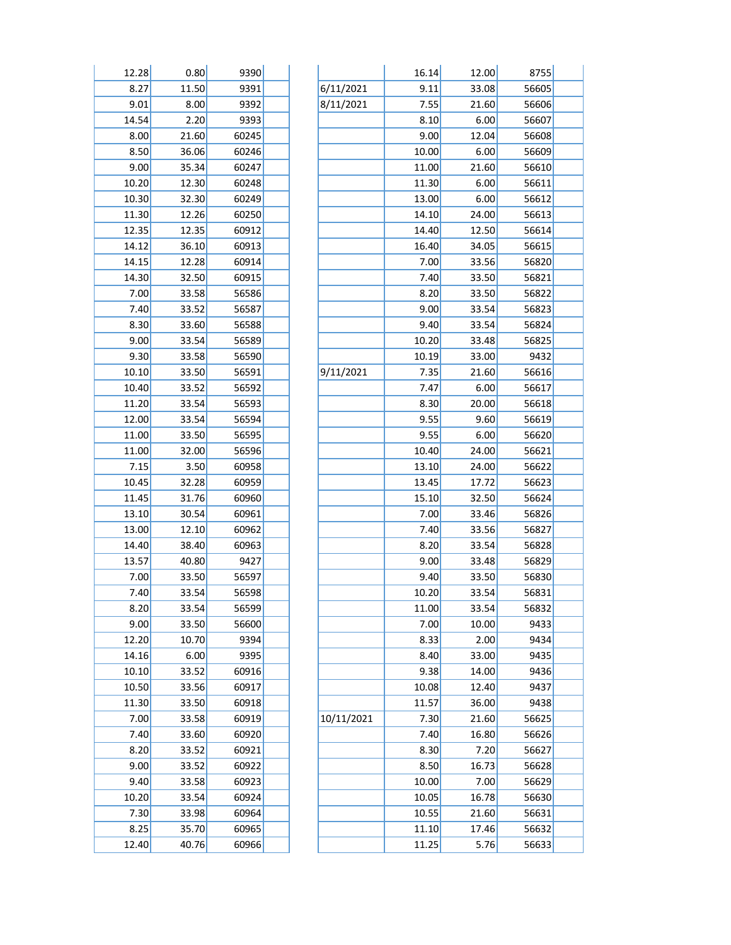| 12.28 | 0.80  | 9390  |  |
|-------|-------|-------|--|
| 8.27  | 11.50 | 9391  |  |
| 9.01  | 8.00  | 9392  |  |
| 14.54 | 2.20  | 9393  |  |
| 8.00  | 21.60 | 60245 |  |
| 8.50  | 36.06 | 60246 |  |
| 9.00  | 35.34 | 60247 |  |
| 10.20 | 12.30 | 60248 |  |
| 10.30 | 32.30 | 60249 |  |
| 11.30 | 12.26 | 60250 |  |
| 12.35 | 12.35 | 60912 |  |
| 14.12 | 36.10 | 60913 |  |
| 14.15 | 12.28 | 60914 |  |
| 14.30 | 32.50 | 60915 |  |
| 7.00  | 33.58 | 56586 |  |
| 7.40  | 33.52 | 56587 |  |
| 8.30  | 33.60 | 56588 |  |
| 9.00  | 33.54 | 56589 |  |
| 9.30  | 33.58 | 56590 |  |
| 10.10 | 33.50 | 56591 |  |
| 10.40 | 33.52 | 56592 |  |
| 11.20 | 33.54 | 56593 |  |
| 12.00 | 33.54 | 56594 |  |
| 11.00 | 33.50 | 56595 |  |
| 11.00 | 32.00 | 56596 |  |
| 7.15  | 3.50  | 60958 |  |
| 10.45 | 32.28 | 60959 |  |
| 11.45 | 31.76 | 60960 |  |
| 13.10 | 30.54 | 60961 |  |
| 13.00 | 12.10 | 60962 |  |
| 14.40 | 38.40 | 60963 |  |
| 13.57 | 40.80 | 9427  |  |
| 7.00  | 33.50 | 56597 |  |
| 7.40  | 33.54 | 56598 |  |
| 8.20  | 33.54 | 56599 |  |
| 9.00  | 33.50 | 56600 |  |
| 12.20 | 10.70 | 9394  |  |
| 14.16 | 6.00  | 9395  |  |
| 10.10 | 33.52 | 60916 |  |
| 10.50 | 33.56 | 60917 |  |
| 11.30 | 33.50 | 60918 |  |
| 7.00  | 33.58 | 60919 |  |
| 7.40  | 33.60 | 60920 |  |
| 8.20  | 33.52 | 60921 |  |
| 9.00  | 33.52 | 60922 |  |
| 9.40  | 33.58 | 60923 |  |
| 10.20 | 33.54 | 60924 |  |
| 7.30  | 33.98 | 60964 |  |
| 8.25  | 35.70 | 60965 |  |
| 12.40 | 40.76 | 60966 |  |
|       |       |       |  |

| 12.28 | 0.80  | 9390  |  |            | 16.14 | 12.00 | 8755  |  |
|-------|-------|-------|--|------------|-------|-------|-------|--|
| 8.27  | 11.50 | 9391  |  | 6/11/2021  | 9.11  | 33.08 | 56605 |  |
| 9.01  | 8.00  | 9392  |  | 8/11/2021  | 7.55  | 21.60 | 56606 |  |
| 14.54 | 2.20  | 9393  |  |            | 8.10  | 6.00  | 56607 |  |
| 8.00  | 21.60 | 60245 |  |            | 9.00  | 12.04 | 56608 |  |
| 8.50  | 36.06 | 60246 |  |            | 10.00 | 6.00  | 56609 |  |
| 9.00  | 35.34 | 60247 |  |            | 11.00 | 21.60 | 56610 |  |
| 10.20 | 12.30 | 60248 |  |            | 11.30 | 6.00  | 56611 |  |
| 10.30 | 32.30 | 60249 |  |            | 13.00 | 6.00  | 56612 |  |
| 11.30 | 12.26 | 60250 |  |            | 14.10 | 24.00 | 56613 |  |
| 12.35 | 12.35 | 60912 |  |            | 14.40 | 12.50 | 56614 |  |
| 14.12 | 36.10 | 60913 |  |            | 16.40 | 34.05 | 56615 |  |
| 14.15 | 12.28 | 60914 |  |            | 7.00  | 33.56 | 56820 |  |
| 14.30 | 32.50 | 60915 |  |            | 7.40  | 33.50 | 56821 |  |
| 7.00  | 33.58 | 56586 |  |            | 8.20  | 33.50 | 56822 |  |
| 7.40  | 33.52 | 56587 |  |            | 9.00  | 33.54 | 56823 |  |
| 8.30  | 33.60 | 56588 |  |            | 9.40  | 33.54 | 56824 |  |
| 9.00  | 33.54 | 56589 |  |            | 10.20 | 33.48 | 56825 |  |
| 9.30  | 33.58 | 56590 |  |            | 10.19 | 33.00 | 9432  |  |
| 10.10 | 33.50 | 56591 |  | 9/11/2021  | 7.35  | 21.60 | 56616 |  |
| 10.40 | 33.52 | 56592 |  |            | 7.47  | 6.00  | 56617 |  |
| 11.20 | 33.54 | 56593 |  |            | 8.30  | 20.00 | 56618 |  |
| 12.00 | 33.54 | 56594 |  |            | 9.55  | 9.60  | 56619 |  |
| 11.00 | 33.50 | 56595 |  |            | 9.55  | 6.00  | 56620 |  |
| 11.00 | 32.00 | 56596 |  |            | 10.40 | 24.00 | 56621 |  |
| 7.15  | 3.50  | 60958 |  |            | 13.10 | 24.00 | 56622 |  |
| 10.45 | 32.28 | 60959 |  |            | 13.45 | 17.72 | 56623 |  |
| 11.45 | 31.76 | 60960 |  |            | 15.10 | 32.50 | 56624 |  |
| 13.10 | 30.54 | 60961 |  |            | 7.00  | 33.46 | 56826 |  |
| 13.00 | 12.10 | 60962 |  |            | 7.40  | 33.56 | 56827 |  |
| 14.40 | 38.40 | 60963 |  |            | 8.20  | 33.54 | 56828 |  |
| 13.57 | 40.80 | 9427  |  |            | 9.00  | 33.48 | 56829 |  |
| 7.00  | 33.50 | 56597 |  |            | 9.40  | 33.50 | 56830 |  |
| 7.40  | 33.54 | 56598 |  |            | 10.20 | 33.54 | 56831 |  |
| 8.20  | 33.54 | 56599 |  |            | 11.00 | 33.54 | 56832 |  |
| 9.00  | 33.50 | 56600 |  |            | 7.00  | 10.00 | 9433  |  |
| 12.20 | 10.70 | 9394  |  |            | 8.33  | 2.00  | 9434  |  |
| 14.16 | 6.00  | 9395  |  |            | 8.40  | 33.00 | 9435  |  |
| 10.10 | 33.52 | 60916 |  |            | 9.38  | 14.00 | 9436  |  |
| 10.50 | 33.56 | 60917 |  |            | 10.08 | 12.40 | 9437  |  |
| 11.30 | 33.50 | 60918 |  |            | 11.57 | 36.00 | 9438  |  |
| 7.00  | 33.58 | 60919 |  | 10/11/2021 | 7.30  | 21.60 | 56625 |  |
| 7.40  | 33.60 | 60920 |  |            | 7.40  | 16.80 | 56626 |  |
| 8.20  | 33.52 | 60921 |  |            | 8.30  | 7.20  | 56627 |  |
| 9.00  | 33.52 | 60922 |  |            | 8.50  | 16.73 | 56628 |  |
| 9.40  | 33.58 | 60923 |  |            | 10.00 | 7.00  | 56629 |  |
| 10.20 | 33.54 | 60924 |  |            | 10.05 | 16.78 | 56630 |  |
| 7.30  | 33.98 | 60964 |  |            | 10.55 | 21.60 | 56631 |  |
| 8.25  | 35.70 | 60965 |  |            | 11.10 | 17.46 | 56632 |  |
| 12.40 | 40.76 | 60966 |  |            | 11.25 | 5.76  | 56633 |  |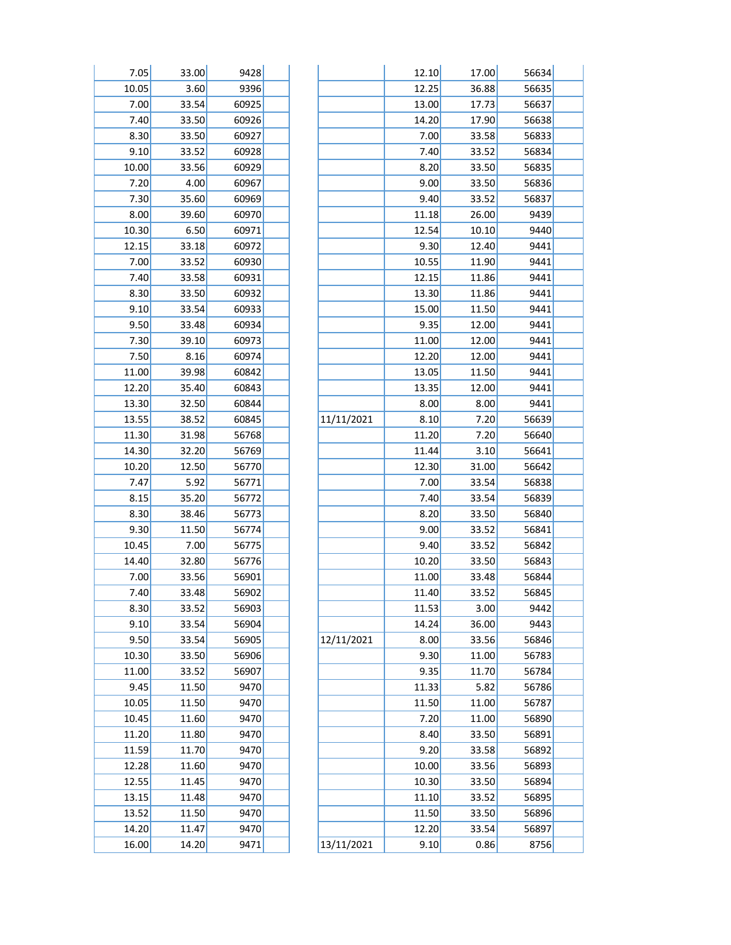| 7.05  | 33.00          | 9428  |  |
|-------|----------------|-------|--|
| 10.05 | 3.60           | 9396  |  |
| 7.00  | 33.54          | 60925 |  |
| 7.40  | 33.50          | 60926 |  |
| 8.30  | 33.50          | 60927 |  |
| 9.10  | 33.52          | 60928 |  |
| 10.00 | 33.56          | 60929 |  |
| 7.20  | 4.00           | 60967 |  |
| 7.30  | 35.60          | 60969 |  |
| 8.00  | 39.60          | 60970 |  |
| 10.30 | 6.50           | 60971 |  |
| 12.15 | 33.18          | 60972 |  |
| 7.00  | 33.52          | 60930 |  |
| 7.40  | 33.58          | 60931 |  |
| 8.30  | 33.50          | 60932 |  |
| 9.10  | 33.54          | 60933 |  |
| 9.50  | 33.48          | 60934 |  |
| 7.30  | 39.10          | 60973 |  |
| 7.50  | 8.16           | 60974 |  |
| 11.00 | 39.98          | 60842 |  |
| 12.20 | 35.40          | 60843 |  |
| 13.30 | 32.50          | 60844 |  |
| 13.55 | 38.52          | 60845 |  |
| 11.30 | 31.98          | 56768 |  |
| 14.30 | 32.20          | 56769 |  |
| 10.20 | 12.50          | 56770 |  |
| 7.47  | 5.92           |       |  |
| 8.15  | 35.20          | 56771 |  |
| 8.30  |                | 56772 |  |
| 9.30  | 38.46<br>11.50 | 56773 |  |
|       |                | 56774 |  |
| 10.45 | 7.00           | 56775 |  |
| 14.40 | 32.80          | 56776 |  |
| 7.00  | 33.56          | 56901 |  |
| 7.40  | 33.48          | 56902 |  |
| 8.30  | 33.52          | 56903 |  |
| 9.10  | 33.54          | 56904 |  |
| 9.50  | 33.54          | 56905 |  |
| 10.30 | 33.50          | 56906 |  |
| 11.00 | 33.52          | 56907 |  |
| 9.45  | 11.50          | 9470  |  |
| 10.05 | 11.50          | 9470  |  |
| 10.45 | 11.60          | 9470  |  |
| 11.20 | 11.80          | 9470  |  |
| 11.59 | 11.70          | 9470  |  |
| 12.28 | 11.60          | 9470  |  |
| 12.55 | 11.45          | 9470  |  |
| 13.15 | 11.48          | 9470  |  |
| 13.52 | 11.50          | 9470  |  |
| 14.20 | 11.47          | 9470  |  |
| 16.00 | 14.20          | 9471  |  |

| 7.05  | 33.00 | 9428  |  |            | 12.10 | 17.00 | 56634 |  |
|-------|-------|-------|--|------------|-------|-------|-------|--|
| 10.05 | 3.60  | 9396  |  |            | 12.25 | 36.88 | 56635 |  |
| 7.00  | 33.54 | 60925 |  |            | 13.00 | 17.73 | 56637 |  |
| 7.40  | 33.50 | 60926 |  |            | 14.20 | 17.90 | 56638 |  |
| 8.30  | 33.50 | 60927 |  |            | 7.00  | 33.58 | 56833 |  |
| 9.10  | 33.52 | 60928 |  |            | 7.40  | 33.52 | 56834 |  |
| 10.00 | 33.56 | 60929 |  |            | 8.20  | 33.50 | 56835 |  |
| 7.20  | 4.00  | 60967 |  |            | 9.00  | 33.50 | 56836 |  |
| 7.30  | 35.60 | 60969 |  |            | 9.40  | 33.52 | 56837 |  |
| 8.00  | 39.60 | 60970 |  |            | 11.18 | 26.00 | 9439  |  |
| 10.30 | 6.50  | 60971 |  |            | 12.54 | 10.10 | 9440  |  |
| 12.15 | 33.18 | 60972 |  |            | 9.30  | 12.40 | 9441  |  |
| 7.00  | 33.52 | 60930 |  |            | 10.55 | 11.90 | 9441  |  |
| 7.40  | 33.58 | 60931 |  |            | 12.15 | 11.86 | 9441  |  |
| 8.30  | 33.50 | 60932 |  |            | 13.30 | 11.86 | 9441  |  |
| 9.10  | 33.54 | 60933 |  |            | 15.00 | 11.50 | 9441  |  |
| 9.50  | 33.48 | 60934 |  |            | 9.35  | 12.00 | 9441  |  |
| 7.30  | 39.10 | 60973 |  |            | 11.00 | 12.00 | 9441  |  |
| 7.50  | 8.16  | 60974 |  |            | 12.20 | 12.00 | 9441  |  |
| 11.00 | 39.98 | 60842 |  |            | 13.05 | 11.50 | 9441  |  |
| 12.20 | 35.40 | 60843 |  |            | 13.35 | 12.00 | 9441  |  |
| 13.30 | 32.50 | 60844 |  |            | 8.00  | 8.00  | 9441  |  |
| 13.55 | 38.52 | 60845 |  | 11/11/2021 | 8.10  | 7.20  | 56639 |  |
| 11.30 | 31.98 | 56768 |  |            | 11.20 | 7.20  | 56640 |  |
| 14.30 | 32.20 | 56769 |  |            | 11.44 | 3.10  | 56641 |  |
| 10.20 | 12.50 | 56770 |  |            | 12.30 | 31.00 | 56642 |  |
| 7.47  | 5.92  | 56771 |  |            | 7.00  | 33.54 | 56838 |  |
| 8.15  | 35.20 | 56772 |  |            | 7.40  | 33.54 | 56839 |  |
| 8.30  | 38.46 | 56773 |  |            | 8.20  | 33.50 | 56840 |  |
| 9.30  | 11.50 | 56774 |  |            | 9.00  | 33.52 | 56841 |  |
| 10.45 | 7.00  | 56775 |  |            | 9.40  | 33.52 | 56842 |  |
| 14.40 | 32.80 | 56776 |  |            | 10.20 | 33.50 | 56843 |  |
| 7.00  | 33.56 | 56901 |  |            | 11.00 | 33.48 | 56844 |  |
| 7.40  | 33.48 | 56902 |  |            | 11.40 | 33.52 | 56845 |  |
| 8.30  | 33.52 | 56903 |  |            | 11.53 | 3.00  | 9442  |  |
| 9.10  | 33.54 | 56904 |  |            | 14.24 | 36.00 | 9443  |  |
| 9.50  | 33.54 | 56905 |  | 12/11/2021 | 8.00  | 33.56 | 56846 |  |
| 10.30 | 33.50 | 56906 |  |            | 9.30  | 11.00 | 56783 |  |
| 11.00 | 33.52 | 56907 |  |            | 9.35  | 11.70 | 56784 |  |
| 9.45  | 11.50 | 9470  |  |            | 11.33 | 5.82  | 56786 |  |
| 10.05 | 11.50 | 9470  |  |            | 11.50 | 11.00 | 56787 |  |
| 10.45 | 11.60 | 9470  |  |            | 7.20  | 11.00 | 56890 |  |
| 11.20 | 11.80 | 9470  |  |            | 8.40  | 33.50 | 56891 |  |
| 11.59 | 11.70 | 9470  |  |            | 9.20  | 33.58 | 56892 |  |
| 12.28 | 11.60 | 9470  |  |            | 10.00 | 33.56 | 56893 |  |
| 12.55 | 11.45 | 9470  |  |            | 10.30 | 33.50 | 56894 |  |
| 13.15 | 11.48 | 9470  |  |            | 11.10 | 33.52 | 56895 |  |
| 13.52 | 11.50 | 9470  |  |            | 11.50 | 33.50 | 56896 |  |
| 14.20 | 11.47 | 9470  |  |            | 12.20 | 33.54 | 56897 |  |
| 16.00 | 14.20 | 9471  |  | 13/11/2021 | 9.10  | 0.86  | 8756  |  |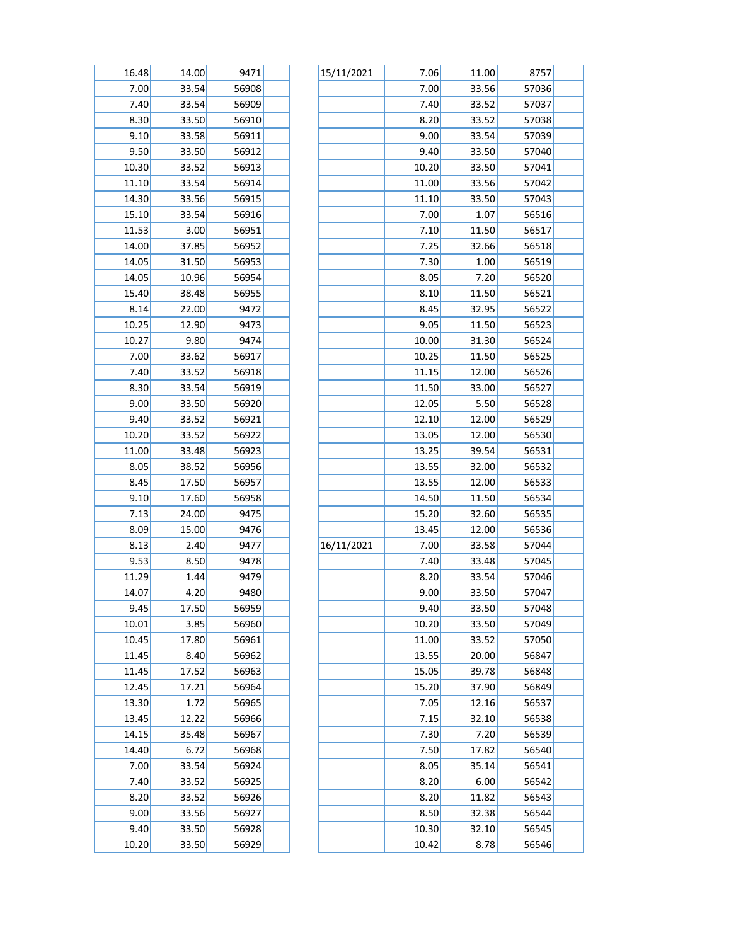| 16.48 | 14.00 | 9471  |  |
|-------|-------|-------|--|
| 7.00  | 33.54 | 56908 |  |
| 7.40  | 33.54 | 56909 |  |
| 8.30  | 33.50 | 56910 |  |
| 9.10  | 33.58 | 56911 |  |
| 9.50  | 33.50 | 56912 |  |
| 10.30 | 33.52 | 56913 |  |
| 11.10 | 33.54 | 56914 |  |
| 14.30 | 33.56 | 56915 |  |
| 15.10 | 33.54 | 56916 |  |
| 11.53 | 3.00  | 56951 |  |
| 14.00 | 37.85 | 56952 |  |
| 14.05 | 31.50 | 56953 |  |
| 14.05 | 10.96 | 56954 |  |
| 15.40 | 38.48 | 56955 |  |
| 8.14  | 22.00 | 9472  |  |
| 10.25 | 12.90 | 9473  |  |
| 10.27 | 9.80  | 9474  |  |
| 7.00  | 33.62 | 56917 |  |
| 7.40  | 33.52 | 56918 |  |
| 8.30  | 33.54 | 56919 |  |
| 9.00  | 33.50 | 56920 |  |
| 9.40  | 33.52 | 56921 |  |
| 10.20 | 33.52 | 56922 |  |
| 11.00 | 33.48 | 56923 |  |
| 8.05  | 38.52 | 56956 |  |
|       |       |       |  |
| 8.45  | 17.50 | 56957 |  |
| 9.10  | 17.60 | 56958 |  |
| 7.13  | 24.00 | 9475  |  |
| 8.09  | 15.00 | 9476  |  |
| 8.13  | 2.40  | 9477  |  |
| 9.53  | 8.50  | 9478  |  |
| 11.29 | 1.44  | 9479  |  |
| 14.07 | 4.20  | 9480  |  |
| 9.45  | 17.50 | 56959 |  |
| 10.01 | 3.85  | 56960 |  |
| 10.45 | 17.80 | 56961 |  |
| 11.45 | 8.40  | 56962 |  |
| 11.45 | 17.52 | 56963 |  |
| 12.45 | 17.21 | 56964 |  |
| 13.30 | 1.72  | 56965 |  |
| 13.45 | 12.22 | 56966 |  |
| 14.15 | 35.48 | 56967 |  |
| 14.40 | 6.72  | 56968 |  |
| 7.00  | 33.54 | 56924 |  |
| 7.40  | 33.52 | 56925 |  |
| 8.20  | 33.52 | 56926 |  |
| 9.00  | 33.56 | 56927 |  |
| 9.40  | 33.50 | 56928 |  |
| 10.20 | 33.50 | 56929 |  |
|       |       |       |  |

| 16.48 | 14.00 | 9471  |  | 15/11/2021 | 7.06  | 11.00 | 8757  |  |
|-------|-------|-------|--|------------|-------|-------|-------|--|
| 7.00  | 33.54 | 56908 |  |            | 7.00  | 33.56 | 57036 |  |
| 7.40  | 33.54 | 56909 |  |            | 7.40  | 33.52 | 57037 |  |
| 8.30  | 33.50 | 56910 |  |            | 8.20  | 33.52 | 57038 |  |
| 9.10  | 33.58 | 56911 |  |            | 9.00  | 33.54 | 57039 |  |
| 9.50  | 33.50 | 56912 |  |            | 9.40  | 33.50 | 57040 |  |
| 10.30 | 33.52 | 56913 |  |            | 10.20 | 33.50 | 57041 |  |
| 11.10 | 33.54 | 56914 |  |            | 11.00 | 33.56 | 57042 |  |
| 14.30 | 33.56 | 56915 |  |            | 11.10 | 33.50 | 57043 |  |
| 15.10 | 33.54 | 56916 |  |            | 7.00  | 1.07  | 56516 |  |
| 11.53 | 3.00  | 56951 |  |            | 7.10  | 11.50 | 56517 |  |
| 14.00 | 37.85 | 56952 |  |            | 7.25  | 32.66 | 56518 |  |
| 14.05 | 31.50 | 56953 |  |            | 7.30  | 1.00  | 56519 |  |
| 14.05 | 10.96 | 56954 |  |            | 8.05  | 7.20  | 56520 |  |
| 15.40 | 38.48 | 56955 |  |            | 8.10  | 11.50 | 56521 |  |
| 8.14  | 22.00 | 9472  |  |            | 8.45  | 32.95 | 56522 |  |
| 10.25 | 12.90 | 9473  |  |            | 9.05  | 11.50 | 56523 |  |
| 10.27 | 9.80  | 9474  |  |            | 10.00 | 31.30 | 56524 |  |
| 7.00  | 33.62 | 56917 |  |            | 10.25 | 11.50 | 56525 |  |
| 7.40  | 33.52 | 56918 |  |            | 11.15 | 12.00 | 56526 |  |
| 8.30  | 33.54 | 56919 |  |            | 11.50 | 33.00 | 56527 |  |
| 9.00  | 33.50 | 56920 |  |            | 12.05 | 5.50  | 56528 |  |
| 9.40  | 33.52 | 56921 |  |            | 12.10 | 12.00 | 56529 |  |
| 10.20 | 33.52 | 56922 |  |            | 13.05 | 12.00 | 56530 |  |
| 11.00 | 33.48 | 56923 |  |            | 13.25 | 39.54 | 56531 |  |
| 8.05  | 38.52 | 56956 |  |            | 13.55 | 32.00 | 56532 |  |
| 8.45  | 17.50 | 56957 |  |            | 13.55 | 12.00 | 56533 |  |
| 9.10  | 17.60 | 56958 |  |            | 14.50 | 11.50 | 56534 |  |
| 7.13  | 24.00 | 9475  |  |            | 15.20 | 32.60 | 56535 |  |
| 8.09  | 15.00 | 9476  |  |            | 13.45 | 12.00 | 56536 |  |
| 8.13  | 2.40  | 9477  |  | 16/11/2021 | 7.00  | 33.58 | 57044 |  |
| 9.53  | 8.50  | 9478  |  |            | 7.40  | 33.48 | 57045 |  |
| 11.29 | 1.44  | 9479  |  |            | 8.20  | 33.54 | 57046 |  |
| 14.07 | 4.20  | 9480  |  |            | 9.00  | 33.50 | 57047 |  |
| 9.45  | 17.50 | 56959 |  |            | 9.40  | 33.50 | 57048 |  |
| 10.01 | 3.85  | 56960 |  |            | 10.20 | 33.50 | 57049 |  |
| 10.45 | 17.80 | 56961 |  |            | 11.00 | 33.52 | 57050 |  |
| 11.45 | 8.40  | 56962 |  |            | 13.55 | 20.00 | 56847 |  |
| 11.45 | 17.52 | 56963 |  |            | 15.05 | 39.78 | 56848 |  |
| 12.45 | 17.21 | 56964 |  |            | 15.20 | 37.90 | 56849 |  |
| 13.30 | 1.72  | 56965 |  |            | 7.05  | 12.16 | 56537 |  |
| 13.45 | 12.22 | 56966 |  |            | 7.15  | 32.10 | 56538 |  |
| 14.15 | 35.48 | 56967 |  |            | 7.30  | 7.20  | 56539 |  |
| 14.40 | 6.72  | 56968 |  |            | 7.50  | 17.82 | 56540 |  |
| 7.00  | 33.54 | 56924 |  |            | 8.05  | 35.14 | 56541 |  |
| 7.40  | 33.52 | 56925 |  |            | 8.20  | 6.00  | 56542 |  |
| 8.20  | 33.52 | 56926 |  |            | 8.20  | 11.82 | 56543 |  |
| 9.00  | 33.56 | 56927 |  |            | 8.50  | 32.38 | 56544 |  |
| 9.40  | 33.50 | 56928 |  |            | 10.30 | 32.10 | 56545 |  |
| 10.20 | 33.50 | 56929 |  |            | 10.42 | 8.78  | 56546 |  |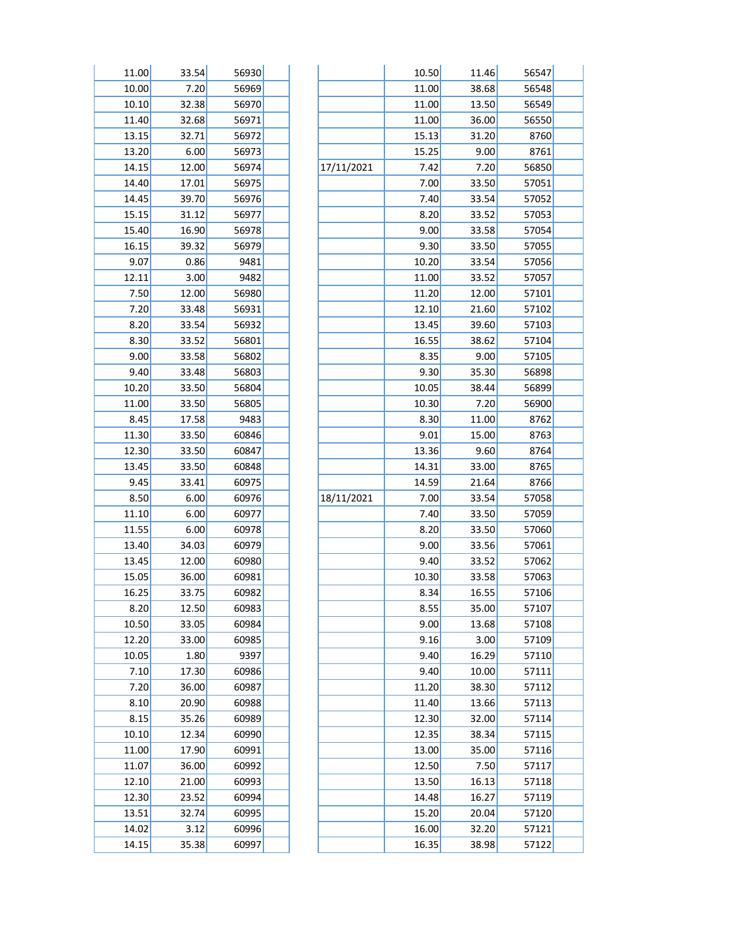| 11.00 | 33.54 | 56930 |  |
|-------|-------|-------|--|
| 10.00 | 7.20  | 56969 |  |
| 10.10 | 32.38 | 56970 |  |
| 11.40 | 32.68 | 56971 |  |
| 13.15 | 32.71 | 56972 |  |
| 13.20 | 6.00  | 56973 |  |
| 14.15 | 12.00 | 56974 |  |
| 14.40 | 17.01 | 56975 |  |
| 14.45 | 39.70 | 56976 |  |
| 15.15 | 31.12 | 56977 |  |
| 15.40 | 16.90 | 56978 |  |
| 16.15 | 39.32 | 56979 |  |
| 9.07  | 0.86  | 9481  |  |
| 12.11 | 3.00  | 9482  |  |
| 7.50  | 12.00 | 56980 |  |
| 7.20  | 33.48 | 56931 |  |
| 8.20  | 33.54 | 56932 |  |
| 8.30  | 33.52 | 56801 |  |
| 9.00  | 33.58 | 56802 |  |
| 9.40  | 33.48 | 56803 |  |
| 10.20 | 33.50 | 56804 |  |
| 11.00 | 33.50 | 56805 |  |
| 8.45  | 17.58 | 9483  |  |
| 11.30 | 33.50 | 60846 |  |
| 12.30 | 33.50 | 60847 |  |
| 13.45 | 33.50 | 60848 |  |
| 9.45  | 33.41 | 60975 |  |
| 8.50  | 6.00  | 60976 |  |
| 11.10 | 6.00  | 60977 |  |
| 11.55 | 6.00  | 60978 |  |
| 13.40 | 34.03 | 60979 |  |
| 13.45 | 12.00 | 60980 |  |
| 15.05 | 36.00 | 60981 |  |
| 16.25 | 33.75 | 60982 |  |
| 8.20  | 12.50 | 60983 |  |
| 10.50 | 33.05 | 60984 |  |
| 12.20 | 33.00 | 60985 |  |
| 10.05 | 1.80  | 9397  |  |
| 7.10  | 17.30 | 60986 |  |
| 7.20  | 36.00 | 60987 |  |
| 8.10  | 20.90 | 60988 |  |
| 8.15  | 35.26 | 60989 |  |
| 10.10 | 12.34 | 60990 |  |
| 11.00 | 17.90 | 60991 |  |
| 11.07 | 36.00 | 60992 |  |
| 12.10 | 21.00 | 60993 |  |
| 12.30 | 23.52 | 60994 |  |
| 13.51 | 32.74 | 60995 |  |
| 14.02 | 3.12  | 60996 |  |
| 14.15 | 35.38 | 60997 |  |
|       |       |       |  |

| 11.00 | 33.54 | 56930 |  |            | 10.50 | 11.46 | 56547 |  |
|-------|-------|-------|--|------------|-------|-------|-------|--|
| 10.00 | 7.20  | 56969 |  |            | 11.00 | 38.68 | 56548 |  |
| 10.10 | 32.38 | 56970 |  |            | 11.00 | 13.50 | 56549 |  |
| 11.40 | 32.68 | 56971 |  |            | 11.00 | 36.00 | 56550 |  |
| 13.15 | 32.71 | 56972 |  |            | 15.13 | 31.20 | 8760  |  |
| 13.20 | 6.00  | 56973 |  |            | 15.25 | 9.00  | 8761  |  |
| 14.15 | 12.00 | 56974 |  | 17/11/2021 | 7.42  | 7.20  | 56850 |  |
| 14.40 | 17.01 | 56975 |  |            | 7.00  | 33.50 | 57051 |  |
| 14.45 | 39.70 | 56976 |  |            | 7.40  | 33.54 | 57052 |  |
| 15.15 | 31.12 | 56977 |  |            | 8.20  | 33.52 | 57053 |  |
| 15.40 | 16.90 | 56978 |  |            | 9.00  | 33.58 | 57054 |  |
| 16.15 | 39.32 | 56979 |  |            | 9.30  | 33.50 | 57055 |  |
| 9.07  | 0.86  | 9481  |  |            | 10.20 | 33.54 | 57056 |  |
| 12.11 | 3.00  | 9482  |  |            | 11.00 | 33.52 | 57057 |  |
| 7.50  | 12.00 | 56980 |  |            | 11.20 | 12.00 | 57101 |  |
| 7.20  | 33.48 | 56931 |  |            | 12.10 | 21.60 | 57102 |  |
| 8.20  | 33.54 | 56932 |  |            | 13.45 | 39.60 | 57103 |  |
| 8.30  | 33.52 | 56801 |  |            | 16.55 | 38.62 | 57104 |  |
| 9.00  | 33.58 | 56802 |  |            | 8.35  | 9.00  | 57105 |  |
| 9.40  | 33.48 | 56803 |  |            | 9.30  | 35.30 | 56898 |  |
| 10.20 | 33.50 | 56804 |  |            | 10.05 | 38.44 | 56899 |  |
| 11.00 | 33.50 | 56805 |  |            | 10.30 | 7.20  | 56900 |  |
| 8.45  | 17.58 | 9483  |  |            | 8.30  | 11.00 | 8762  |  |
| 11.30 | 33.50 | 60846 |  |            | 9.01  | 15.00 | 8763  |  |
| 12.30 | 33.50 | 60847 |  |            | 13.36 | 9.60  | 8764  |  |
| 13.45 | 33.50 | 60848 |  |            | 14.31 | 33.00 | 8765  |  |
| 9.45  | 33.41 | 60975 |  |            | 14.59 | 21.64 | 8766  |  |
| 8.50  | 6.00  | 60976 |  | 18/11/2021 | 7.00  | 33.54 | 57058 |  |
| 11.10 | 6.00  | 60977 |  |            | 7.40  | 33.50 | 57059 |  |
| 11.55 | 6.00  | 60978 |  |            | 8.20  | 33.50 | 57060 |  |
| 13.40 | 34.03 | 60979 |  |            | 9.00  | 33.56 | 57061 |  |
| 13.45 | 12.00 | 60980 |  |            | 9.40  | 33.52 | 57062 |  |
| 15.05 | 36.00 | 60981 |  |            | 10.30 | 33.58 | 57063 |  |
| 16.25 | 33.75 | 60982 |  |            | 8.34  | 16.55 | 57106 |  |
| 8.20  | 12.50 | 60983 |  |            | 8.55  | 35.00 | 57107 |  |
| 10.50 | 33.05 | 60984 |  |            | 9.00  | 13.68 | 57108 |  |
| 12.20 | 33.00 | 60985 |  |            | 9.16  | 3.00  | 57109 |  |
| 10.05 | 1.80  | 9397  |  |            | 9.40  | 16.29 | 57110 |  |
| 7.10  | 17.30 | 60986 |  |            | 9.40  | 10.00 | 57111 |  |
| 7.20  | 36.00 | 60987 |  |            | 11.20 | 38.30 | 57112 |  |
| 8.10  | 20.90 | 60988 |  |            | 11.40 | 13.66 | 57113 |  |
| 8.15  | 35.26 | 60989 |  |            | 12.30 | 32.00 | 57114 |  |
| 10.10 | 12.34 | 60990 |  |            | 12.35 | 38.34 | 57115 |  |
| 11.00 | 17.90 | 60991 |  |            | 13.00 | 35.00 | 57116 |  |
| 11.07 | 36.00 | 60992 |  |            | 12.50 | 7.50  | 57117 |  |
| 12.10 | 21.00 | 60993 |  |            | 13.50 | 16.13 | 57118 |  |
| 12.30 | 23.52 | 60994 |  |            | 14.48 | 16.27 | 57119 |  |
| 13.51 | 32.74 | 60995 |  |            | 15.20 | 20.04 | 57120 |  |
| 14.02 | 3.12  | 60996 |  |            | 16.00 | 32.20 | 57121 |  |
| 14.15 | 35.38 | 60997 |  |            | 16.35 | 38.98 | 57122 |  |
|       |       |       |  |            |       |       |       |  |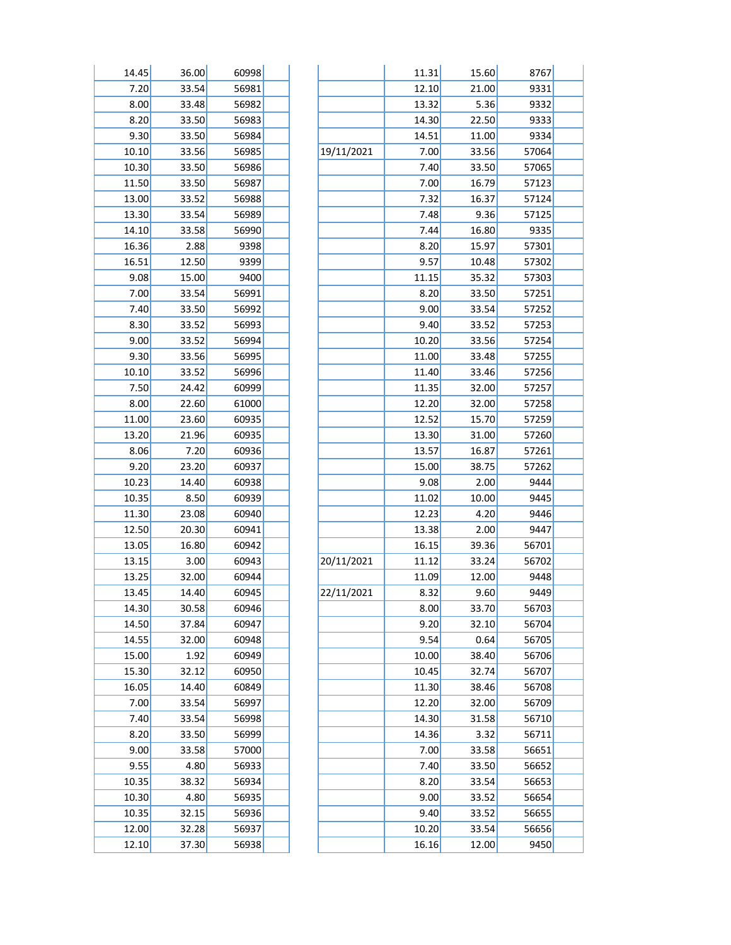| 14.45 | 36.00 | 60998 |  |            | 11.31 | 15.60 | 8767  |
|-------|-------|-------|--|------------|-------|-------|-------|
| 7.20  | 33.54 | 56981 |  |            | 12.10 | 21.00 | 9331  |
| 8.00  | 33.48 | 56982 |  |            | 13.32 | 5.36  | 9332  |
| 8.20  | 33.50 | 56983 |  |            | 14.30 | 22.50 | 9333  |
| 9.30  | 33.50 | 56984 |  |            | 14.51 | 11.00 | 9334  |
| 10.10 | 33.56 | 56985 |  | 19/11/2021 | 7.00  | 33.56 | 57064 |
| 10.30 | 33.50 | 56986 |  |            | 7.40  | 33.50 | 57065 |
| 11.50 | 33.50 | 56987 |  |            | 7.00  | 16.79 | 57123 |
| 13.00 | 33.52 | 56988 |  |            | 7.32  | 16.37 | 57124 |
| 13.30 | 33.54 | 56989 |  |            | 7.48  | 9.36  | 57125 |
| 14.10 | 33.58 | 56990 |  |            | 7.44  | 16.80 | 9335  |
| 16.36 | 2.88  | 9398  |  |            | 8.20  | 15.97 | 57301 |
| 16.51 | 12.50 | 9399  |  |            | 9.57  | 10.48 | 57302 |
| 9.08  | 15.00 | 9400  |  |            | 11.15 | 35.32 | 57303 |
| 7.00  | 33.54 | 56991 |  |            | 8.20  | 33.50 | 57251 |
| 7.40  | 33.50 | 56992 |  |            | 9.00  | 33.54 | 57252 |
| 8.30  | 33.52 | 56993 |  |            | 9.40  | 33.52 | 57253 |
| 9.00  | 33.52 | 56994 |  |            | 10.20 | 33.56 | 57254 |
| 9.30  | 33.56 | 56995 |  |            | 11.00 | 33.48 | 57255 |
| 10.10 | 33.52 | 56996 |  |            | 11.40 | 33.46 | 57256 |
| 7.50  | 24.42 | 60999 |  |            | 11.35 | 32.00 | 57257 |
| 8.00  | 22.60 | 61000 |  |            | 12.20 | 32.00 | 57258 |
| 11.00 | 23.60 | 60935 |  |            | 12.52 | 15.70 | 57259 |
| 13.20 | 21.96 | 60935 |  |            | 13.30 | 31.00 | 57260 |
| 8.06  | 7.20  | 60936 |  |            | 13.57 | 16.87 | 57261 |
| 9.20  | 23.20 | 60937 |  |            | 15.00 | 38.75 | 57262 |
| 10.23 | 14.40 | 60938 |  |            | 9.08  | 2.00  | 9444  |
| 10.35 | 8.50  | 60939 |  |            | 11.02 | 10.00 | 9445  |
| 11.30 | 23.08 | 60940 |  |            | 12.23 | 4.20  | 9446  |
| 12.50 | 20.30 | 60941 |  |            | 13.38 | 2.00  | 9447  |
| 13.05 | 16.80 | 60942 |  |            | 16.15 | 39.36 | 56701 |
| 13.15 | 3.00  | 60943 |  | 20/11/2021 | 11.12 | 33.24 | 56702 |
| 13.25 | 32.00 | 60944 |  |            | 11.09 | 12.00 | 9448  |
| 13.45 | 14.40 | 60945 |  | 22/11/2021 | 8.32  | 9.60  | 9449  |
| 14.30 | 30.58 | 60946 |  |            | 8.00  | 33.70 | 56703 |
| 14.50 | 37.84 | 60947 |  |            | 9.20  | 32.10 | 56704 |
| 14.55 | 32.00 | 60948 |  |            | 9.54  | 0.64  | 56705 |
| 15.00 | 1.92  | 60949 |  |            | 10.00 | 38.40 | 56706 |
| 15.30 | 32.12 | 60950 |  |            | 10.45 | 32.74 | 56707 |
| 16.05 | 14.40 | 60849 |  |            | 11.30 | 38.46 | 56708 |
| 7.00  | 33.54 | 56997 |  |            | 12.20 | 32.00 | 56709 |
| 7.40  | 33.54 | 56998 |  |            | 14.30 | 31.58 | 56710 |
| 8.20  | 33.50 | 56999 |  |            | 14.36 | 3.32  | 56711 |
| 9.00  | 33.58 | 57000 |  |            | 7.00  | 33.58 | 56651 |
| 9.55  | 4.80  | 56933 |  |            | 7.40  | 33.50 | 56652 |
| 10.35 | 38.32 | 56934 |  |            | 8.20  | 33.54 | 56653 |
| 10.30 | 4.80  | 56935 |  |            | 9.00  | 33.52 | 56654 |
| 10.35 | 32.15 | 56936 |  |            | 9.40  | 33.52 | 56655 |
| 12.00 | 32.28 | 56937 |  |            | 10.20 | 33.54 | 56656 |
| 12.10 | 37.30 | 56938 |  |            | 16.16 | 12.00 | 9450  |
|       |       |       |  |            |       |       |       |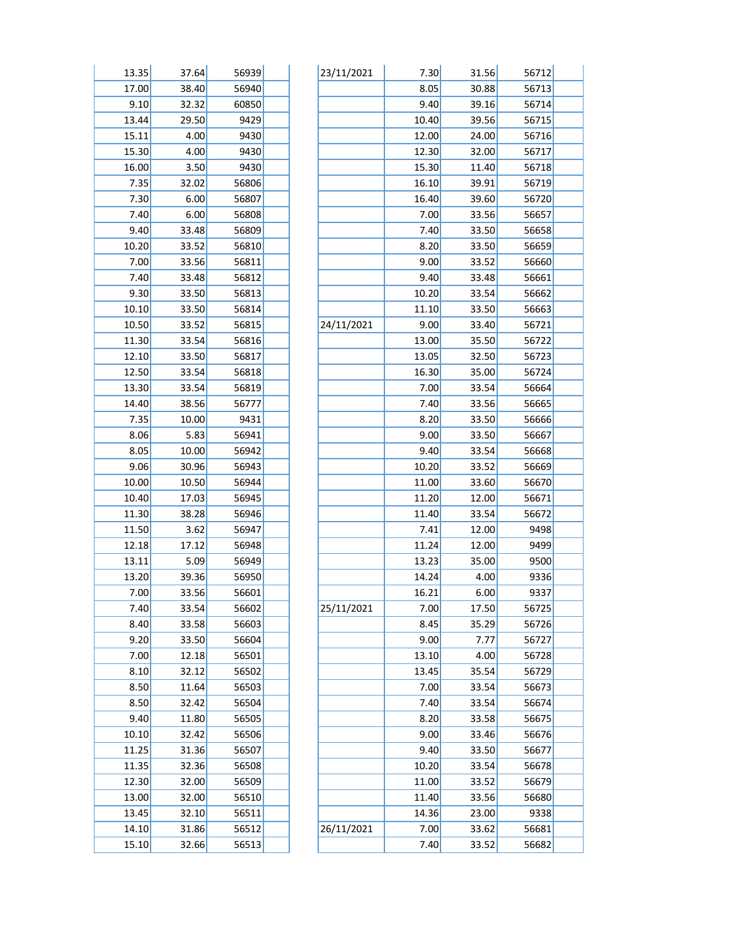| 13.35 | 37.64 | 56939 |  |
|-------|-------|-------|--|
| 17.00 | 38.40 | 56940 |  |
| 9.10  | 32.32 | 60850 |  |
| 13.44 | 29.50 | 9429  |  |
| 15.11 | 4.00  | 9430  |  |
| 15.30 | 4.00  | 9430  |  |
| 16.00 | 3.50  | 9430  |  |
| 7.35  | 32.02 | 56806 |  |
| 7.30  | 6.00  | 56807 |  |
| 7.40  | 6.00  | 56808 |  |
| 9.40  | 33.48 | 56809 |  |
| 10.20 | 33.52 | 56810 |  |
| 7.00  | 33.56 | 56811 |  |
| 7.40  | 33.48 | 56812 |  |
| 9.30  | 33.50 | 56813 |  |
| 10.10 | 33.50 | 56814 |  |
| 10.50 | 33.52 | 56815 |  |
| 11.30 | 33.54 | 56816 |  |
| 12.10 | 33.50 | 56817 |  |
| 12.50 | 33.54 | 56818 |  |
| 13.30 | 33.54 | 56819 |  |
| 14.40 | 38.56 | 56777 |  |
| 7.35  | 10.00 | 9431  |  |
| 8.06  | 5.83  | 56941 |  |
| 8.05  | 10.00 | 56942 |  |
| 9.06  | 30.96 | 56943 |  |
| 10.00 | 10.50 | 56944 |  |
| 10.40 | 17.03 | 56945 |  |
| 11.30 | 38.28 | 56946 |  |
| 11.50 | 3.62  | 56947 |  |
| 12.18 | 17.12 | 56948 |  |
| 13.11 | 5.09  | 56949 |  |
| 13.20 | 39.36 | 56950 |  |
| 7.00  | 33.56 | 56601 |  |
| 7.40  | 33.54 | 56602 |  |
| 8.40  | 33.58 | 56603 |  |
| 9.20  | 33.50 | 56604 |  |
| 7.00  | 12.18 | 56501 |  |
| 8.10  | 32.12 | 56502 |  |
| 8.50  | 11.64 | 56503 |  |
| 8.50  | 32.42 | 56504 |  |
| 9.40  | 11.80 | 56505 |  |
| 10.10 | 32.42 | 56506 |  |
| 11.25 | 31.36 | 56507 |  |
| 11.35 | 32.36 | 56508 |  |
| 12.30 | 32.00 | 56509 |  |
| 13.00 | 32.00 | 56510 |  |
| 13.45 | 32.10 | 56511 |  |
| 14.10 | 31.86 | 56512 |  |
|       |       |       |  |
| 15.10 | 32.66 | 56513 |  |

| 13.35 | 37.64 | 56939 |  | 23/11/2021 | 7.30  | 31.56 | 56712 |  |
|-------|-------|-------|--|------------|-------|-------|-------|--|
| 17.00 | 38.40 | 56940 |  |            | 8.05  | 30.88 | 56713 |  |
| 9.10  | 32.32 | 60850 |  |            | 9.40  | 39.16 | 56714 |  |
| 13.44 | 29.50 | 9429  |  |            | 10.40 | 39.56 | 56715 |  |
| 15.11 | 4.00  | 9430  |  |            | 12.00 | 24.00 | 56716 |  |
| 15.30 | 4.00  | 9430  |  |            | 12.30 | 32.00 | 56717 |  |
| 16.00 | 3.50  | 9430  |  |            | 15.30 | 11.40 | 56718 |  |
| 7.35  | 32.02 | 56806 |  |            | 16.10 | 39.91 | 56719 |  |
| 7.30  | 6.00  | 56807 |  |            | 16.40 | 39.60 | 56720 |  |
| 7.40  | 6.00  | 56808 |  |            | 7.00  | 33.56 | 56657 |  |
| 9.40  | 33.48 | 56809 |  |            | 7.40  | 33.50 | 56658 |  |
| 10.20 | 33.52 | 56810 |  |            | 8.20  | 33.50 | 56659 |  |
| 7.00  | 33.56 | 56811 |  |            | 9.00  | 33.52 | 56660 |  |
| 7.40  | 33.48 | 56812 |  |            | 9.40  | 33.48 | 56661 |  |
| 9.30  | 33.50 | 56813 |  |            | 10.20 | 33.54 | 56662 |  |
| 10.10 | 33.50 | 56814 |  |            | 11.10 | 33.50 | 56663 |  |
| 10.50 | 33.52 | 56815 |  | 24/11/2021 | 9.00  | 33.40 | 56721 |  |
| 11.30 | 33.54 | 56816 |  |            | 13.00 | 35.50 | 56722 |  |
| 12.10 | 33.50 | 56817 |  |            | 13.05 | 32.50 | 56723 |  |
| 12.50 | 33.54 | 56818 |  |            | 16.30 | 35.00 | 56724 |  |
| 13.30 | 33.54 | 56819 |  |            | 7.00  | 33.54 | 56664 |  |
| 14.40 | 38.56 | 56777 |  |            | 7.40  | 33.56 | 56665 |  |
| 7.35  | 10.00 | 9431  |  |            | 8.20  | 33.50 | 56666 |  |
| 8.06  | 5.83  | 56941 |  |            | 9.00  | 33.50 | 56667 |  |
| 8.05  | 10.00 | 56942 |  |            | 9.40  | 33.54 | 56668 |  |
| 9.06  | 30.96 | 56943 |  |            | 10.20 | 33.52 | 56669 |  |
| 10.00 | 10.50 | 56944 |  |            | 11.00 | 33.60 | 56670 |  |
| 10.40 | 17.03 | 56945 |  |            | 11.20 | 12.00 | 56671 |  |
| 11.30 | 38.28 | 56946 |  |            | 11.40 | 33.54 | 56672 |  |
| 11.50 | 3.62  | 56947 |  |            | 7.41  | 12.00 | 9498  |  |
| 12.18 | 17.12 | 56948 |  |            | 11.24 | 12.00 | 9499  |  |
| 13.11 | 5.09  | 56949 |  |            | 13.23 | 35.00 | 9500  |  |
| 13.20 | 39.36 | 56950 |  |            | 14.24 | 4.00  | 9336  |  |
| 7.00  | 33.56 | 56601 |  |            | 16.21 | 6.00  | 9337  |  |
| 7.40  | 33.54 | 56602 |  | 25/11/2021 | 7.00  | 17.50 | 56725 |  |
| 8.40  | 33.58 | 56603 |  |            | 8.45  | 35.29 | 56726 |  |
| 9.20  | 33.50 | 56604 |  |            | 9.00  | 7.77  | 56727 |  |
| 7.00  | 12.18 | 56501 |  |            | 13.10 | 4.00  | 56728 |  |
| 8.10  | 32.12 | 56502 |  |            | 13.45 | 35.54 | 56729 |  |
| 8.50  | 11.64 | 56503 |  |            | 7.00  | 33.54 | 56673 |  |
| 8.50  | 32.42 | 56504 |  |            | 7.40  | 33.54 | 56674 |  |
| 9.40  | 11.80 | 56505 |  |            | 8.20  | 33.58 | 56675 |  |
| 10.10 | 32.42 | 56506 |  |            | 9.00  | 33.46 | 56676 |  |
| 11.25 | 31.36 | 56507 |  |            | 9.40  | 33.50 | 56677 |  |
| 11.35 | 32.36 | 56508 |  |            | 10.20 | 33.54 | 56678 |  |
| 12.30 | 32.00 | 56509 |  |            | 11.00 | 33.52 | 56679 |  |
| 13.00 | 32.00 | 56510 |  |            | 11.40 | 33.56 | 56680 |  |
| 13.45 | 32.10 | 56511 |  |            | 14.36 | 23.00 | 9338  |  |
| 14.10 | 31.86 | 56512 |  | 26/11/2021 | 7.00  | 33.62 | 56681 |  |
| 15.10 | 32.66 | 56513 |  |            | 7.40  | 33.52 | 56682 |  |
|       |       |       |  |            |       |       |       |  |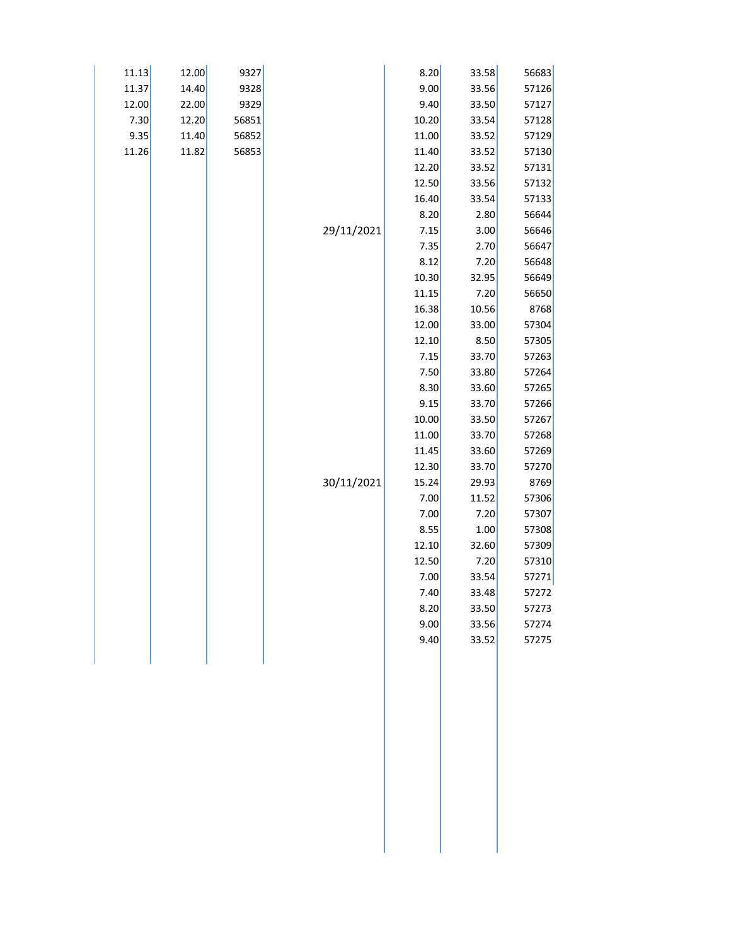| 11.13 | 12.00 | 9327  |            | 8.20  | 33.58 | 56683 |  |
|-------|-------|-------|------------|-------|-------|-------|--|
| 11.37 | 14.40 | 9328  |            | 9.00  | 33.56 | 57126 |  |
| 12.00 | 22.00 | 9329  |            | 9.40  | 33.50 | 57127 |  |
| 7.30  | 12.20 | 56851 |            | 10.20 | 33.54 | 57128 |  |
| 9.35  | 11.40 | 56852 |            | 11.00 | 33.52 | 57129 |  |
| 11.26 | 11.82 | 56853 |            | 11.40 | 33.52 | 57130 |  |
|       |       |       |            | 12.20 | 33.52 | 57131 |  |
|       |       |       |            | 12.50 | 33.56 | 57132 |  |
|       |       |       |            | 16.40 | 33.54 | 57133 |  |
|       |       |       |            | 8.20  | 2.80  | 56644 |  |
|       |       |       | 29/11/2021 | 7.15  | 3.00  | 56646 |  |
|       |       |       |            | 7.35  | 2.70  | 56647 |  |
|       |       |       |            | 8.12  | 7.20  | 56648 |  |
|       |       |       |            | 10.30 | 32.95 | 56649 |  |
|       |       |       |            | 11.15 | 7.20  | 56650 |  |
|       |       |       |            | 16.38 | 10.56 | 8768  |  |
|       |       |       |            | 12.00 | 33.00 | 57304 |  |
|       |       |       |            | 12.10 | 8.50  | 57305 |  |
|       |       |       |            | 7.15  | 33.70 | 57263 |  |
|       |       |       |            | 7.50  | 33.80 | 57264 |  |
|       |       |       |            | 8.30  | 33.60 | 57265 |  |
|       |       |       |            | 9.15  | 33.70 | 57266 |  |
|       |       |       |            | 10.00 | 33.50 | 57267 |  |
|       |       |       |            | 11.00 | 33.70 | 57268 |  |
|       |       |       |            | 11.45 | 33.60 | 57269 |  |
|       |       |       |            | 12.30 | 33.70 | 57270 |  |
|       |       |       | 30/11/2021 | 15.24 | 29.93 | 8769  |  |
|       |       |       |            | 7.00  | 11.52 | 57306 |  |
|       |       |       |            | 7.00  | 7.20  | 57307 |  |
|       |       |       |            | 8.55  | 1.00  | 57308 |  |
|       |       |       |            | 12.10 | 32.60 | 57309 |  |
|       |       |       |            | 12.50 | 7.20  | 57310 |  |
|       |       |       |            | 7.00  | 33.54 | 57271 |  |
|       |       |       |            | 7.40  | 33.48 | 57272 |  |
|       |       |       |            | 8.20  | 33.50 | 57273 |  |
|       |       |       |            | 9.00  | 33.56 | 57274 |  |
|       |       |       |            | 9.40  | 33.52 | 57275 |  |
|       |       |       |            |       |       |       |  |
|       |       |       |            |       |       |       |  |
|       |       |       |            |       |       |       |  |
|       |       |       |            |       |       |       |  |
|       |       |       |            |       |       |       |  |
|       |       |       |            |       |       |       |  |
|       |       |       |            |       |       |       |  |
|       |       |       |            |       |       |       |  |
|       |       |       |            |       |       |       |  |
|       |       |       |            |       |       |       |  |
|       |       |       |            |       |       |       |  |
|       |       |       |            |       |       |       |  |
|       |       |       |            |       |       |       |  |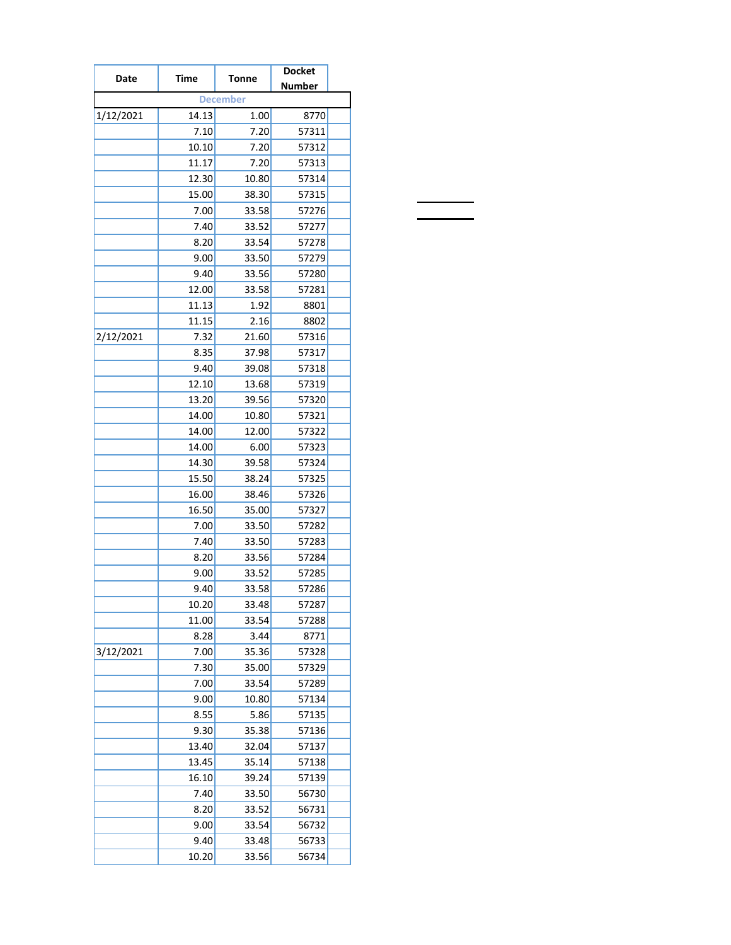| Date      | <b>Time</b> | <b>Tonne</b>    | <b>Docket</b> |
|-----------|-------------|-----------------|---------------|
|           |             |                 | <b>Number</b> |
|           |             | <b>December</b> |               |
| 1/12/2021 | 14.13       | 1.00            | 8770          |
|           | 7.10        | 7.20            | 57311         |
|           | 10.10       | 7.20            | 57312         |
|           | 11.17       | 7.20            | 57313         |
|           | 12.30       | 10.80           | 57314         |
|           | 15.00       | 38.30           | 57315         |
|           | 7.00        | 33.58           | 57276         |
|           | 7.40        | 33.52           | 57277         |
|           | 8.20        | 33.54           | 57278         |
|           | 9.00        | 33.50           | 57279         |
|           | 9.40        | 33.56           | 57280         |
|           | 12.00       | 33.58           | 57281         |
|           | 11.13       | 1.92            | 8801          |
|           | 11.15       | 2.16            | 8802          |
| 2/12/2021 | 7.32        | 21.60           | 57316         |
|           | 8.35        | 37.98           | 57317         |
|           | 9.40        | 39.08           | 57318         |
|           | 12.10       | 13.68           | 57319         |
|           | 13.20       | 39.56           | 57320         |
|           | 14.00       | 10.80           | 57321         |
|           | 14.00       | 12.00           | 57322         |
|           | 14.00       | 6.00            | 57323         |
|           | 14.30       | 39.58           | 57324         |
|           | 15.50       | 38.24           | 57325         |
|           | 16.00       | 38.46           | 57326         |
|           | 16.50       | 35.00           | 57327         |
|           | 7.00        | 33.50           | 57282         |
|           | 7.40        | 33.50           | 57283         |
|           | 8.20        | 33.56           | 57284         |
|           | 9.00        | 33.52           | 57285         |
|           | 9.40        | 33.58           | 57286         |
|           | 10.20       | 33.48           | 57287         |
|           | 11.00       | 33.54           | 57288         |
|           | 8.28        | 3.44            | 8771          |
| 3/12/2021 | 7.00        | 35.36           | 57328         |
|           | 7.30        | 35.00           | 57329         |
|           |             |                 |               |
|           | 7.00        | 33.54           | 57289         |
|           | 9.00        | 10.80           | 57134         |
|           | 8.55        | 5.86            | 57135         |
|           | 9.30        | 35.38           | 57136         |
|           | 13.40       | 32.04           | 57137         |
|           | 13.45       | 35.14           | 57138         |
|           | 16.10       | 39.24           | 57139         |
|           | 7.40        | 33.50           | 56730         |
|           | 8.20        | 33.52           | 56731         |
|           | 9.00        | 33.54           | 56732         |
|           | 9.40        | 33.48           | 56733         |
|           | 10.20       | 33.56           | 56734         |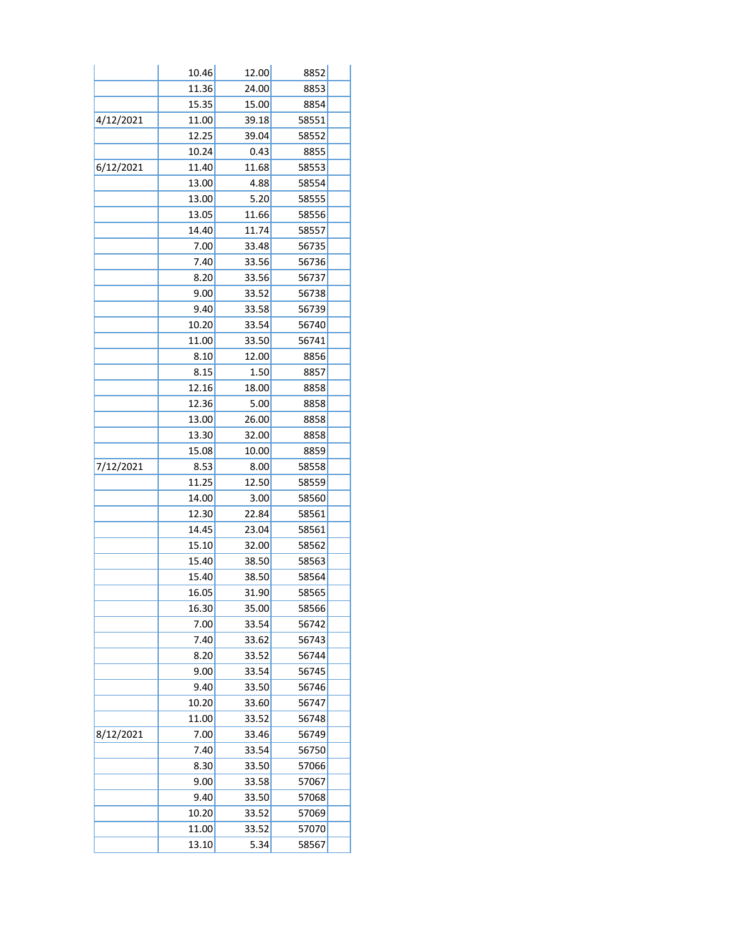|           | 10.46 | 12.00 | 8852  |  |
|-----------|-------|-------|-------|--|
|           | 11.36 | 24.00 | 8853  |  |
|           | 15.35 | 15.00 | 8854  |  |
| 4/12/2021 | 11.00 | 39.18 | 58551 |  |
|           | 12.25 | 39.04 | 58552 |  |
|           | 10.24 | 0.43  | 8855  |  |
| 6/12/2021 | 11.40 | 11.68 | 58553 |  |
|           | 13.00 | 4.88  | 58554 |  |
|           | 13.00 | 5.20  | 58555 |  |
|           | 13.05 | 11.66 | 58556 |  |
|           | 14.40 | 11.74 | 58557 |  |
|           | 7.00  | 33.48 | 56735 |  |
|           | 7.40  | 33.56 | 56736 |  |
|           | 8.20  | 33.56 | 56737 |  |
|           | 9.00  | 33.52 | 56738 |  |
|           | 9.40  | 33.58 | 56739 |  |
|           | 10.20 | 33.54 | 56740 |  |
|           | 11.00 | 33.50 | 56741 |  |
|           | 8.10  | 12.00 | 8856  |  |
|           | 8.15  | 1.50  | 8857  |  |
|           | 12.16 | 18.00 | 8858  |  |
|           | 12.36 | 5.00  | 8858  |  |
|           | 13.00 | 26.00 | 8858  |  |
|           | 13.30 | 32.00 | 8858  |  |
|           | 15.08 | 10.00 | 8859  |  |
| 7/12/2021 | 8.53  | 8.00  | 58558 |  |
|           | 11.25 | 12.50 | 58559 |  |
|           | 14.00 | 3.00  | 58560 |  |
|           | 12.30 | 22.84 | 58561 |  |
|           |       |       |       |  |
|           | 14.45 | 23.04 | 58561 |  |
|           | 15.10 | 32.00 | 58562 |  |
|           | 15.40 | 38.50 | 58563 |  |
|           | 15.40 | 38.50 | 58564 |  |
|           | 16.05 | 31.90 | 58565 |  |
|           | 16.30 | 35.00 | 58566 |  |
|           | 7.00  | 33.54 | 56742 |  |
|           | 7.40  | 33.62 | 56743 |  |
|           | 8.20  | 33.52 | 56744 |  |
|           | 9.00  | 33.54 | 56745 |  |
|           | 9.40  | 33.50 | 56746 |  |
|           | 10.20 | 33.60 | 56747 |  |
|           | 11.00 | 33.52 | 56748 |  |
| 8/12/2021 | 7.00  | 33.46 | 56749 |  |
|           | 7.40  | 33.54 | 56750 |  |
|           | 8.30  | 33.50 | 57066 |  |
|           | 9.00  | 33.58 | 57067 |  |
|           | 9.40  | 33.50 | 57068 |  |
|           | 10.20 | 33.52 | 57069 |  |
|           | 11.00 | 33.52 | 57070 |  |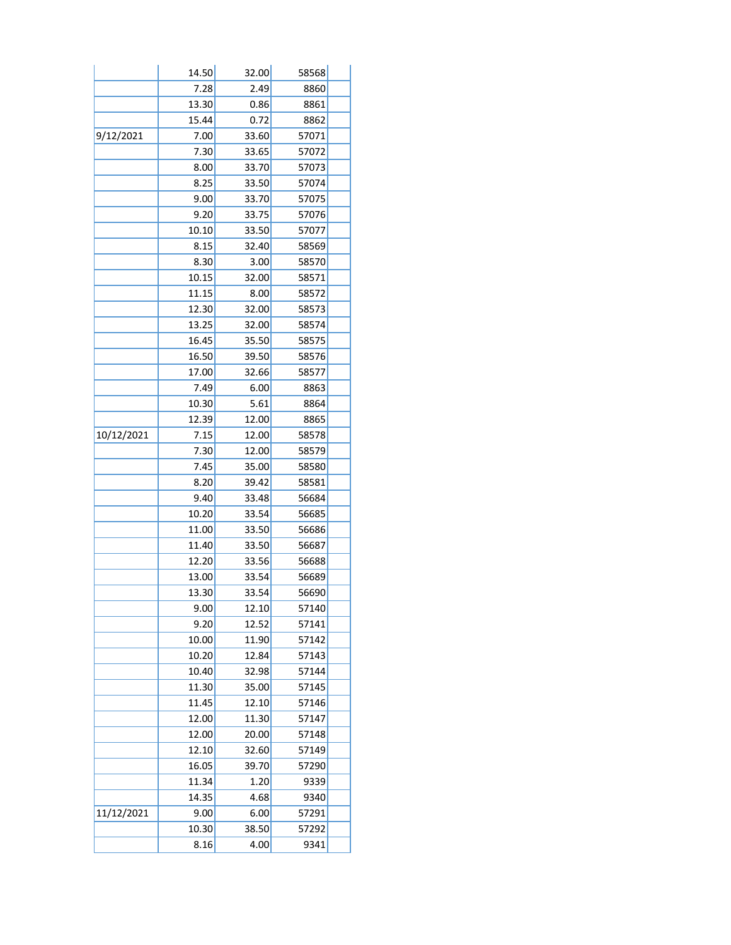|            | 14.50 | 32.00 | 58568 |  |
|------------|-------|-------|-------|--|
|            | 7.28  | 2.49  | 8860  |  |
|            | 13.30 | 0.86  | 8861  |  |
|            | 15.44 | 0.72  | 8862  |  |
| 9/12/2021  | 7.00  | 33.60 | 57071 |  |
|            | 7.30  | 33.65 | 57072 |  |
|            | 8.00  | 33.70 | 57073 |  |
|            | 8.25  | 33.50 | 57074 |  |
|            | 9.00  | 33.70 | 57075 |  |
|            | 9.20  | 33.75 | 57076 |  |
|            | 10.10 | 33.50 | 57077 |  |
|            | 8.15  | 32.40 | 58569 |  |
|            | 8.30  | 3.00  | 58570 |  |
|            | 10.15 | 32.00 | 58571 |  |
|            | 11.15 | 8.00  | 58572 |  |
|            | 12.30 | 32.00 | 58573 |  |
|            | 13.25 | 32.00 | 58574 |  |
|            | 16.45 | 35.50 | 58575 |  |
|            | 16.50 | 39.50 | 58576 |  |
|            | 17.00 | 32.66 | 58577 |  |
|            | 7.49  | 6.00  | 8863  |  |
|            | 10.30 | 5.61  | 8864  |  |
|            | 12.39 | 12.00 | 8865  |  |
| 10/12/2021 | 7.15  | 12.00 | 58578 |  |
|            | 7.30  | 12.00 | 58579 |  |
|            | 7.45  | 35.00 | 58580 |  |
|            | 8.20  | 39.42 | 58581 |  |
|            | 9.40  | 33.48 | 56684 |  |
|            | 10.20 | 33.54 | 56685 |  |
|            | 11.00 | 33.50 | 56686 |  |
|            | 11.40 | 33.50 | 56687 |  |
|            | 12.20 | 33.56 | 56688 |  |
|            | 13.00 | 33.54 | 56689 |  |
|            | 13.30 | 33.54 | 56690 |  |
|            | 9.00  | 12.10 | 57140 |  |
|            | 9.20  | 12.52 | 57141 |  |
|            | 10.00 | 11.90 | 57142 |  |
|            | 10.20 | 12.84 | 57143 |  |
|            | 10.40 | 32.98 | 57144 |  |
|            | 11.30 | 35.00 | 57145 |  |
|            | 11.45 | 12.10 | 57146 |  |
|            | 12.00 | 11.30 | 57147 |  |
|            | 12.00 | 20.00 | 57148 |  |
|            | 12.10 | 32.60 | 57149 |  |
|            | 16.05 | 39.70 | 57290 |  |
|            | 11.34 | 1.20  | 9339  |  |
|            | 14.35 | 4.68  | 9340  |  |
| 11/12/2021 | 9.00  | 6.00  | 57291 |  |
|            | 10.30 | 38.50 | 57292 |  |
|            | 8.16  | 4.00  | 9341  |  |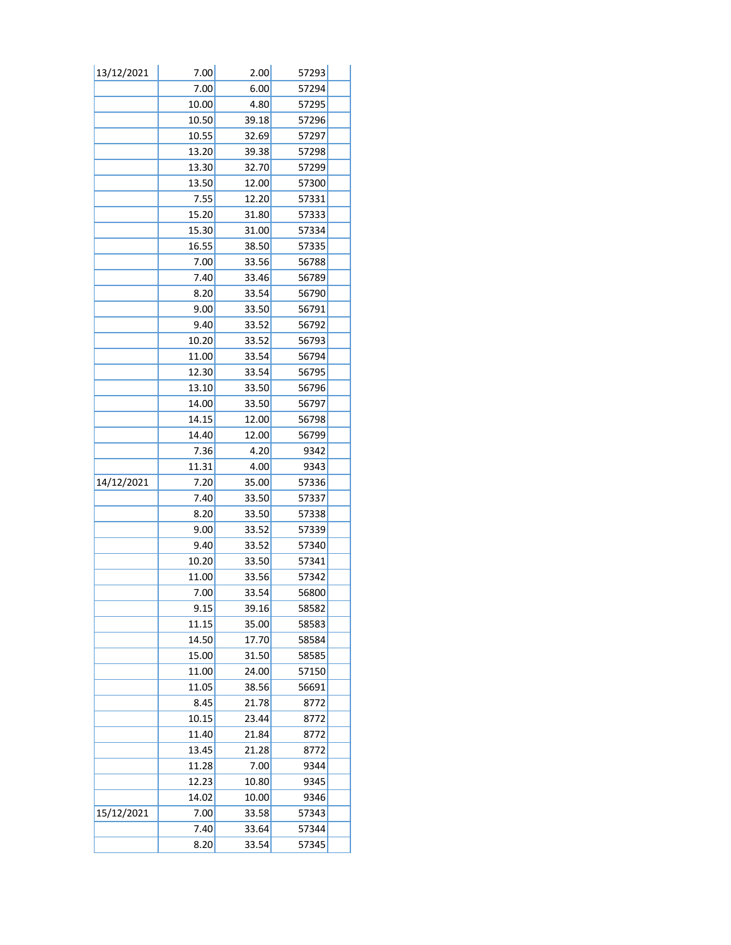| 13/12/2021 | 7.00  | 2.00  | 57293 |  |
|------------|-------|-------|-------|--|
|            | 7.00  | 6.00  | 57294 |  |
|            | 10.00 | 4.80  | 57295 |  |
|            | 10.50 | 39.18 | 57296 |  |
|            | 10.55 | 32.69 | 57297 |  |
|            | 13.20 | 39.38 | 57298 |  |
|            | 13.30 | 32.70 | 57299 |  |
|            | 13.50 | 12.00 | 57300 |  |
|            | 7.55  | 12.20 | 57331 |  |
|            | 15.20 | 31.80 | 57333 |  |
|            | 15.30 | 31.00 | 57334 |  |
|            | 16.55 | 38.50 | 57335 |  |
|            | 7.00  | 33.56 | 56788 |  |
|            | 7.40  | 33.46 | 56789 |  |
|            | 8.20  | 33.54 | 56790 |  |
|            | 9.00  | 33.50 | 56791 |  |
|            | 9.40  | 33.52 | 56792 |  |
|            | 10.20 | 33.52 | 56793 |  |
|            | 11.00 | 33.54 | 56794 |  |
|            | 12.30 | 33.54 | 56795 |  |
|            | 13.10 | 33.50 | 56796 |  |
|            | 14.00 | 33.50 | 56797 |  |
|            | 14.15 | 12.00 | 56798 |  |
|            | 14.40 | 12.00 | 56799 |  |
|            | 7.36  | 4.20  | 9342  |  |
|            | 11.31 | 4.00  | 9343  |  |
| 14/12/2021 | 7.20  | 35.00 | 57336 |  |
|            | 7.40  | 33.50 | 57337 |  |
|            | 8.20  | 33.50 | 57338 |  |
|            | 9.00  | 33.52 | 57339 |  |
|            | 9.40  | 33.52 | 57340 |  |
|            | 10.20 | 33.50 | 57341 |  |
|            | 11.00 | 33.56 | 57342 |  |
|            | 7.00  | 33.54 | 56800 |  |
|            | 9.15  | 39.16 | 58582 |  |
|            | 11.15 | 35.00 | 58583 |  |
|            | 14.50 | 17.70 | 58584 |  |
|            | 15.00 | 31.50 | 58585 |  |
|            | 11.00 | 24.00 | 57150 |  |
|            | 11.05 | 38.56 | 56691 |  |
|            | 8.45  | 21.78 | 8772  |  |
|            | 10.15 | 23.44 | 8772  |  |
|            | 11.40 | 21.84 | 8772  |  |
|            | 13.45 | 21.28 | 8772  |  |
|            | 11.28 | 7.00  | 9344  |  |
|            | 12.23 | 10.80 | 9345  |  |
|            | 14.02 | 10.00 | 9346  |  |
| 15/12/2021 | 7.00  | 33.58 | 57343 |  |
|            | 7.40  | 33.64 | 57344 |  |
|            |       | 33.54 | 57345 |  |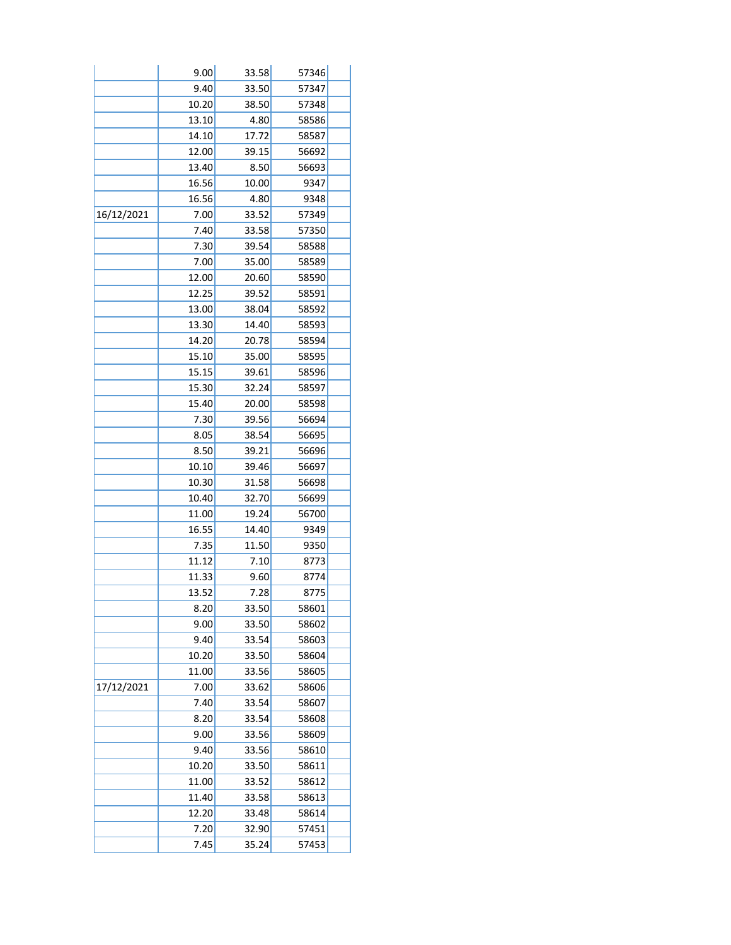|            | 9.00  | 33.58 | 57346 |  |
|------------|-------|-------|-------|--|
|            | 9.40  | 33.50 | 57347 |  |
|            | 10.20 | 38.50 | 57348 |  |
|            | 13.10 | 4.80  | 58586 |  |
|            | 14.10 | 17.72 | 58587 |  |
|            | 12.00 | 39.15 | 56692 |  |
|            | 13.40 | 8.50  | 56693 |  |
|            | 16.56 | 10.00 | 9347  |  |
|            | 16.56 | 4.80  | 9348  |  |
| 16/12/2021 | 7.00  | 33.52 | 57349 |  |
|            | 7.40  | 33.58 | 57350 |  |
|            | 7.30  | 39.54 | 58588 |  |
|            | 7.00  | 35.00 | 58589 |  |
|            | 12.00 | 20.60 | 58590 |  |
|            | 12.25 | 39.52 | 58591 |  |
|            | 13.00 | 38.04 | 58592 |  |
|            | 13.30 | 14.40 | 58593 |  |
|            | 14.20 | 20.78 | 58594 |  |
|            | 15.10 | 35.00 | 58595 |  |
|            | 15.15 | 39.61 | 58596 |  |
|            | 15.30 | 32.24 | 58597 |  |
|            | 15.40 | 20.00 | 58598 |  |
|            | 7.30  | 39.56 | 56694 |  |
|            | 8.05  | 38.54 | 56695 |  |
|            | 8.50  | 39.21 | 56696 |  |
|            | 10.10 | 39.46 | 56697 |  |
|            | 10.30 | 31.58 | 56698 |  |
|            | 10.40 | 32.70 | 56699 |  |
|            | 11.00 | 19.24 | 56700 |  |
|            | 16.55 | 14.40 | 9349  |  |
|            | 7.35  | 11.50 | 9350  |  |
|            | 11.12 | 7.10  | 8773  |  |
|            | 11.33 | 9.60  | 8774  |  |
|            | 13.52 | 7.28  | 8775  |  |
|            | 8.20  | 33.50 | 58601 |  |
|            | 9.00  | 33.50 | 58602 |  |
|            | 9.40  | 33.54 | 58603 |  |
|            | 10.20 | 33.50 | 58604 |  |
|            | 11.00 | 33.56 | 58605 |  |
| 17/12/2021 | 7.00  | 33.62 | 58606 |  |
|            | 7.40  | 33.54 | 58607 |  |
|            | 8.20  | 33.54 | 58608 |  |
|            | 9.00  | 33.56 | 58609 |  |
|            | 9.40  | 33.56 | 58610 |  |
|            | 10.20 | 33.50 | 58611 |  |
|            | 11.00 | 33.52 | 58612 |  |
|            | 11.40 | 33.58 | 58613 |  |
|            | 12.20 | 33.48 | 58614 |  |
|            | 7.20  | 32.90 | 57451 |  |
|            | 7.45  | 35.24 | 57453 |  |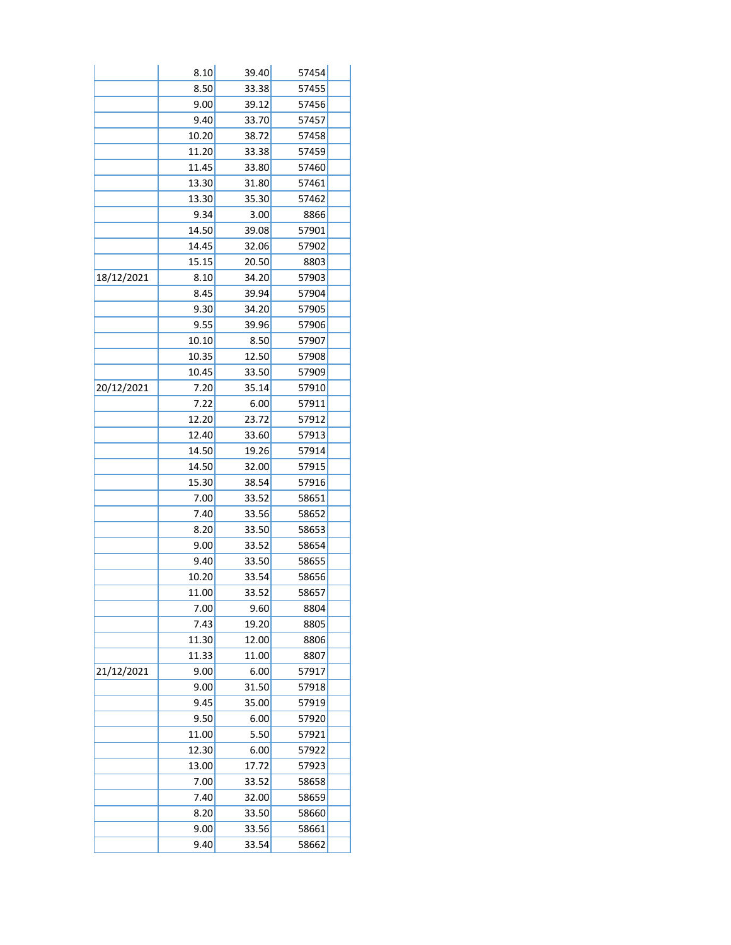|            | 8.10  | 39.40 | 57454 |  |
|------------|-------|-------|-------|--|
|            | 8.50  | 33.38 | 57455 |  |
|            | 9.00  | 39.12 | 57456 |  |
|            | 9.40  | 33.70 | 57457 |  |
|            | 10.20 | 38.72 | 57458 |  |
|            | 11.20 | 33.38 | 57459 |  |
|            | 11.45 | 33.80 | 57460 |  |
|            | 13.30 | 31.80 | 57461 |  |
|            | 13.30 | 35.30 | 57462 |  |
|            | 9.34  | 3.00  | 8866  |  |
|            | 14.50 | 39.08 | 57901 |  |
|            | 14.45 | 32.06 | 57902 |  |
|            | 15.15 | 20.50 | 8803  |  |
| 18/12/2021 | 8.10  | 34.20 | 57903 |  |
|            | 8.45  | 39.94 | 57904 |  |
|            | 9.30  | 34.20 | 57905 |  |
|            | 9.55  | 39.96 | 57906 |  |
|            | 10.10 | 8.50  | 57907 |  |
|            | 10.35 | 12.50 | 57908 |  |
|            | 10.45 | 33.50 | 57909 |  |
| 20/12/2021 | 7.20  | 35.14 | 57910 |  |
|            | 7.22  | 6.00  | 57911 |  |
|            | 12.20 | 23.72 | 57912 |  |
|            | 12.40 | 33.60 | 57913 |  |
|            | 14.50 | 19.26 | 57914 |  |
|            | 14.50 | 32.00 | 57915 |  |
|            | 15.30 | 38.54 | 57916 |  |
|            | 7.00  | 33.52 | 58651 |  |
|            | 7.40  | 33.56 | 58652 |  |
|            | 8.20  | 33.50 | 58653 |  |
|            | 9.00  | 33.52 | 58654 |  |
|            | 9.40  | 33.50 | 58655 |  |
|            | 10.20 | 33.54 | 58656 |  |
|            | 11.00 | 33.52 | 58657 |  |
|            | 7.00  | 9.60  | 8804  |  |
|            | 7.43  | 19.20 | 8805  |  |
|            | 11.30 | 12.00 | 8806  |  |
|            | 11.33 | 11.00 | 8807  |  |
| 21/12/2021 | 9.00  | 6.00  | 57917 |  |
|            | 9.00  | 31.50 | 57918 |  |
|            | 9.45  | 35.00 | 57919 |  |
|            | 9.50  | 6.00  | 57920 |  |
|            | 11.00 | 5.50  | 57921 |  |
|            | 12.30 | 6.00  | 57922 |  |
|            | 13.00 | 17.72 | 57923 |  |
|            | 7.00  | 33.52 | 58658 |  |
|            | 7.40  | 32.00 | 58659 |  |
|            | 8.20  | 33.50 | 58660 |  |
|            | 9.00  | 33.56 | 58661 |  |
|            | 9.40  | 33.54 | 58662 |  |
|            |       |       |       |  |